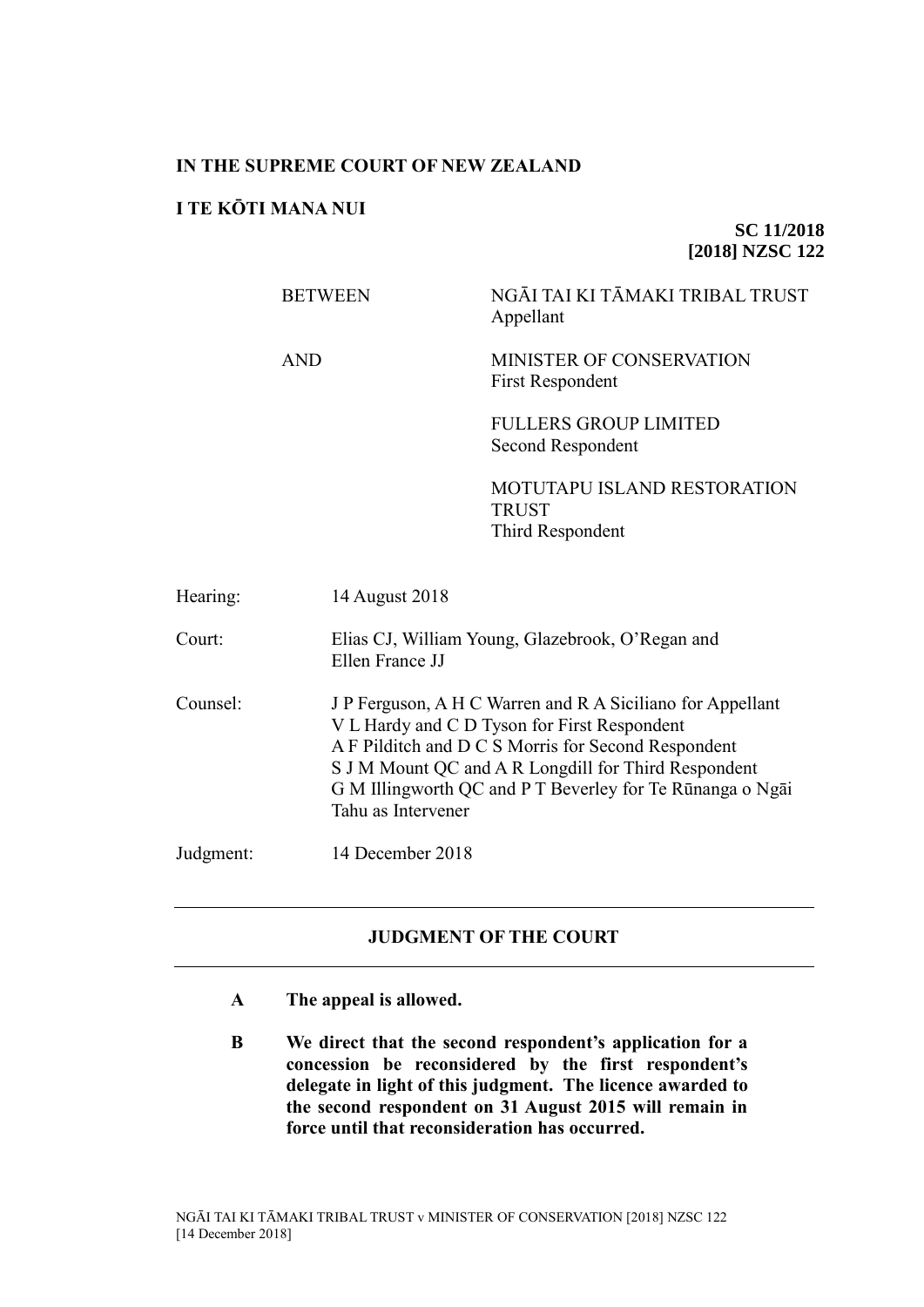## **IN THE SUPREME COURT OF NEW ZEALAND**

# **I TE KŌTI MANA NUI**

## **SC 11/2018 [2018] NZSC 122**

BETWEEN NGĀI TAI KI TĀMAKI TRIBAL TRUST Appellant AND MINISTER OF CONSERVATION First Respondent FULLERS GROUP LIMITED Second Respondent

> MOTUTAPU ISLAND RESTORATION TRUST Third Respondent

| Hearing:  | 14 August 2018                                                                                                                                                                                                                                                                                               |
|-----------|--------------------------------------------------------------------------------------------------------------------------------------------------------------------------------------------------------------------------------------------------------------------------------------------------------------|
| Court:    | Elias CJ, William Young, Glazebrook, O'Regan and<br>Ellen France JJ                                                                                                                                                                                                                                          |
| Counsel:  | J P Ferguson, A H C Warren and R A Siciliano for Appellant<br>V L Hardy and C D Tyson for First Respondent<br>A F Pilditch and D C S Morris for Second Respondent<br>S J M Mount QC and A R Longdill for Third Respondent<br>G M Illingworth QC and P T Beverley for Te Rūnanga o Ngāi<br>Tahu as Intervener |
| Judgment: | 14 December 2018                                                                                                                                                                                                                                                                                             |

## **JUDGMENT OF THE COURT**

- **A The appeal is allowed.**
- **B We direct that the second respondent's application for a concession be reconsidered by the first respondent's delegate in light of this judgment. The licence awarded to the second respondent on 31 August 2015 will remain in force until that reconsideration has occurred.**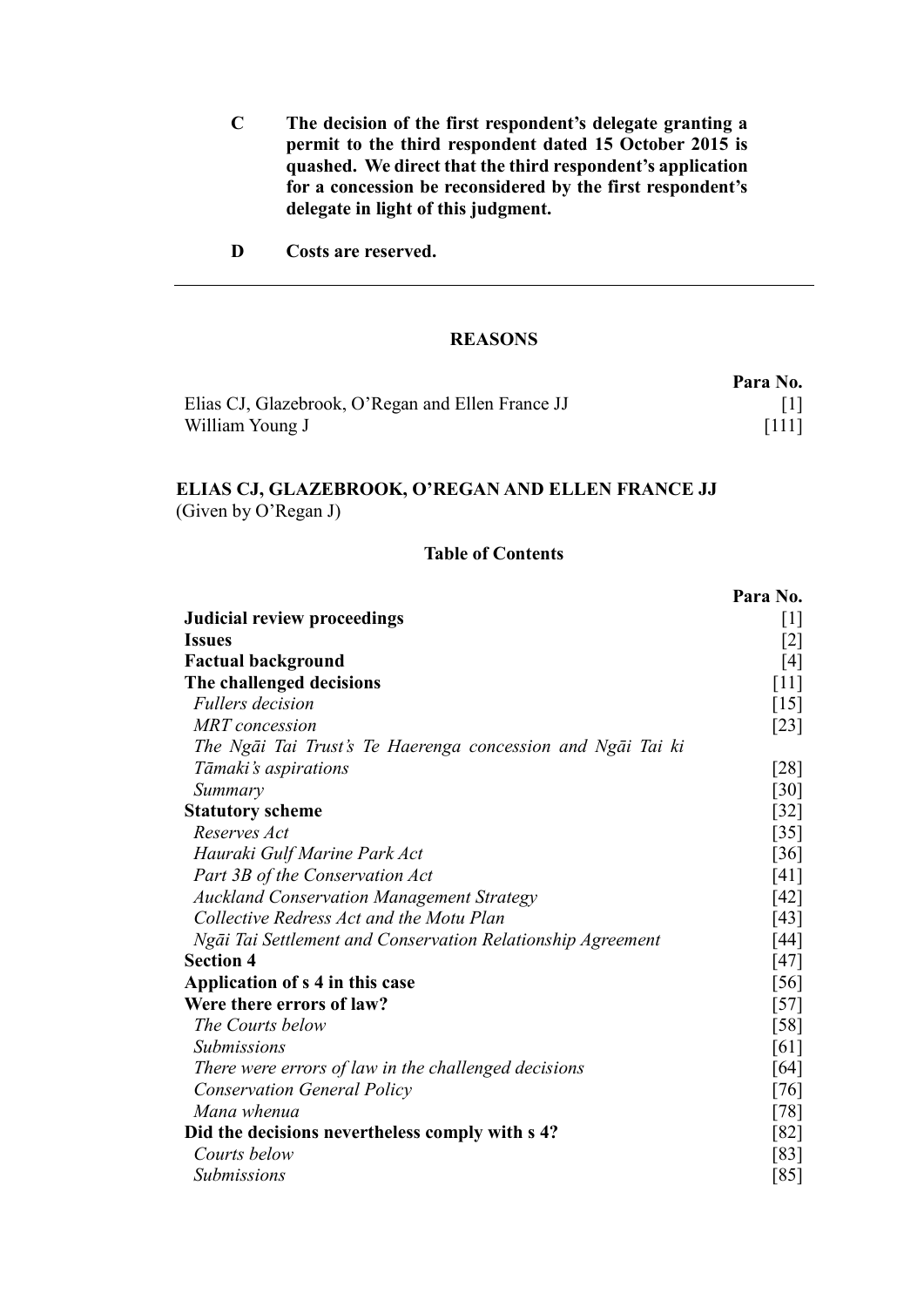- **C The decision of the first respondent's delegate granting a permit to the third respondent dated 15 October 2015 is quashed. We direct that the third respondent's application for a concession be reconsidered by the first respondent's delegate in light of this judgment.**
- **D Costs are reserved.**

## **REASONS**

|                                                   | Para No. |
|---------------------------------------------------|----------|
| Elias CJ, Glazebrook, O'Regan and Ellen France JJ |          |
| William Young J                                   | $[111]$  |

# **ELIAS CJ, GLAZEBROOK, O'REGAN AND ELLEN FRANCE JJ** (Given by O'Regan J)

### **Table of Contents**

|                                                             | Para No.           |
|-------------------------------------------------------------|--------------------|
| Judicial review proceedings                                 | $[1]$              |
| <b>Issues</b>                                               | $[2]$              |
| <b>Factual background</b>                                   | $[4]$              |
| The challenged decisions                                    | [11]               |
| <b>Fullers</b> decision                                     | $[15]$             |
| <b>MRT</b> concession                                       | $[23]$             |
| The Ngāi Tai Trust's Te Haerenga concession and Ngāi Tai ki |                    |
| Tāmaki's aspirations                                        | [28]               |
| Summary                                                     | $\lceil 30 \rceil$ |
| <b>Statutory scheme</b>                                     | $[32]$             |
| Reserves Act                                                | $[35]$             |
| Hauraki Gulf Marine Park Act                                | $[36]$             |
| Part 3B of the Conservation Act                             | [41]               |
| <b>Auckland Conservation Management Strategy</b>            | [42]               |
| Collective Redress Act and the Motu Plan                    | [43]               |
| Ngāi Tai Settlement and Conservation Relationship Agreement | [44]               |
| <b>Section 4</b>                                            | [47]               |
| Application of s 4 in this case                             | [56]               |
| Were there errors of law?                                   | $[57]$             |
| The Courts below                                            | $\left[58\right]$  |
| <b>Submissions</b>                                          | [61]               |
| There were errors of law in the challenged decisions        | [64]               |
| <b>Conservation General Policy</b>                          | $[76]$             |
| Mana whenua                                                 | $[78]$             |
| Did the decisions nevertheless comply with s 4?             | [82]               |
| Courts below                                                | [83]               |
| <b>Submissions</b>                                          | [85]               |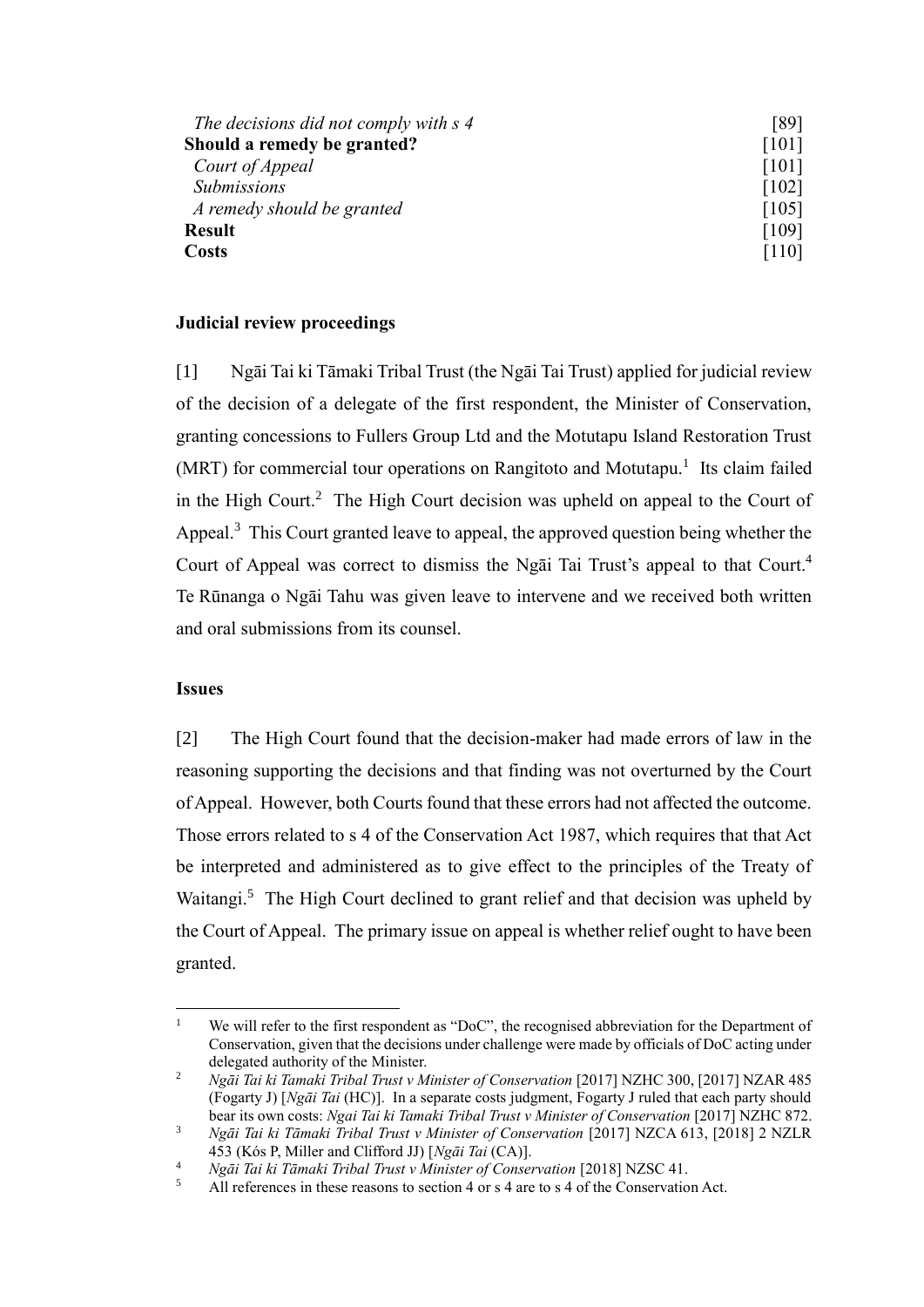| The decisions did not comply with s 4 | [89]    |
|---------------------------------------|---------|
| Should a remedy be granted?           | [101]   |
| Court of Appeal                       | [101]   |
| <b>Submissions</b>                    | [102]   |
| A remedy should be granted            | [105]   |
| <b>Result</b>                         | [109]   |
| <b>Costs</b>                          | $[110]$ |

## **Judicial review proceedings**

<span id="page-2-3"></span><span id="page-2-2"></span><span id="page-2-0"></span>[1] Ngāi Tai ki Tāmaki Tribal Trust (the Ngāi Tai Trust) applied for judicial review of the decision of a delegate of the first respondent, the Minister of Conservation, granting concessions to Fullers Group Ltd and the Motutapu Island Restoration Trust (MRT) for commercial tour operations on Rangitoto and Motutapu.<sup>1</sup> Its claim failed in the High Court.<sup>2</sup> The High Court decision was upheld on appeal to the Court of Appeal.<sup>3</sup> This Court granted leave to appeal, the approved question being whether the Court of Appeal was correct to dismiss the Ngai Tai Trust's appeal to that Court.<sup>4</sup> Te Rūnanga o Ngāi Tahu was given leave to intervene and we received both written and oral submissions from its counsel.

### **Issues**

 $\overline{a}$ 

<span id="page-2-1"></span>[2] The High Court found that the decision-maker had made errors of law in the reasoning supporting the decisions and that finding was not overturned by the Court of Appeal. However, both Courts found that these errors had not affected the outcome. Those errors related to s 4 of the Conservation Act 1987, which requires that that Act be interpreted and administered as to give effect to the principles of the Treaty of Waitangi.<sup>5</sup> The High Court declined to grant relief and that decision was upheld by the Court of Appeal. The primary issue on appeal is whether relief ought to have been granted.

<sup>&</sup>lt;sup>1</sup> We will refer to the first respondent as "DoC", the recognised abbreviation for the Department of Conservation, given that the decisions under challenge were made by officials of DoC acting under delegated authority of the Minister.

<sup>&</sup>lt;sup>2</sup> *Ngāi Tai ki Tamaki Tribal Trust v Minister of Conservation* [2017] NZHC 300, [2017] NZAR 485 (Fogarty J) [*Ngāi Tai* (HC)]. In a separate costs judgment, Fogarty J ruled that each party should bear its own costs: *Ngai Tai ki Tamaki Tribal Trust v Minister of Conservation* [2017] NZHC 872.

<sup>3</sup> *Ngāi Tai ki Tāmaki Tribal Trust v Minister of Conservation* [2017] NZCA 613, [2018] 2 NZLR 453 (Kós P, Miller and Clifford JJ) [*Ngāi Tai* (CA)].

<sup>&</sup>lt;sup>4</sup> *Ngāi Tai ki Tāmaki Tribal Trust v Minister of Conservation* [2018] NZSC 41.

All references in these reasons to section 4 or s 4 are to s 4 of the Conservation Act.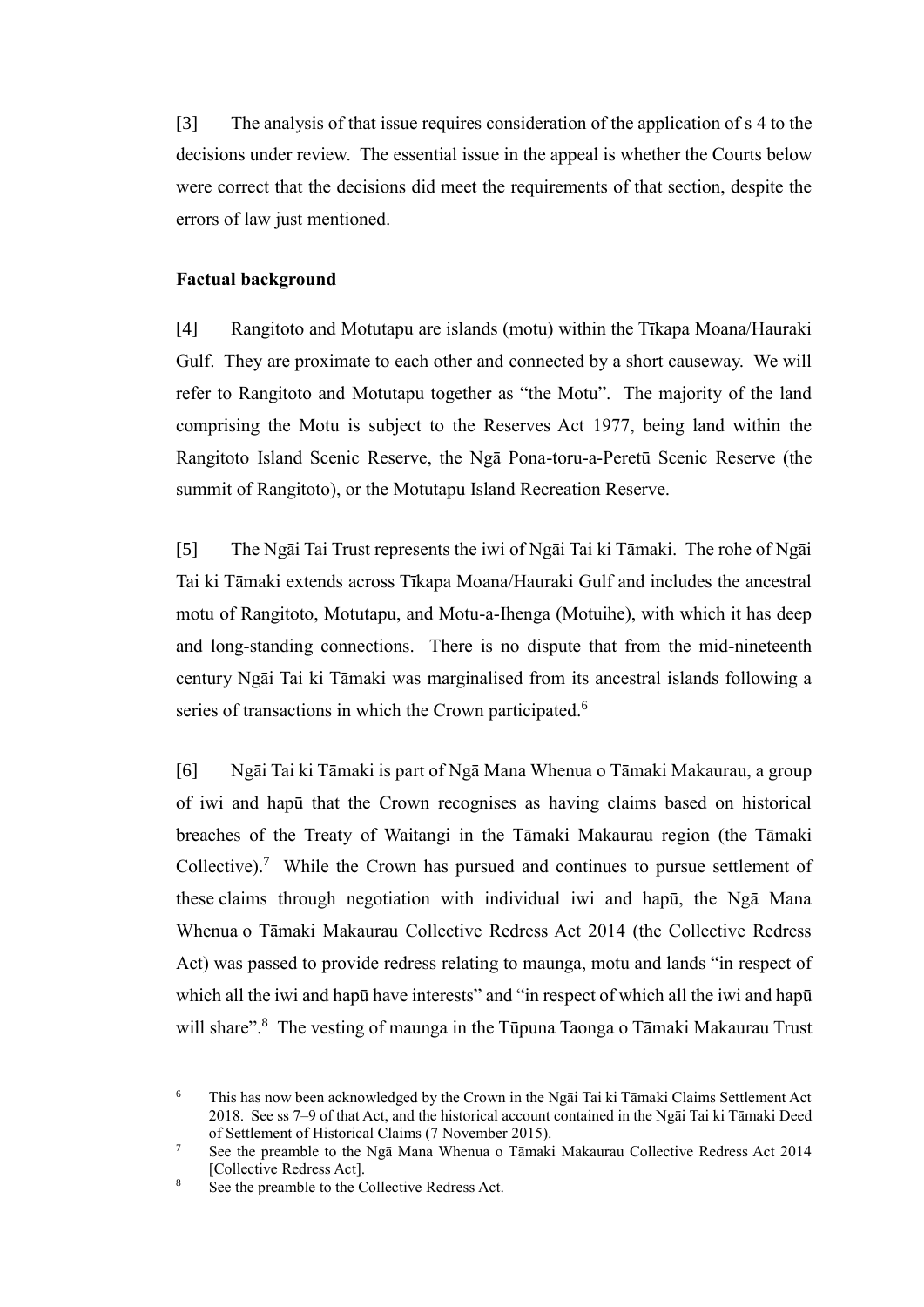[3] The analysis of that issue requires consideration of the application of s 4 to the decisions under review. The essential issue in the appeal is whether the Courts below were correct that the decisions did meet the requirements of that section, despite the errors of law just mentioned.

#### **Factual background**

<span id="page-3-0"></span>[4] Rangitoto and Motutapu are islands (motu) within the Tīkapa Moana/Hauraki Gulf. They are proximate to each other and connected by a short causeway. We will refer to Rangitoto and Motutapu together as "the Motu". The majority of the land comprising the Motu is subject to the Reserves Act 1977, being land within the Rangitoto Island Scenic Reserve, the Ngā Pona-toru-a-Peretū Scenic Reserve (the summit of Rangitoto), or the Motutapu Island Recreation Reserve.

[5] The Ngāi Tai Trust represents the iwi of Ngāi Tai ki Tāmaki. The rohe of Ngāi Tai ki Tāmaki extends across Tīkapa Moana/Hauraki Gulf and includes the ancestral motu of Rangitoto, Motutapu, and Motu-a-Ihenga (Motuihe), with which it has deep and long-standing connections. There is no dispute that from the mid-nineteenth century Ngāi Tai ki Tāmaki was marginalised from its ancestral islands following a series of transactions in which the Crown participated.<sup>6</sup>

<span id="page-3-1"></span>[6] Ngāi Tai ki Tāmaki is part of Ngā Mana Whenua o Tāmaki Makaurau, a group of iwi and hapū that the Crown recognises as having claims based on historical breaches of the Treaty of Waitangi in the Tāmaki Makaurau region (the Tāmaki Collective).<sup>7</sup> While the Crown has pursued and continues to pursue settlement of these claims through negotiation with individual iwi and hapū, the Ngā Mana Whenua o Tāmaki Makaurau Collective Redress Act 2014 (the Collective Redress Act) was passed to provide redress relating to maunga, motu and lands "in respect of which all the iwi and hapū have interests" and "in respect of which all the iwi and hapū will share".<sup>8</sup> The vesting of maunga in the Tūpuna Taonga o Tāmaki Makaurau Trust

<sup>6</sup> This has now been acknowledged by the Crown in the Ngāi Tai ki Tāmaki Claims Settlement Act 2018. See ss 7–9 of that Act, and the historical account contained in the Ngāi Tai ki Tāmaki Deed of Settlement of Historical Claims (7 November 2015).

<sup>7</sup> See the preamble to the Ngā Mana Whenua o Tāmaki Makaurau Collective Redress Act 2014 [Collective Redress Act].

See the preamble to the Collective Redress Act.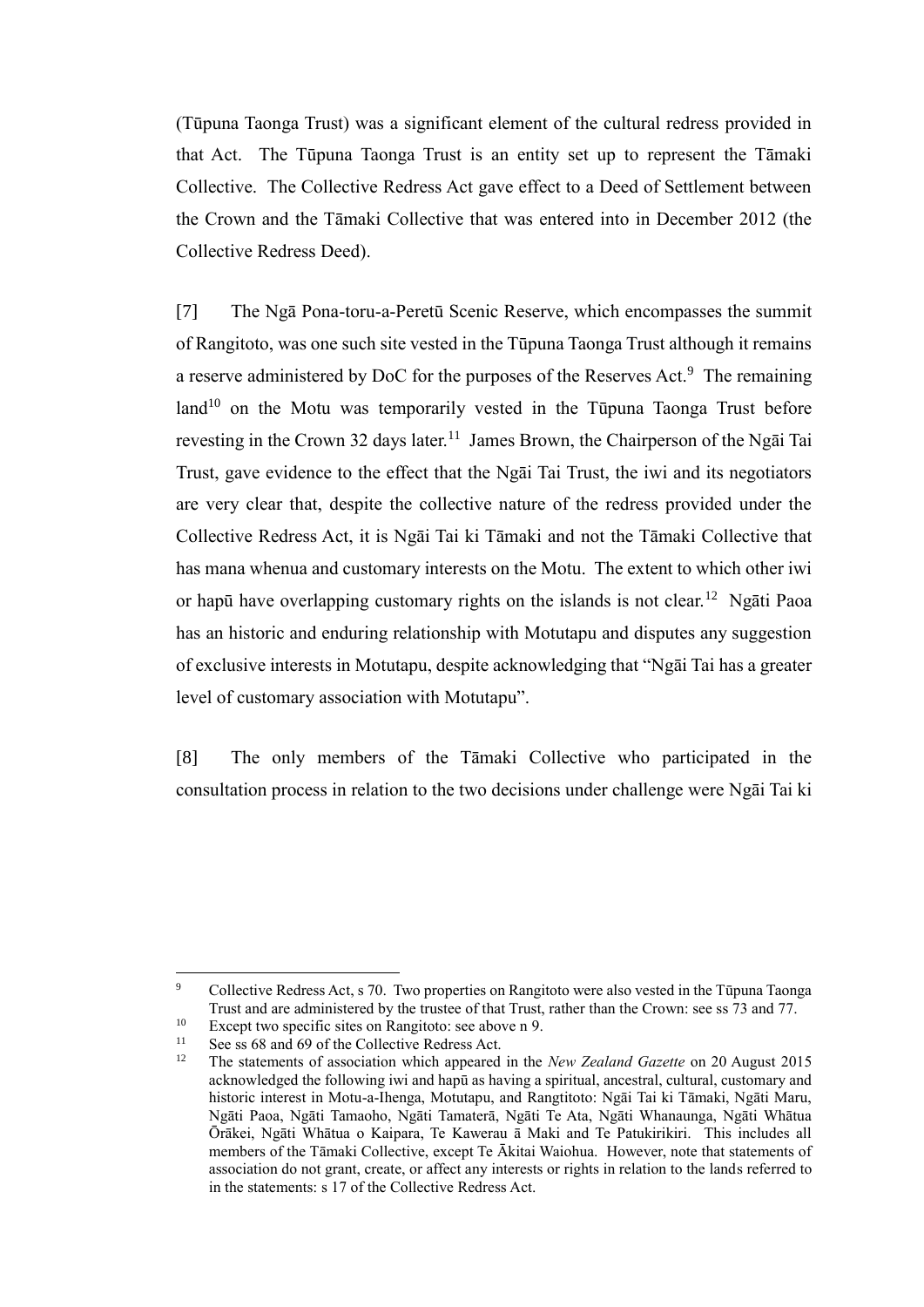(Tūpuna Taonga Trust) was a significant element of the cultural redress provided in that Act. The Tūpuna Taonga Trust is an entity set up to represent the Tāmaki Collective. The Collective Redress Act gave effect to a Deed of Settlement between the Crown and the Tāmaki Collective that was entered into in December 2012 (the Collective Redress Deed).

<span id="page-4-1"></span><span id="page-4-0"></span>[7] The Ngā Pona-toru-a-Peretū Scenic Reserve, which encompasses the summit of Rangitoto, was one such site vested in the Tūpuna Taonga Trust although it remains a reserve administered by DoC for the purposes of the Reserves Act. $9$  The remaining  $\text{land}^{10}$  on the Motu was temporarily vested in the Tūpuna Taonga Trust before revesting in the Crown 32 days later.<sup>11</sup> James Brown, the Chairperson of the Ngai Tai Trust, gave evidence to the effect that the Ngāi Tai Trust, the iwi and its negotiators are very clear that, despite the collective nature of the redress provided under the Collective Redress Act, it is Ngāi Tai ki Tāmaki and not the Tāmaki Collective that has mana whenua and customary interests on the Motu. The extent to which other iwi or hapū have overlapping customary rights on the islands is not clear.<sup>12</sup> Ngāti Paoa has an historic and enduring relationship with Motutapu and disputes any suggestion of exclusive interests in Motutapu, despite acknowledging that "Ngāi Tai has a greater level of customary association with Motutapu".

[8] The only members of the Tāmaki Collective who participated in the consultation process in relation to the two decisions under challenge were Ngāi Tai ki

<sup>9</sup> Collective Redress Act, s 70. Two properties on Rangitoto were also vested in the Tūpuna Taonga Trust and are administered by the trustee of that Trust, rather than the Crown: see ss 73 and 77.

<sup>&</sup>lt;sup>10</sup> Except two specific sites on Rangitoto: see above n [9.](#page-4-0)<br><sup>11</sup> See ss 68 and 69 of the Collective Redress Act

<sup>&</sup>lt;sup>11</sup> See ss 68 and 69 of the Collective Redress Act.<br><sup>12</sup> The statements of association which appeared

<sup>12</sup> The statements of association which appeared in the *New Zealand Gazette* on 20 August 2015 acknowledged the following iwi and hapū as having a spiritual, ancestral, cultural, customary and historic interest in Motu-a-Ihenga, Motutapu, and Rangtitoto: Ngāi Tai ki Tāmaki, Ngāti Maru, Ngāti Paoa, Ngāti Tamaoho, Ngāti Tamaterā, Ngāti Te Ata, Ngāti Whanaunga, Ngāti Whātua Ōrākei, Ngāti Whātua o Kaipara, Te Kawerau ā Maki and Te Patukirikiri. This includes all members of the Tāmaki Collective, except Te Ākitai Waiohua. However, note that statements of association do not grant, create, or affect any interests or rights in relation to the lands referred to in the statements: s 17 of the Collective Redress Act.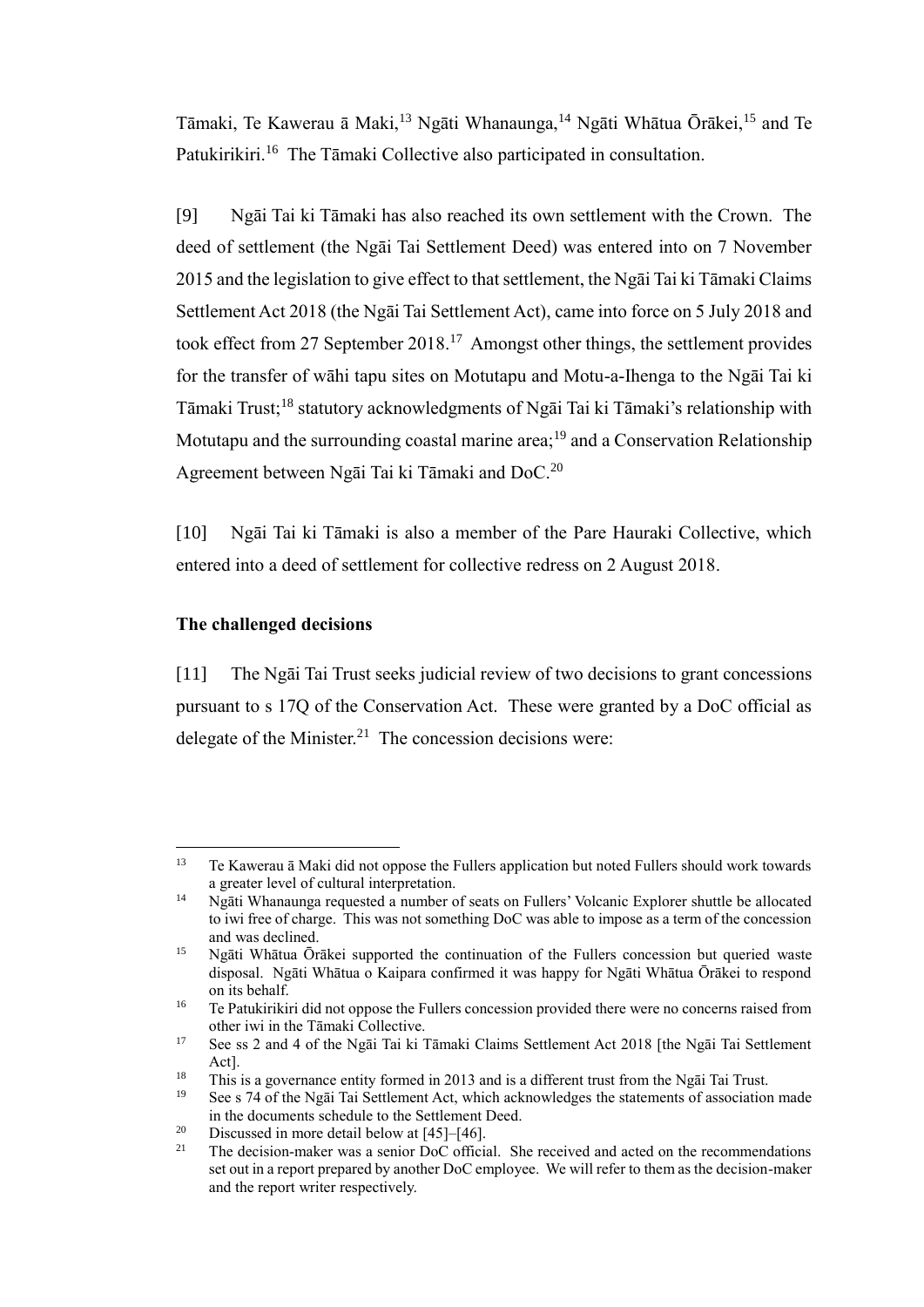Tāmaki, Te Kawerau ā Maki,<sup>13</sup> Ngāti Whanaunga,<sup>14</sup> Ngāti Whātua Ōrākei,<sup>15</sup> and Te Patukirikiri.<sup>16</sup> The Tāmaki Collective also participated in consultation.

[9] Ngāi Tai ki Tāmaki has also reached its own settlement with the Crown. The deed of settlement (the Ngāi Tai Settlement Deed) was entered into on 7 November 2015 and the legislation to give effect to that settlement, the Ngāi Tai ki Tāmaki Claims Settlement Act 2018 (the Ngāi Tai Settlement Act), came into force on 5 July 2018 and took effect from 27 September 2018.<sup>17</sup> Amongst other things, the settlement provides for the transfer of wāhi tapu sites on Motutapu and Motu-a-Ihenga to the Ngāi Tai ki Tāmaki Trust;<sup>18</sup> statutory acknowledgments of Ngāi Tai ki Tāmaki's relationship with Motutapu and the surrounding coastal marine area;<sup>19</sup> and a Conservation Relationship Agreement between Ngāi Tai ki Tāmaki and DoC.<sup>20</sup>

[10] Ngāi Tai ki Tāmaki is also a member of the Pare Hauraki Collective, which entered into a deed of settlement for collective redress on 2 August 2018.

## **The challenged decisions**

<span id="page-5-0"></span>[11] The Ngāi Tai Trust seeks judicial review of two decisions to grant concessions pursuant to s 17Q of the Conservation Act. These were granted by a DoC official as delegate of the Minister.<sup>21</sup> The concession decisions were:

 $\overline{a}$ <sup>13</sup> Te Kawerau ā Maki did not oppose the Fullers application but noted Fullers should work towards a greater level of cultural interpretation.

<sup>&</sup>lt;sup>14</sup> Ngāti Whanaunga requested a number of seats on Fullers' Volcanic Explorer shuttle be allocated to iwi free of charge. This was not something DoC was able to impose as a term of the concession and was declined.

<sup>&</sup>lt;sup>15</sup> Ngāti Whātua Ōrākei supported the continuation of the Fullers concession but queried waste disposal. Ngāti Whātua o Kaipara confirmed it was happy for Ngāti Whātua Ōrākei to respond on its behalf.

<sup>&</sup>lt;sup>16</sup> Te Patukirikiri did not oppose the Fullers concession provided there were no concerns raised from other iwi in the Tāmaki Collective.

<sup>17</sup> See ss 2 and 4 of the Ngāi Tai ki Tāmaki Claims Settlement Act 2018 [the Ngāi Tai Settlement Act].

<sup>&</sup>lt;sup>18</sup> This is a governance entity formed in 2013 and is a different trust from the Ngai Tai Trust.<br><sup>19</sup> See s 74 of the Ngai Tai Settlement Act, which acknowledges the statements of association

<sup>19</sup> See s 74 of the Ngāi Tai Settlement Act, which acknowledges the statements of association made in the documents schedule to the Settlement Deed.

<sup>&</sup>lt;sup>20</sup> Discussed in more detail below at  $[45]$ – $[46]$ .<br><sup>21</sup> The decision maker was a senior DoC official

<sup>21</sup> The decision-maker was a senior DoC official. She received and acted on the recommendations set out in a report prepared by another DoC employee. We will refer to them as the decision-maker and the report writer respectively.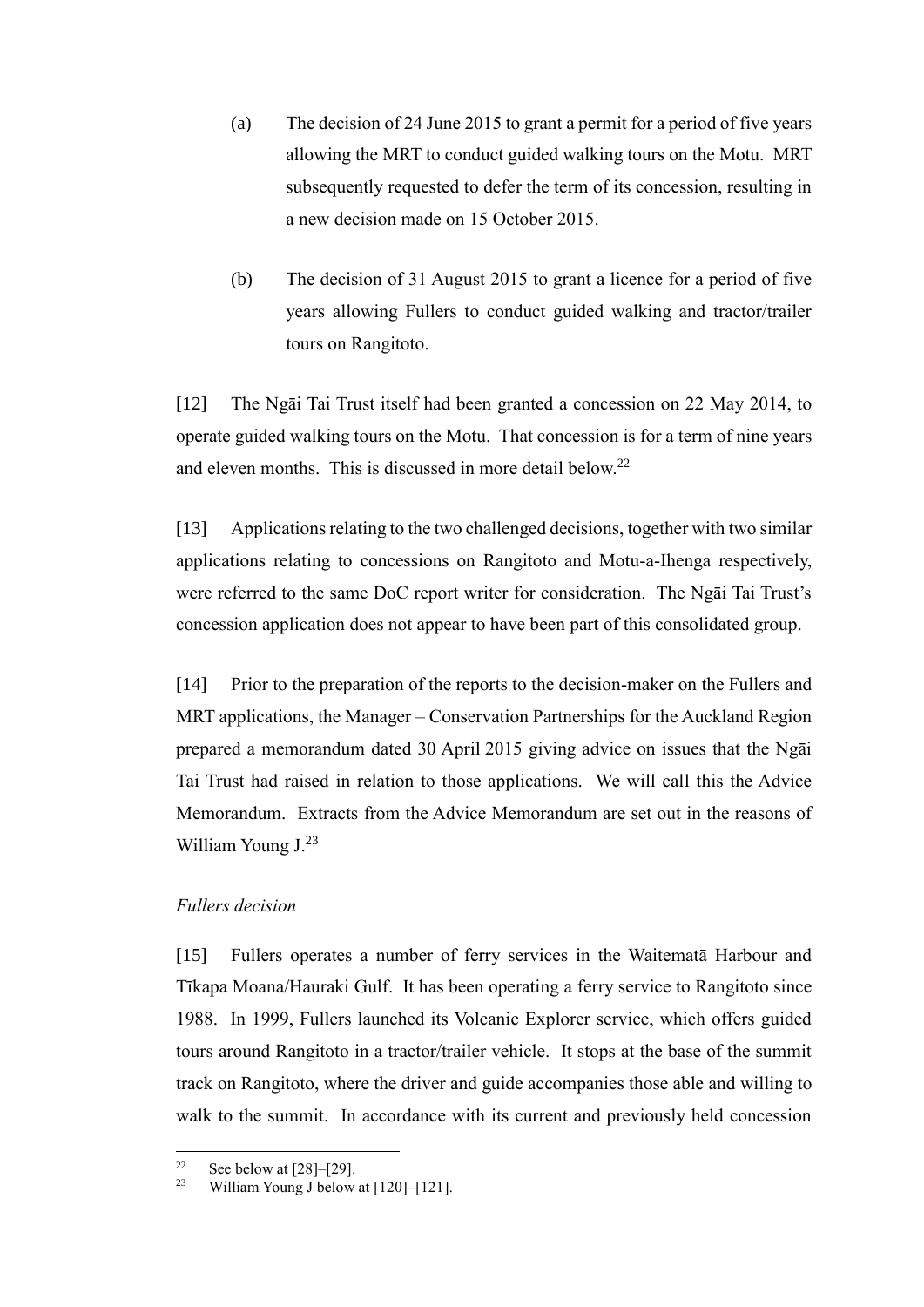- (a) The decision of 24 June 2015 to grant a permit for a period of five years allowing the MRT to conduct guided walking tours on the Motu. MRT subsequently requested to defer the term of its concession, resulting in a new decision made on 15 October 2015.
- (b) The decision of 31 August 2015 to grant a licence for a period of five years allowing Fullers to conduct guided walking and tractor/trailer tours on Rangitoto.

[12] The Ngāi Tai Trust itself had been granted a concession on 22 May 2014, to operate guided walking tours on the Motu. That concession is for a term of nine years and eleven months. This is discussed in more detail below.<sup>22</sup>

<span id="page-6-1"></span>[13] Applications relating to the two challenged decisions, together with two similar applications relating to concessions on Rangitoto and Motu-a-Ihenga respectively, were referred to the same DoC report writer for consideration. The Ngāi Tai Trust's concession application does not appear to have been part of this consolidated group.

[14] Prior to the preparation of the reports to the decision-maker on the Fullers and MRT applications, the Manager – Conservation Partnerships for the Auckland Region prepared a memorandum dated 30 April 2015 giving advice on issues that the Ngāi Tai Trust had raised in relation to those applications. We will call this the Advice Memorandum. Extracts from the Advice Memorandum are set out in the reasons of William Young J.<sup>23</sup>

### *Fullers decision*

<span id="page-6-0"></span>[15] Fullers operates a number of ferry services in the Waitematā Harbour and Tīkapa Moana/Hauraki Gulf. It has been operating a ferry service to Rangitoto since 1988. In 1999, Fullers launched its Volcanic Explorer service, which offers guided tours around Rangitoto in a tractor/trailer vehicle. It stops at the base of the summit track on Rangitoto, where the driver and guide accompanies those able and willing to walk to the summit. In accordance with its current and previously held concession

 $22$  $\frac{22}{23}$  See below at [\[28\]–](#page-10-0)[\[29\].](#page-10-1)

William Young J below at [\[120\]](#page-38-0)[–\[121\].](#page-39-0)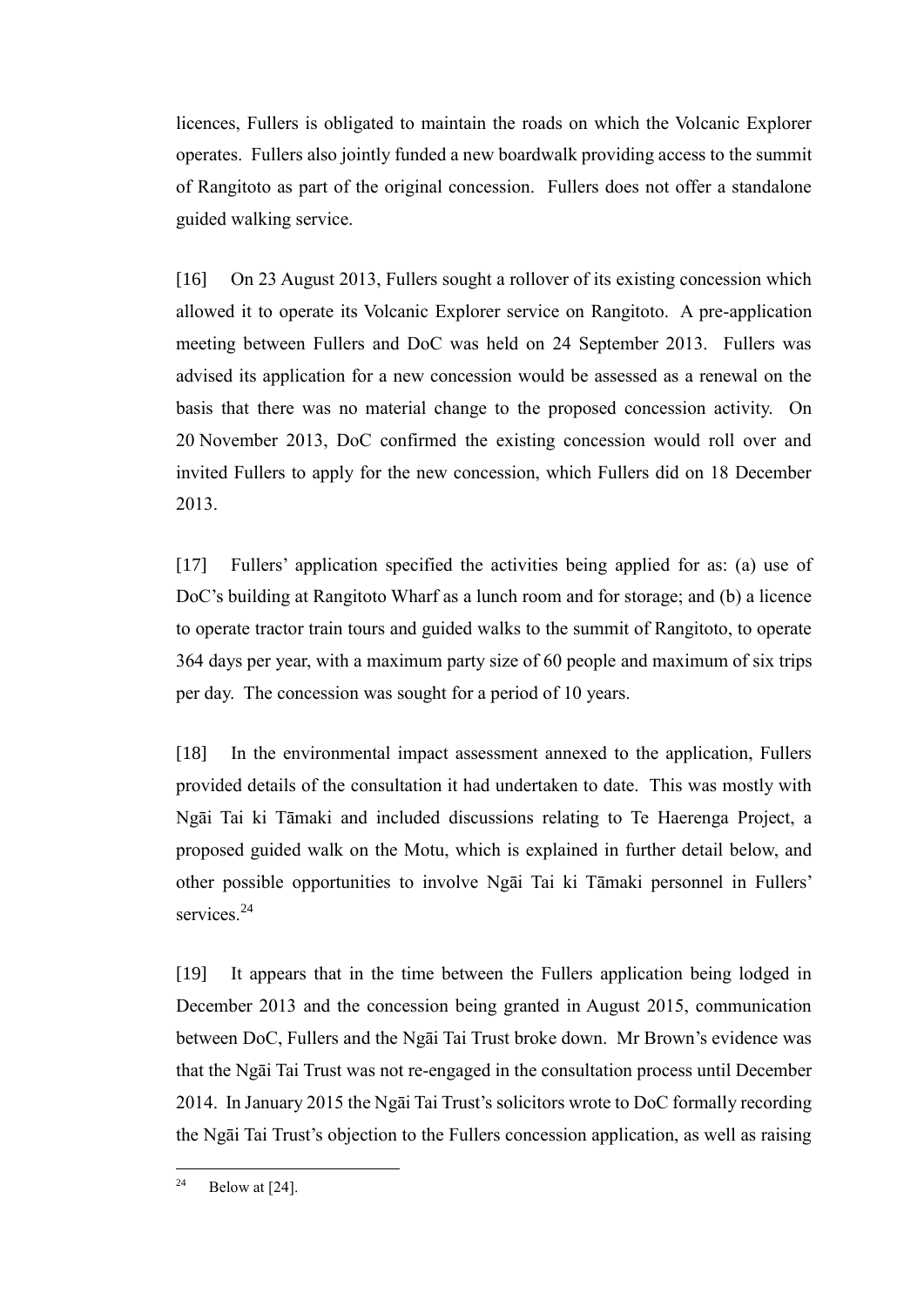licences, Fullers is obligated to maintain the roads on which the Volcanic Explorer operates. Fullers also jointly funded a new boardwalk providing access to the summit of Rangitoto as part of the original concession. Fullers does not offer a standalone guided walking service.

[16] On 23 August 2013, Fullers sought a rollover of its existing concession which allowed it to operate its Volcanic Explorer service on Rangitoto. A pre-application meeting between Fullers and DoC was held on 24 September 2013. Fullers was advised its application for a new concession would be assessed as a renewal on the basis that there was no material change to the proposed concession activity. On 20 November 2013, DoC confirmed the existing concession would roll over and invited Fullers to apply for the new concession, which Fullers did on 18 December 2013.

[17] Fullers' application specified the activities being applied for as: (a) use of DoC's building at Rangitoto Wharf as a lunch room and for storage; and (b) a licence to operate tractor train tours and guided walks to the summit of Rangitoto, to operate 364 days per year, with a maximum party size of 60 people and maximum of six trips per day. The concession was sought for a period of 10 years.

[18] In the environmental impact assessment annexed to the application, Fullers provided details of the consultation it had undertaken to date. This was mostly with Ngāi Tai ki Tāmaki and included discussions relating to Te Haerenga Project, a proposed guided walk on the Motu, which is explained in further detail below, and other possible opportunities to involve Ngāi Tai ki Tāmaki personnel in Fullers' services.<sup>24</sup>

[19] It appears that in the time between the Fullers application being lodged in December 2013 and the concession being granted in August 2015, communication between DoC, Fullers and the Ngāi Tai Trust broke down. Mr Brown's evidence was that the Ngāi Tai Trust was not re-engaged in the consultation process until December 2014. In January 2015 the Ngāi Tai Trust's solicitors wrote to DoC formally recording the Ngāi Tai Trust's objection to the Fullers concession application, as well as raising

<sup>&</sup>lt;sup>24</sup> Below at  $[24]$ .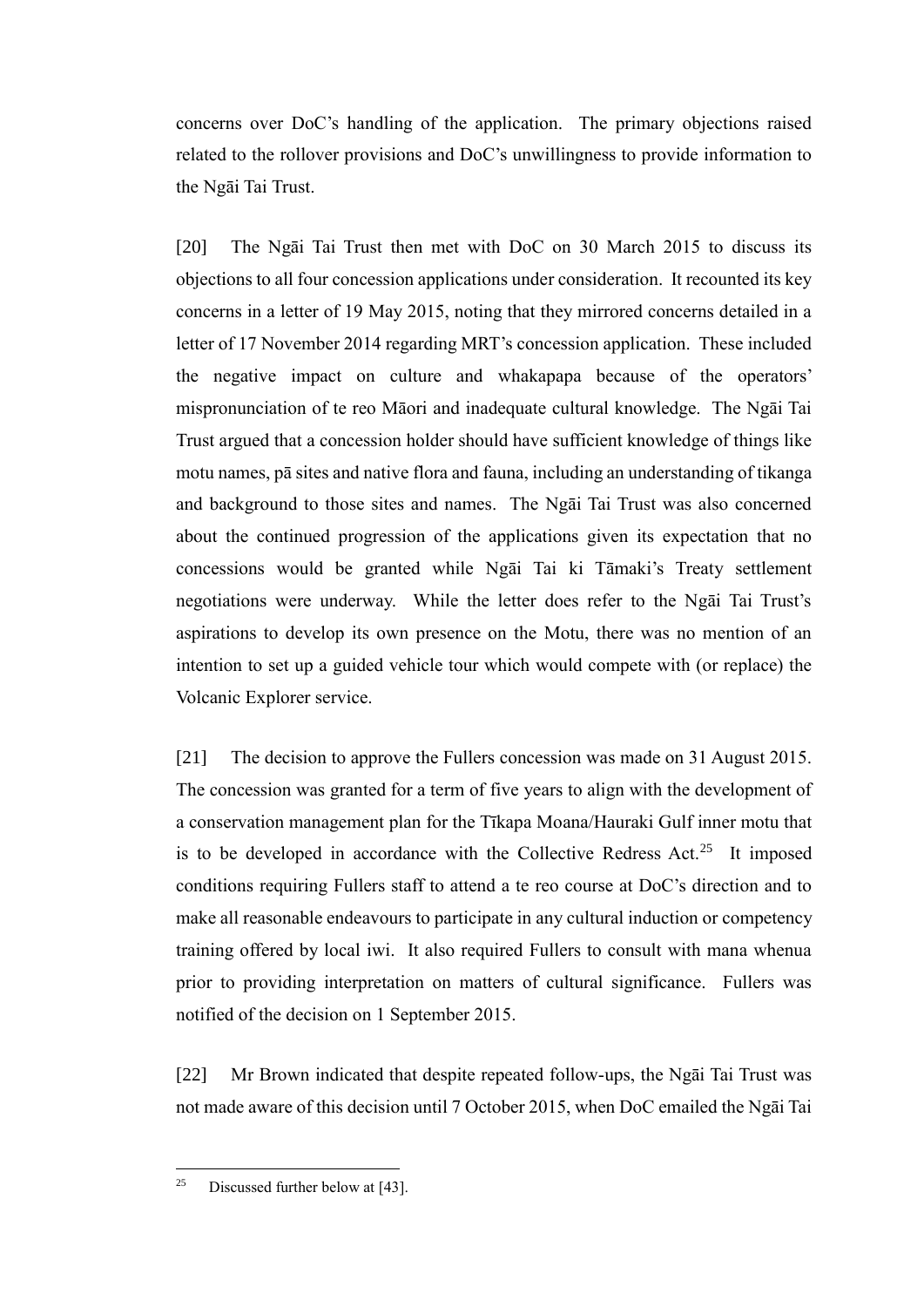concerns over DoC's handling of the application. The primary objections raised related to the rollover provisions and DoC's unwillingness to provide information to the Ngāi Tai Trust.

[20] The Ngāi Tai Trust then met with DoC on 30 March 2015 to discuss its objections to all four concession applications under consideration. It recounted its key concerns in a letter of 19 May 2015, noting that they mirrored concerns detailed in a letter of 17 November 2014 regarding MRT's concession application. These included the negative impact on culture and whakapapa because of the operators' mispronunciation of te reo Māori and inadequate cultural knowledge. The Ngāi Tai Trust argued that a concession holder should have sufficient knowledge of things like motu names, pā sites and native flora and fauna, including an understanding of tikanga and background to those sites and names. The Ngāi Tai Trust was also concerned about the continued progression of the applications given its expectation that no concessions would be granted while Ngāi Tai ki Tāmaki's Treaty settlement negotiations were underway. While the letter does refer to the Ngāi Tai Trust's aspirations to develop its own presence on the Motu, there was no mention of an intention to set up a guided vehicle tour which would compete with (or replace) the Volcanic Explorer service.

[21] The decision to approve the Fullers concession was made on 31 August 2015. The concession was granted for a term of five years to align with the development of a conservation management plan for the Tīkapa Moana/Hauraki Gulf inner motu that is to be developed in accordance with the Collective Redress Act.<sup>25</sup> It imposed conditions requiring Fullers staff to attend a te reo course at DoC's direction and to make all reasonable endeavours to participate in any cultural induction or competency training offered by local iwi. It also required Fullers to consult with mana whenua prior to providing interpretation on matters of cultural significance. Fullers was notified of the decision on 1 September 2015.

[22] Mr Brown indicated that despite repeated follow-ups, the Ngāi Tai Trust was not made aware of this decision until 7 October 2015, when DoC emailed the Ngāi Tai

<sup>&</sup>lt;sup>25</sup> Discussed further below at [\[43\].](#page-15-0)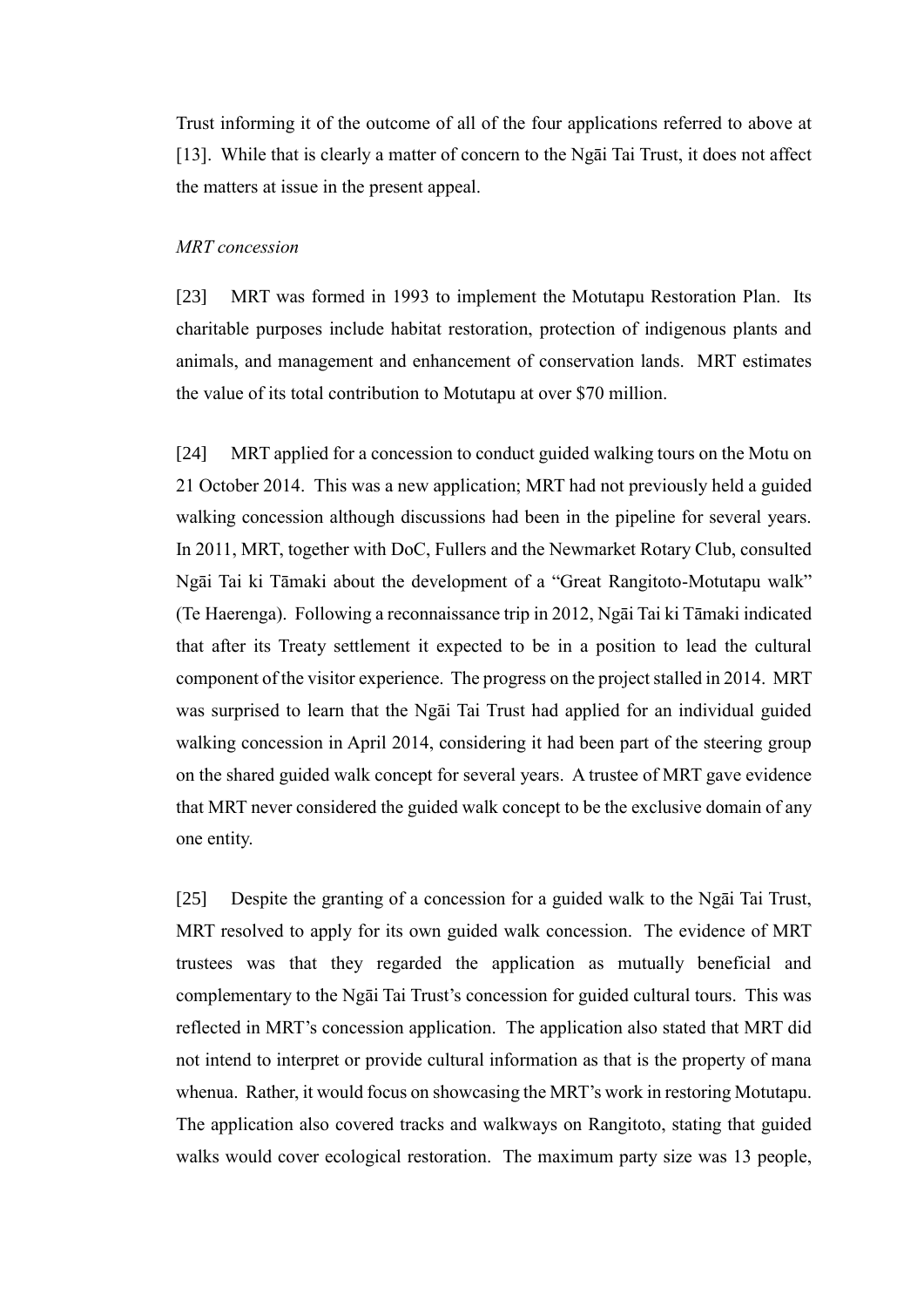Trust informing it of the outcome of all of the four applications referred to above at [\[13\].](#page-6-1) While that is clearly a matter of concern to the Ngāi Tai Trust, it does not affect the matters at issue in the present appeal.

## *MRT concession*

<span id="page-9-0"></span>[23] MRT was formed in 1993 to implement the Motutapu Restoration Plan. Its charitable purposes include habitat restoration, protection of indigenous plants and animals, and management and enhancement of conservation lands. MRT estimates the value of its total contribution to Motutapu at over \$70 million.

<span id="page-9-1"></span>[24] MRT applied for a concession to conduct guided walking tours on the Motu on 21 October 2014. This was a new application; MRT had not previously held a guided walking concession although discussions had been in the pipeline for several years. In 2011, MRT, together with DoC, Fullers and the Newmarket Rotary Club, consulted Ngāi Tai ki Tāmaki about the development of a "Great Rangitoto-Motutapu walk" (Te Haerenga). Following a reconnaissance trip in 2012, Ngāi Tai ki Tāmaki indicated that after its Treaty settlement it expected to be in a position to lead the cultural component of the visitor experience. The progress on the project stalled in 2014. MRT was surprised to learn that the Ngāi Tai Trust had applied for an individual guided walking concession in April 2014, considering it had been part of the steering group on the shared guided walk concept for several years. A trustee of MRT gave evidence that MRT never considered the guided walk concept to be the exclusive domain of any one entity.

[25] Despite the granting of a concession for a guided walk to the Ngāi Tai Trust, MRT resolved to apply for its own guided walk concession. The evidence of MRT trustees was that they regarded the application as mutually beneficial and complementary to the Ngāi Tai Trust's concession for guided cultural tours. This was reflected in MRT's concession application. The application also stated that MRT did not intend to interpret or provide cultural information as that is the property of mana whenua. Rather, it would focus on showcasing the MRT's work in restoring Motutapu. The application also covered tracks and walkways on Rangitoto, stating that guided walks would cover ecological restoration. The maximum party size was 13 people,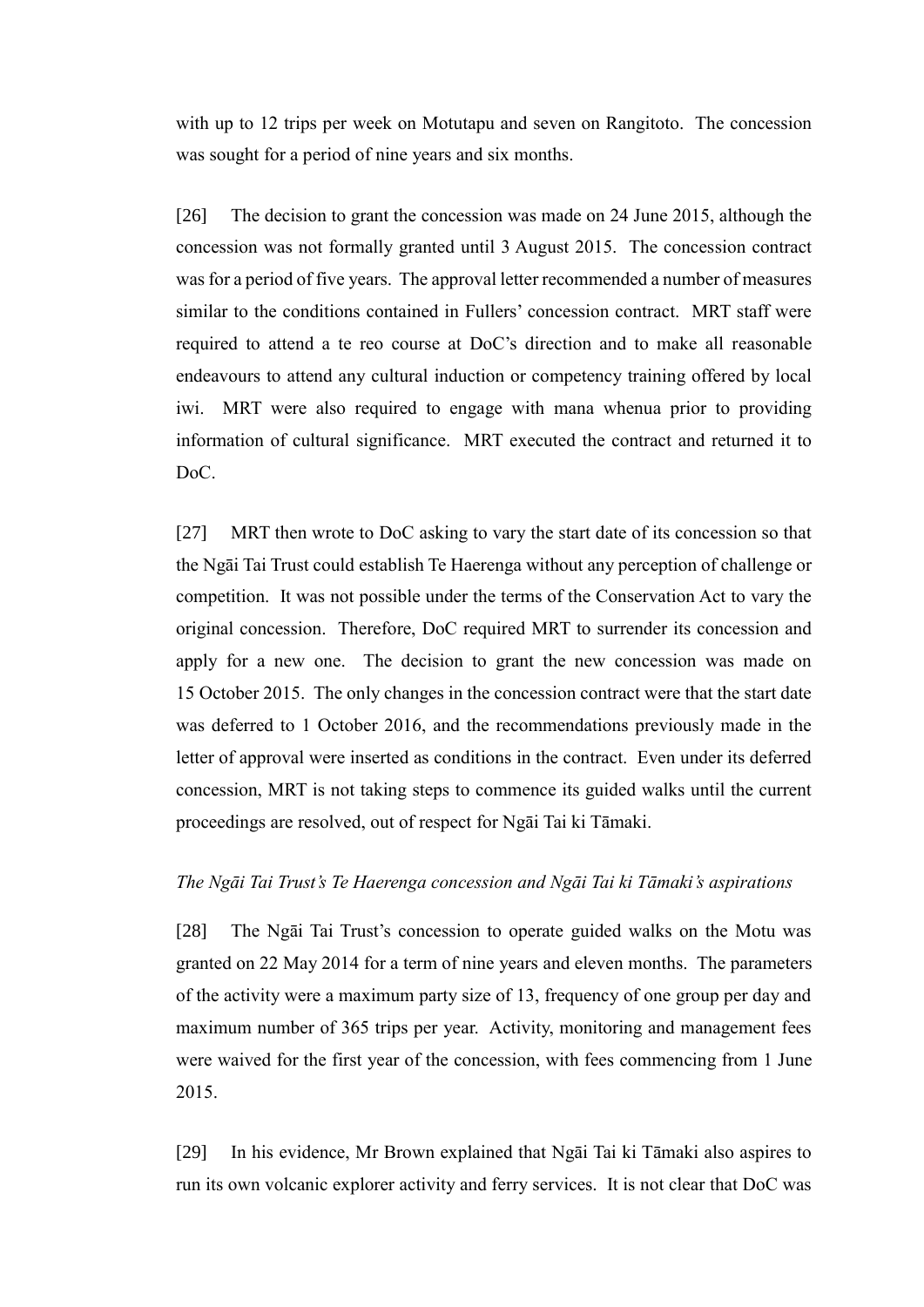with up to 12 trips per week on Motutapu and seven on Rangitoto. The concession was sought for a period of nine years and six months.

[26] The decision to grant the concession was made on 24 June 2015, although the concession was not formally granted until 3 August 2015. The concession contract was for a period of five years. The approval letter recommended a number of measures similar to the conditions contained in Fullers' concession contract. MRT staff were required to attend a te reo course at DoC's direction and to make all reasonable endeavours to attend any cultural induction or competency training offered by local iwi. MRT were also required to engage with mana whenua prior to providing information of cultural significance. MRT executed the contract and returned it to DoC.

[27] MRT then wrote to DoC asking to vary the start date of its concession so that the Ngāi Tai Trust could establish Te Haerenga without any perception of challenge or competition. It was not possible under the terms of the Conservation Act to vary the original concession. Therefore, DoC required MRT to surrender its concession and apply for a new one. The decision to grant the new concession was made on 15 October 2015. The only changes in the concession contract were that the start date was deferred to 1 October 2016, and the recommendations previously made in the letter of approval were inserted as conditions in the contract. Even under its deferred concession, MRT is not taking steps to commence its guided walks until the current proceedings are resolved, out of respect for Ngāi Tai ki Tāmaki.

### *The Ngāi Tai Trust's Te Haerenga concession and Ngāi Tai ki Tāmaki's aspirations*

<span id="page-10-0"></span>[28] The Ngāi Tai Trust's concession to operate guided walks on the Motu was granted on 22 May 2014 for a term of nine years and eleven months. The parameters of the activity were a maximum party size of 13, frequency of one group per day and maximum number of 365 trips per year. Activity, monitoring and management fees were waived for the first year of the concession, with fees commencing from 1 June 2015.

<span id="page-10-1"></span>[29] In his evidence, Mr Brown explained that Ngāi Tai ki Tāmaki also aspires to run its own volcanic explorer activity and ferry services. It is not clear that DoC was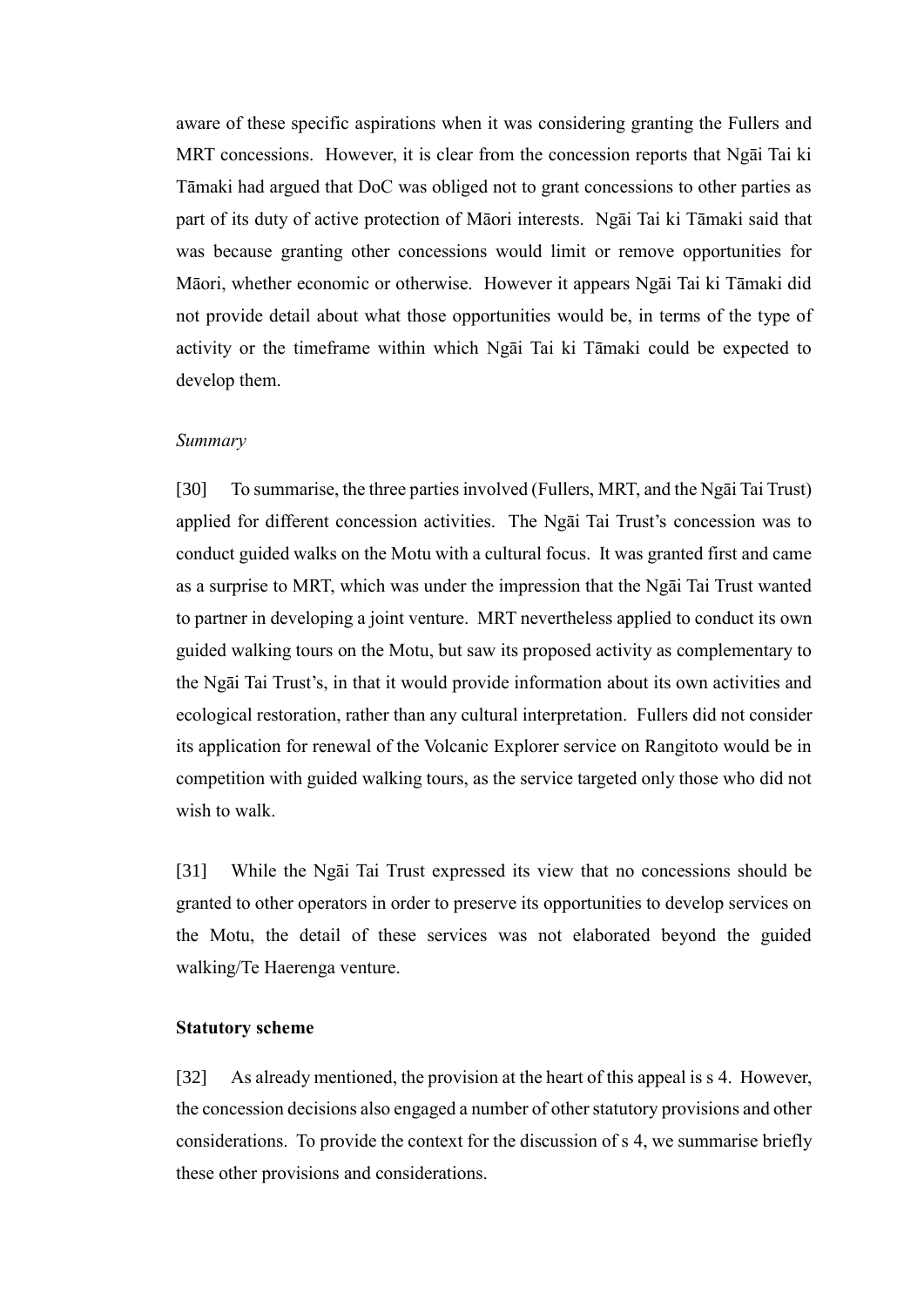aware of these specific aspirations when it was considering granting the Fullers and MRT concessions. However, it is clear from the concession reports that Ngāi Tai ki Tāmaki had argued that DoC was obliged not to grant concessions to other parties as part of its duty of active protection of Māori interests. Ngāi Tai ki Tāmaki said that was because granting other concessions would limit or remove opportunities for Māori, whether economic or otherwise. However it appears Ngāi Tai ki Tāmaki did not provide detail about what those opportunities would be, in terms of the type of activity or the timeframe within which Ngāi Tai ki Tāmaki could be expected to develop them.

#### *Summary*

<span id="page-11-0"></span>[30] To summarise, the three parties involved (Fullers, MRT, and the Ngāi Tai Trust) applied for different concession activities. The Ngāi Tai Trust's concession was to conduct guided walks on the Motu with a cultural focus. It was granted first and came as a surprise to MRT, which was under the impression that the Ngāi Tai Trust wanted to partner in developing a joint venture. MRT nevertheless applied to conduct its own guided walking tours on the Motu, but saw its proposed activity as complementary to the Ngāi Tai Trust's, in that it would provide information about its own activities and ecological restoration, rather than any cultural interpretation. Fullers did not consider its application for renewal of the Volcanic Explorer service on Rangitoto would be in competition with guided walking tours, as the service targeted only those who did not wish to walk

[31] While the Ngāi Tai Trust expressed its view that no concessions should be granted to other operators in order to preserve its opportunities to develop services on the Motu, the detail of these services was not elaborated beyond the guided walking/Te Haerenga venture.

### **Statutory scheme**

<span id="page-11-1"></span>[32] As already mentioned, the provision at the heart of this appeal is s 4. However, the concession decisions also engaged a number of other statutory provisions and other considerations. To provide the context for the discussion of s 4, we summarise briefly these other provisions and considerations.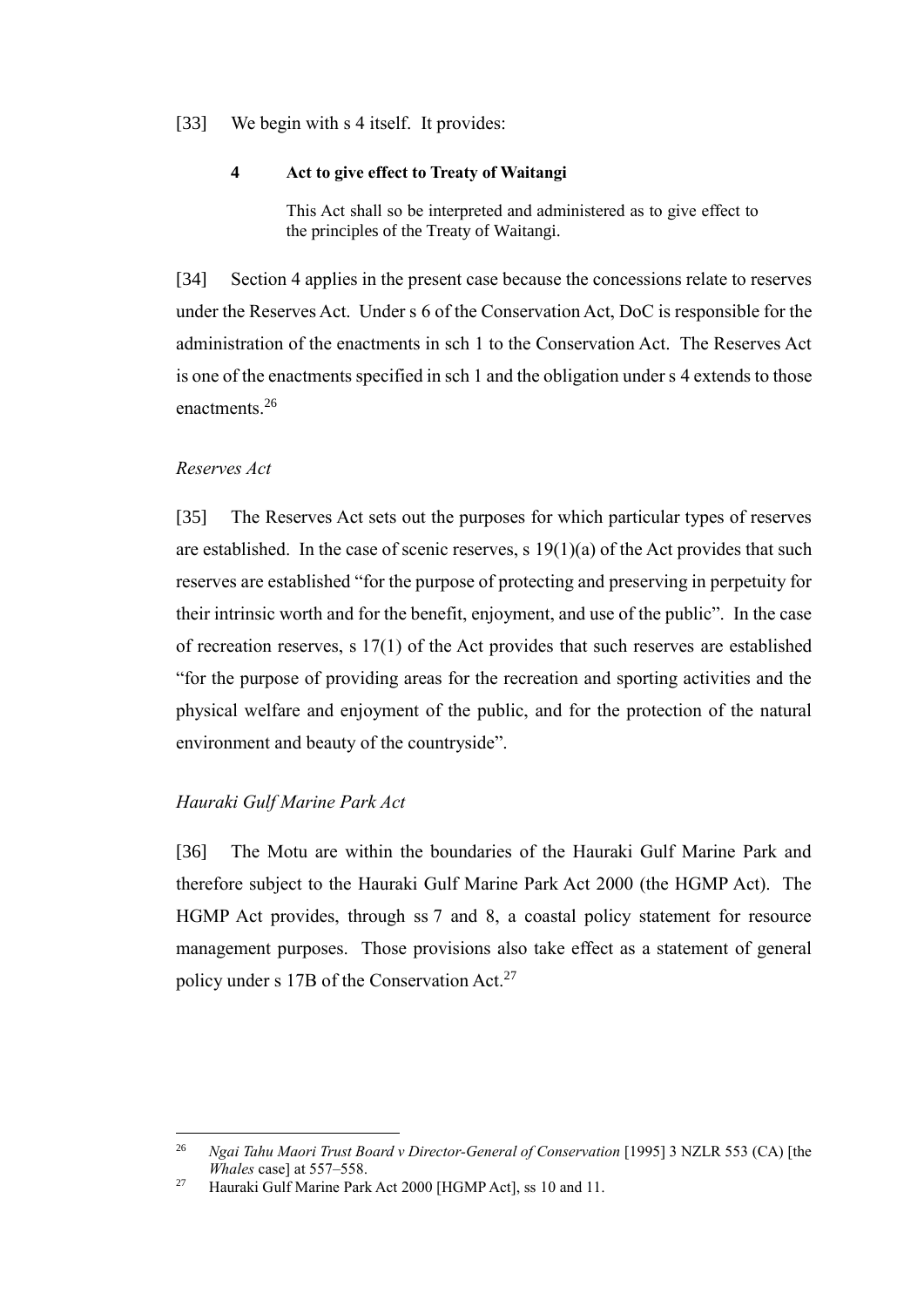## [33] We begin with s 4 itself. It provides:

### **4 Act to give effect to Treaty of Waitangi**

This Act shall so be interpreted and administered as to give effect to the principles of the Treaty of Waitangi.

[34] Section 4 applies in the present case because the concessions relate to reserves under the Reserves Act. Under s 6 of the Conservation Act, DoC is responsible for the administration of the enactments in sch 1 to the Conservation Act. The Reserves Act is one of the enactments specified in sch 1 and the obligation under s 4 extends to those enactments<sup>26</sup>

## <span id="page-12-2"></span>*Reserves Act*

 $\overline{a}$ 

<span id="page-12-0"></span>[35] The Reserves Act sets out the purposes for which particular types of reserves are established. In the case of scenic reserves, s  $19(1)(a)$  of the Act provides that such reserves are established "for the purpose of protecting and preserving in perpetuity for their intrinsic worth and for the benefit, enjoyment, and use of the public". In the case of recreation reserves, s 17(1) of the Act provides that such reserves are established "for the purpose of providing areas for the recreation and sporting activities and the physical welfare and enjoyment of the public, and for the protection of the natural environment and beauty of the countryside".

## *Hauraki Gulf Marine Park Act*

<span id="page-12-1"></span>[36] The Motu are within the boundaries of the Hauraki Gulf Marine Park and therefore subject to the Hauraki Gulf Marine Park Act 2000 (the HGMP Act). The HGMP Act provides, through ss 7 and 8, a coastal policy statement for resource management purposes. Those provisions also take effect as a statement of general policy under s 17B of the Conservation Act.<sup>27</sup>

<sup>26</sup> *Ngai Tahu Maori Trust Board v Director-General of Conservation* [1995] 3 NZLR 553 (CA) [the *Whales* case] at 557–558.

<sup>&</sup>lt;sup>27</sup> Hauraki Gulf Marine Park Act 2000 [HGMP Act], ss 10 and 11.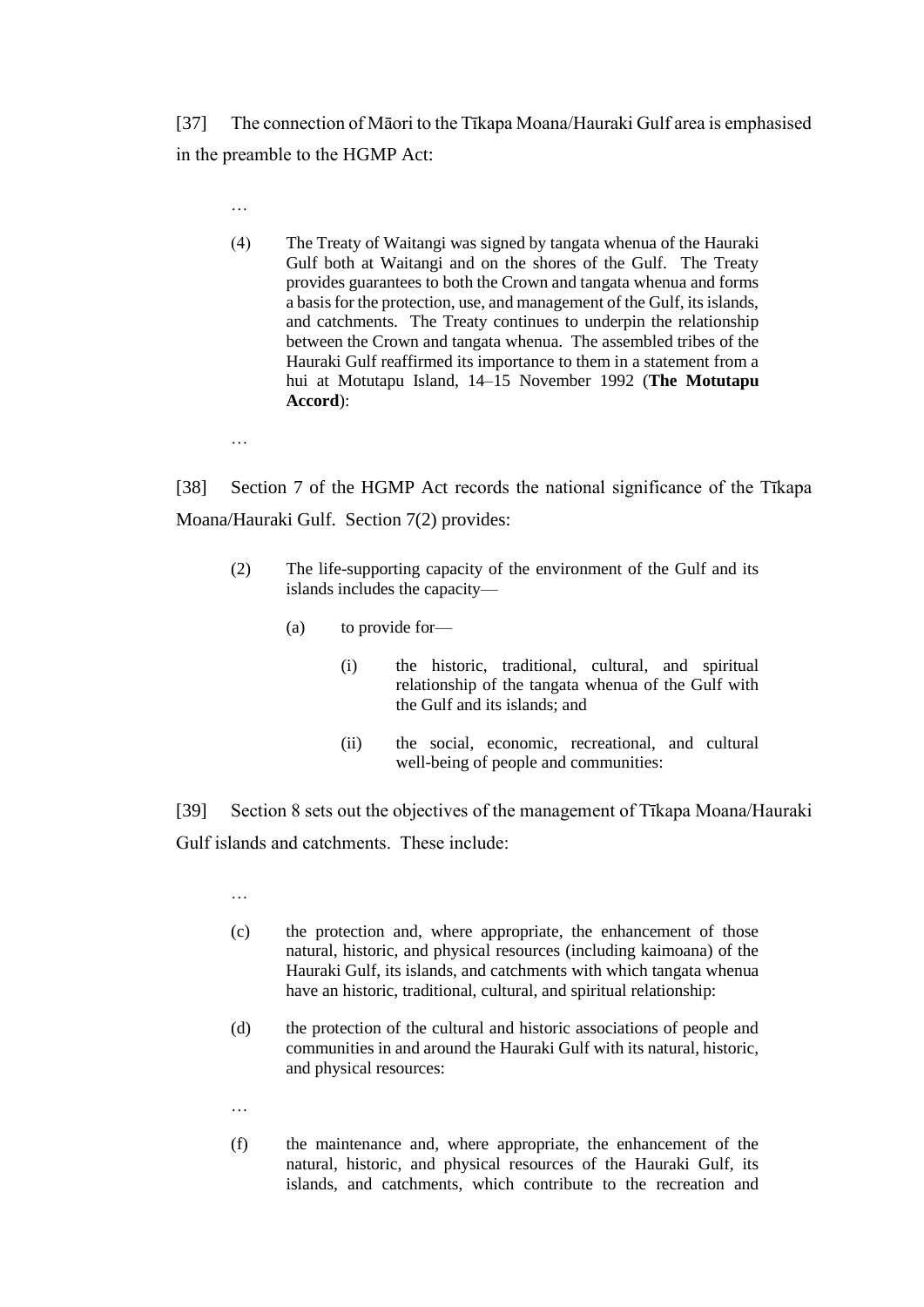[37] The connection of Māori to the Tīkapa Moana/Hauraki Gulf area is emphasised in the preamble to the HGMP Act:

(4) The Treaty of Waitangi was signed by tangata whenua of the Hauraki Gulf both at Waitangi and on the shores of the Gulf. The Treaty provides guarantees to both the Crown and tangata whenua and forms a basis for the protection, use, and management of the Gulf, its islands, and catchments. The Treaty continues to underpin the relationship between the Crown and tangata whenua. The assembled tribes of the Hauraki Gulf reaffirmed its importance to them in a statement from a hui at Motutapu Island, 14–15 November 1992 (**The Motutapu Accord**):

[38] Section 7 of the HGMP Act records the national significance of the Tīkapa Moana/Hauraki Gulf. Section 7(2) provides:

- (2) The life-supporting capacity of the environment of the Gulf and its islands includes the capacity—
	- (a) to provide for—
		- (i) the historic, traditional, cultural, and spiritual relationship of the tangata whenua of the Gulf with the Gulf and its islands; and
		- (ii) the social, economic, recreational, and cultural well-being of people and communities:

[39] Section 8 sets out the objectives of the management of Tīkapa Moana/Hauraki Gulf islands and catchments. These include:

- (c) the protection and, where appropriate, the enhancement of those natural, historic, and physical resources (including kaimoana) of the Hauraki Gulf, its islands, and catchments with which tangata whenua have an historic, traditional, cultural, and spiritual relationship:
- (d) the protection of the cultural and historic associations of people and communities in and around the Hauraki Gulf with its natural, historic, and physical resources:
- …

…

…

…

(f) the maintenance and, where appropriate, the enhancement of the natural, historic, and physical resources of the Hauraki Gulf, its islands, and catchments, which contribute to the recreation and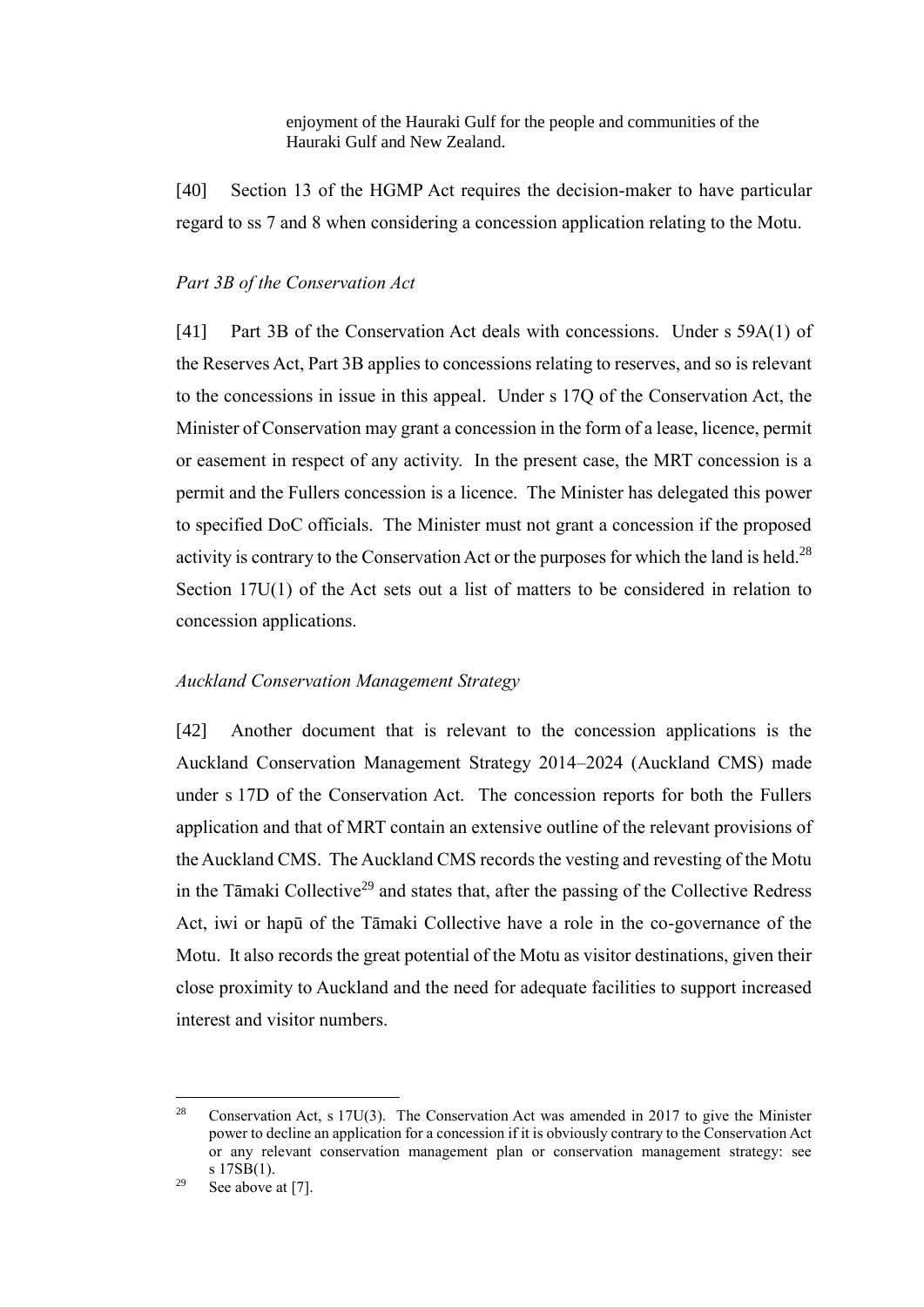enjoyment of the Hauraki Gulf for the people and communities of the Hauraki Gulf and New Zealand.

[40] Section 13 of the HGMP Act requires the decision-maker to have particular regard to ss 7 and 8 when considering a concession application relating to the Motu.

#### *Part 3B of the Conservation Act*

<span id="page-14-0"></span>[41] Part 3B of the Conservation Act deals with concessions. Under s 59A(1) of the Reserves Act, Part 3B applies to concessions relating to reserves, and so is relevant to the concessions in issue in this appeal. Under s 17Q of the Conservation Act, the Minister of Conservation may grant a concession in the form of a lease, licence, permit or easement in respect of any activity. In the present case, the MRT concession is a permit and the Fullers concession is a licence. The Minister has delegated this power to specified DoC officials. The Minister must not grant a concession if the proposed activity is contrary to the Conservation Act or the purposes for which the land is held.<sup>28</sup> Section 17U(1) of the Act sets out a list of matters to be considered in relation to concession applications.

#### *Auckland Conservation Management Strategy*

<span id="page-14-1"></span>[42] Another document that is relevant to the concession applications is the Auckland Conservation Management Strategy 2014–2024 (Auckland CMS) made under s 17D of the Conservation Act. The concession reports for both the Fullers application and that of MRT contain an extensive outline of the relevant provisions of the Auckland CMS. The Auckland CMS records the vesting and revesting of the Motu in the Tāmaki Collective<sup>29</sup> and states that, after the passing of the Collective Redress Act, iwi or hapū of the Tāmaki Collective have a role in the co-governance of the Motu. It also records the great potential of the Motu as visitor destinations, given their close proximity to Auckland and the need for adequate facilities to support increased interest and visitor numbers.

<sup>28</sup> Conservation Act, s  $17U(3)$ . The Conservation Act was amended in 2017 to give the Minister power to decline an application for a concession if it is obviously contrary to the Conservation Act or any relevant conservation management plan or conservation management strategy: see s 17SB(1).

<sup>&</sup>lt;sup>29</sup> See above a[t \[7\].](#page-4-1)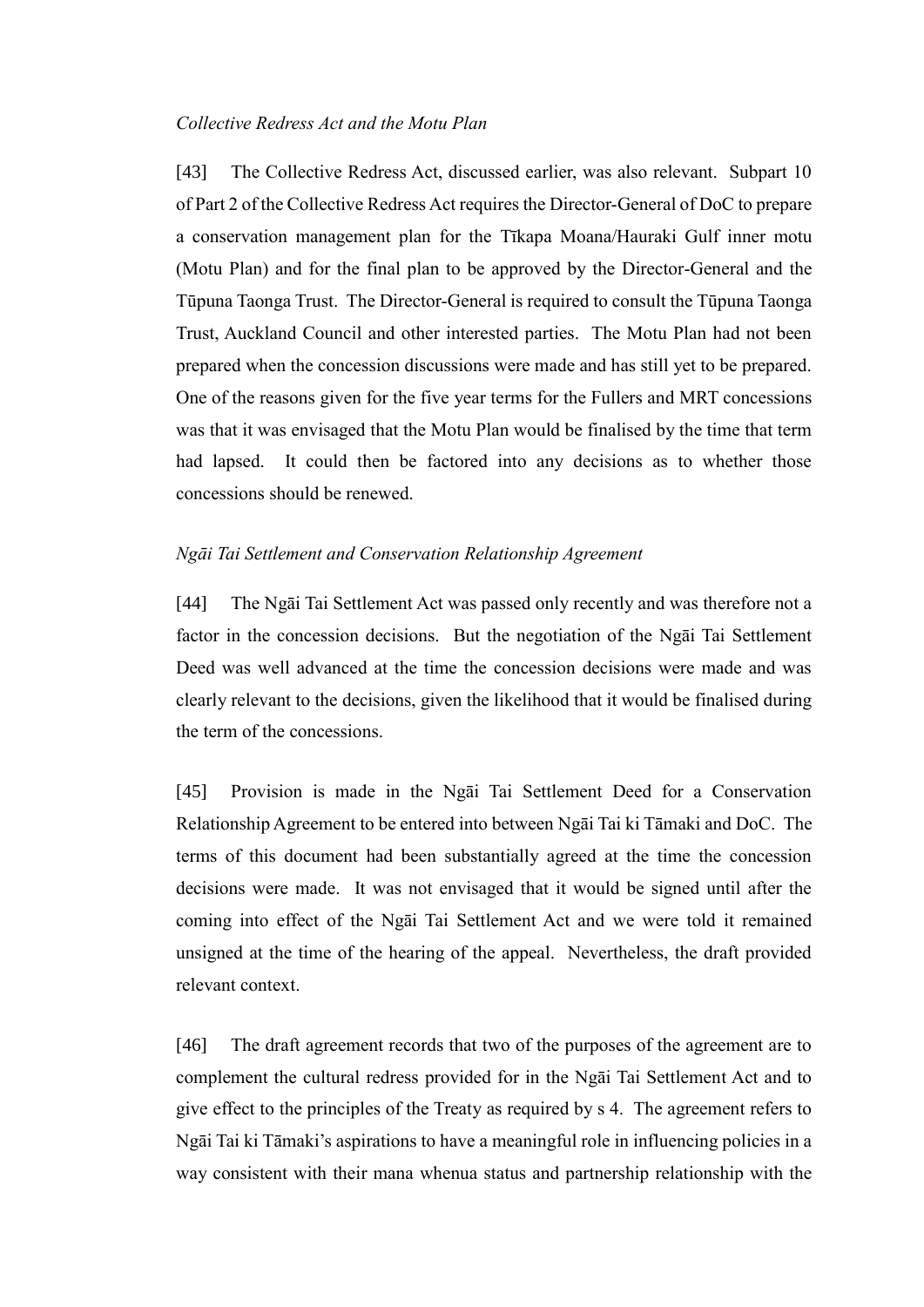### *Collective Redress Act and the Motu Plan*

<span id="page-15-0"></span>[43] The Collective Redress Act, discussed earlier, was also relevant. Subpart 10 of Part 2 of the Collective Redress Act requires the Director-General of DoC to prepare a conservation management plan for the Tīkapa Moana/Hauraki Gulf inner motu (Motu Plan) and for the final plan to be approved by the Director-General and the Tūpuna Taonga Trust. The Director-General is required to consult the Tūpuna Taonga Trust, Auckland Council and other interested parties. The Motu Plan had not been prepared when the concession discussions were made and has still yet to be prepared. One of the reasons given for the five year terms for the Fullers and MRT concessions was that it was envisaged that the Motu Plan would be finalised by the time that term had lapsed. It could then be factored into any decisions as to whether those concessions should be renewed.

#### *Ngāi Tai Settlement and Conservation Relationship Agreement*

<span id="page-15-1"></span>[44] The Ngāi Tai Settlement Act was passed only recently and was therefore not a factor in the concession decisions. But the negotiation of the Ngāi Tai Settlement Deed was well advanced at the time the concession decisions were made and was clearly relevant to the decisions, given the likelihood that it would be finalised during the term of the concessions.

<span id="page-15-2"></span>[45] Provision is made in the Ngāi Tai Settlement Deed for a Conservation Relationship Agreement to be entered into between Ngāi Tai ki Tāmaki and DoC. The terms of this document had been substantially agreed at the time the concession decisions were made. It was not envisaged that it would be signed until after the coming into effect of the Ngāi Tai Settlement Act and we were told it remained unsigned at the time of the hearing of the appeal. Nevertheless, the draft provided relevant context.

<span id="page-15-3"></span>[46] The draft agreement records that two of the purposes of the agreement are to complement the cultural redress provided for in the Ngāi Tai Settlement Act and to give effect to the principles of the Treaty as required by s 4. The agreement refers to Ngāi Tai ki Tāmaki's aspirations to have a meaningful role in influencing policies in a way consistent with their mana whenua status and partnership relationship with the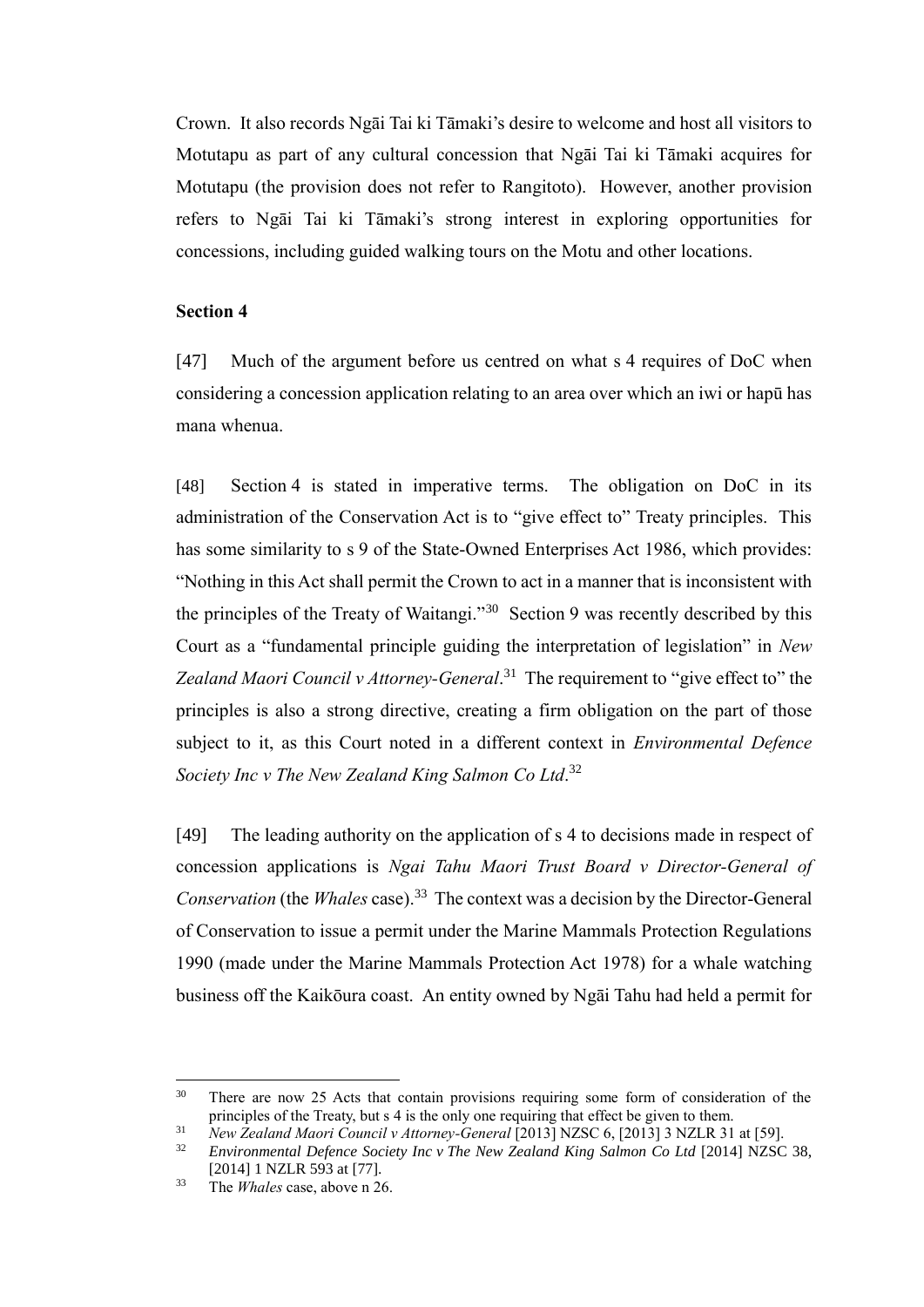Crown. It also records Ngāi Tai ki Tāmaki's desire to welcome and host all visitors to Motutapu as part of any cultural concession that Ngāi Tai ki Tāmaki acquires for Motutapu (the provision does not refer to Rangitoto). However, another provision refers to Ngāi Tai ki Tāmaki's strong interest in exploring opportunities for concessions, including guided walking tours on the Motu and other locations.

#### **Section 4**

<span id="page-16-0"></span>[47] Much of the argument before us centred on what s 4 requires of DoC when considering a concession application relating to an area over which an iwi or hapū has mana whenua.

[48] Section 4 is stated in imperative terms. The obligation on DoC in its administration of the Conservation Act is to "give effect to" Treaty principles. This has some similarity to s 9 of the State-Owned Enterprises Act 1986, which provides: "Nothing in this Act shall permit the Crown to act in a manner that is inconsistent with the principles of the Treaty of Waitangi."<sup>30</sup> Section 9 was recently described by this Court as a "fundamental principle guiding the interpretation of legislation" in *New*  Zealand Maori Council v Attorney-General.<sup>31</sup> The requirement to "give effect to" the principles is also a strong directive, creating a firm obligation on the part of those subject to it, as this Court noted in a different context in *Environmental Defence Society Inc v The New Zealand King Salmon Co Ltd*. 32

[49] The leading authority on the application of s 4 to decisions made in respect of concession applications is *Ngai Tahu Maori Trust Board v Director-General of*  Conservation (the *Whales* case).<sup>33</sup> The context was a decision by the Director-General of Conservation to issue a permit under the Marine Mammals Protection Regulations 1990 (made under the Marine Mammals Protection Act 1978) for a whale watching business off the Kaikōura coast. An entity owned by Ngāi Tahu had held a permit for

 $30$ There are now 25 Acts that contain provisions requiring some form of consideration of the principles of the Treaty, but s 4 is the only one requiring that effect be given to them.

<sup>31</sup> *New Zealand Maori Council v Attorney-General* [2013] NZSC 6, [2013] 3 NZLR 31 at [59].

<sup>32</sup> *Environmental Defence Society Inc v The New Zealand King Salmon Co Ltd* [2014] NZSC 38, [2014] 1 NZLR 593 at [77].

<sup>33</sup> The *Whales* case, above [n 26.](#page-12-2)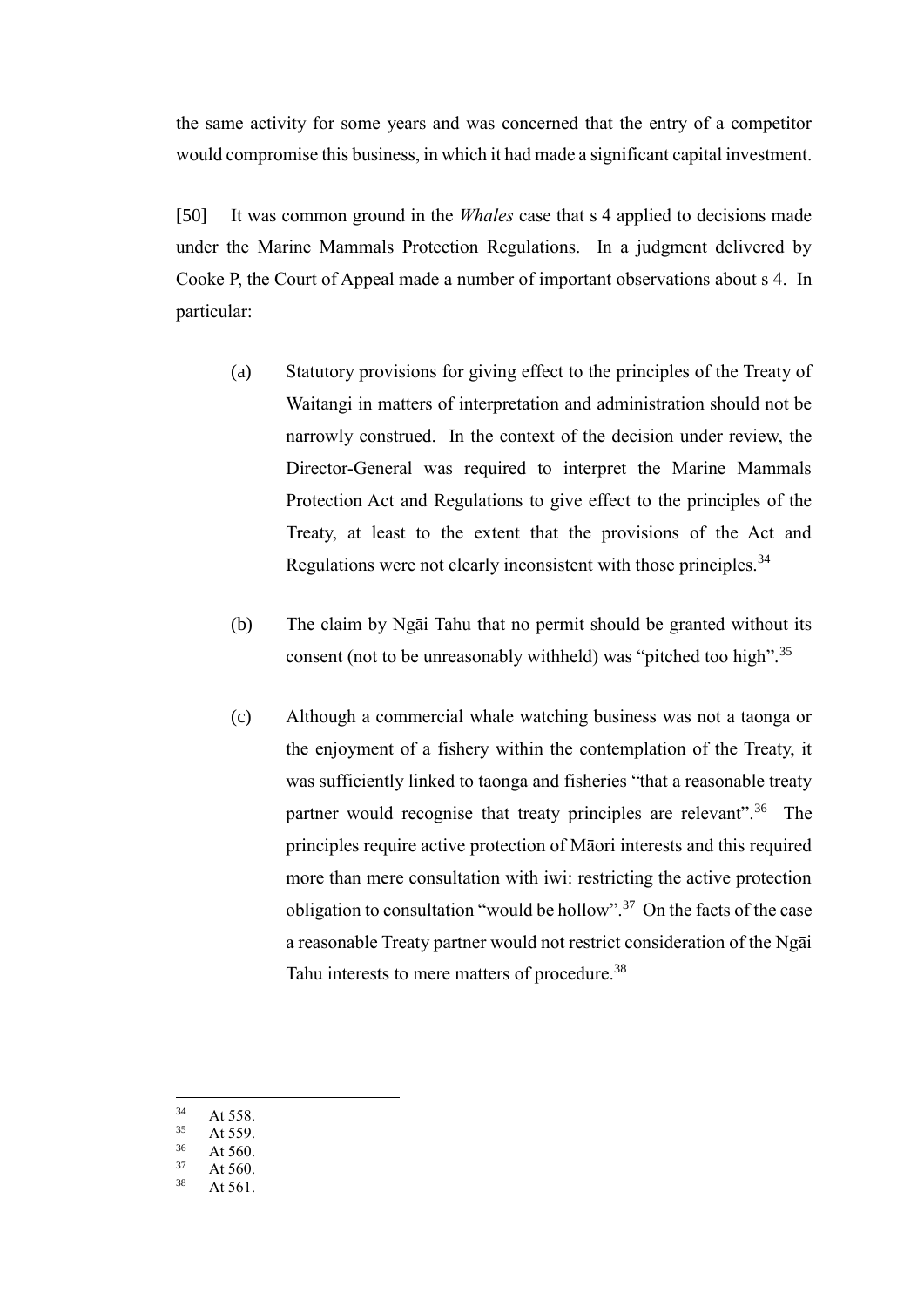the same activity for some years and was concerned that the entry of a competitor would compromise this business, in which it had made a significant capital investment.

[50] It was common ground in the *Whales* case that s 4 applied to decisions made under the Marine Mammals Protection Regulations. In a judgment delivered by Cooke P, the Court of Appeal made a number of important observations about s 4. In particular:

- (a) Statutory provisions for giving effect to the principles of the Treaty of Waitangi in matters of interpretation and administration should not be narrowly construed. In the context of the decision under review, the Director-General was required to interpret the Marine Mammals Protection Act and Regulations to give effect to the principles of the Treaty, at least to the extent that the provisions of the Act and Regulations were not clearly inconsistent with those principles.<sup>34</sup>
- (b) The claim by Ngāi Tahu that no permit should be granted without its consent (not to be unreasonably withheld) was "pitched too high".<sup>35</sup>
- (c) Although a commercial whale watching business was not a taonga or the enjoyment of a fishery within the contemplation of the Treaty, it was sufficiently linked to taonga and fisheries "that a reasonable treaty partner would recognise that treaty principles are relevant".<sup>36</sup> The principles require active protection of Māori interests and this required more than mere consultation with iwi: restricting the active protection obligation to consultation "would be hollow".<sup>37</sup> On the facts of the case a reasonable Treaty partner would not restrict consideration of the Ngāi Tahu interests to mere matters of procedure.<sup>38</sup>
- $34$  $34$  At 558.<br> $35$  At 550.
- At 559.
- $36$  At 560.
- At  $560.$
- $38$  At 561.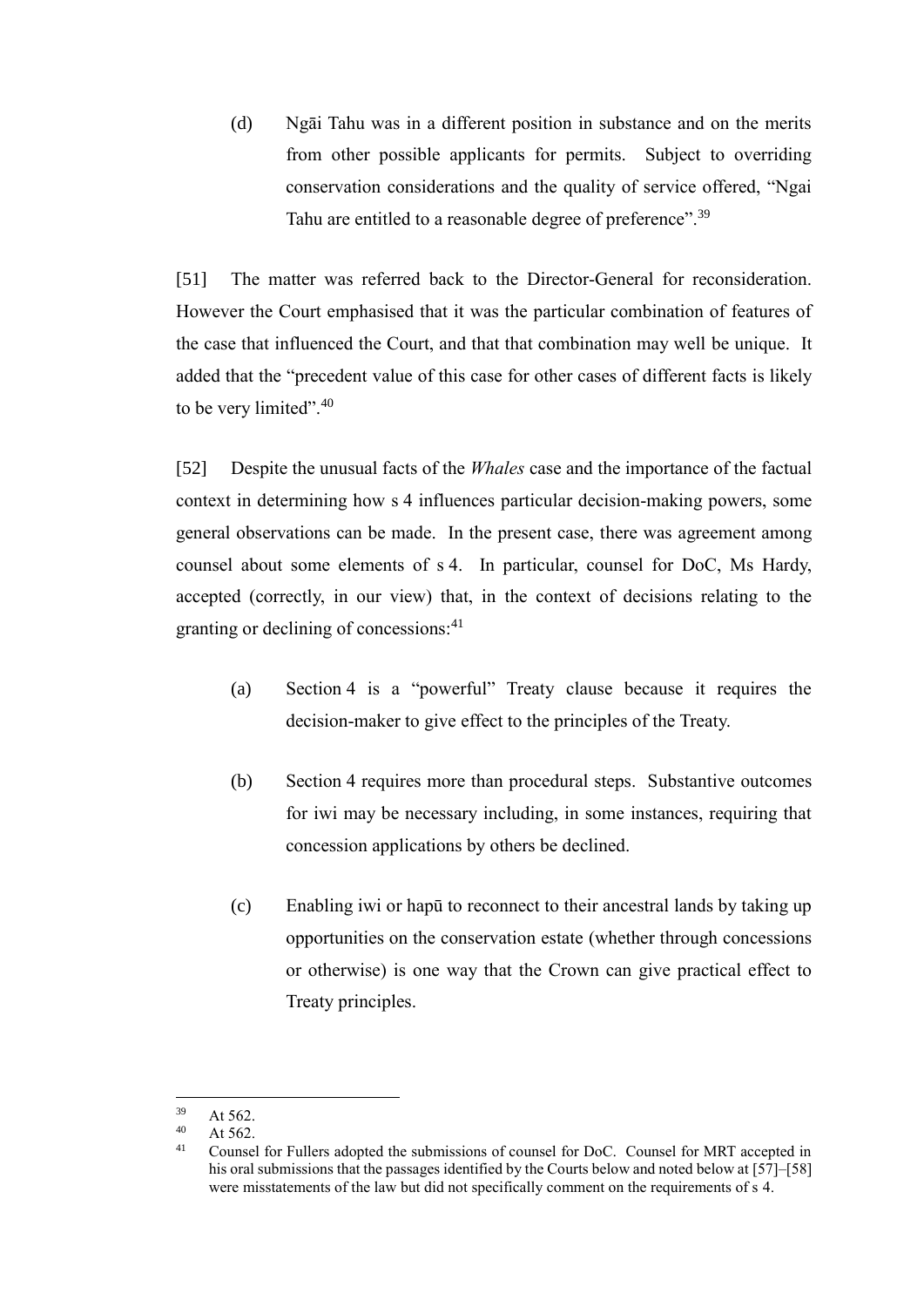(d) Ngāi Tahu was in a different position in substance and on the merits from other possible applicants for permits. Subject to overriding conservation considerations and the quality of service offered, "Ngai Tahu are entitled to a reasonable degree of preference".<sup>39</sup>

[51] The matter was referred back to the Director-General for reconsideration. However the Court emphasised that it was the particular combination of features of the case that influenced the Court, and that that combination may well be unique. It added that the "precedent value of this case for other cases of different facts is likely to be very limited". $40$ 

[52] Despite the unusual facts of the *Whales* case and the importance of the factual context in determining how s 4 influences particular decision-making powers, some general observations can be made. In the present case, there was agreement among counsel about some elements of s 4. In particular, counsel for DoC, Ms Hardy, accepted (correctly, in our view) that, in the context of decisions relating to the granting or declining of concessions:<sup>41</sup>

- (a) Section 4 is a "powerful" Treaty clause because it requires the decision-maker to give effect to the principles of the Treaty.
- (b) Section 4 requires more than procedural steps. Substantive outcomes for iwi may be necessary including, in some instances, requiring that concession applications by others be declined.
- (c) Enabling iwi or hapū to reconnect to their ancestral lands by taking up opportunities on the conservation estate (whether through concessions or otherwise) is one way that the Crown can give practical effect to Treaty principles.

<sup>39</sup>  $40$  At 562.

 $40$  At 562.

<sup>41</sup> Counsel for Fullers adopted the submissions of counsel for DoC. Counsel for MRT accepted in his oral submissions that the passages identified by the Courts below and noted below at [\[57\]](#page-20-0)[–\[58\]](#page-20-1) were misstatements of the law but did not specifically comment on the requirements of s 4.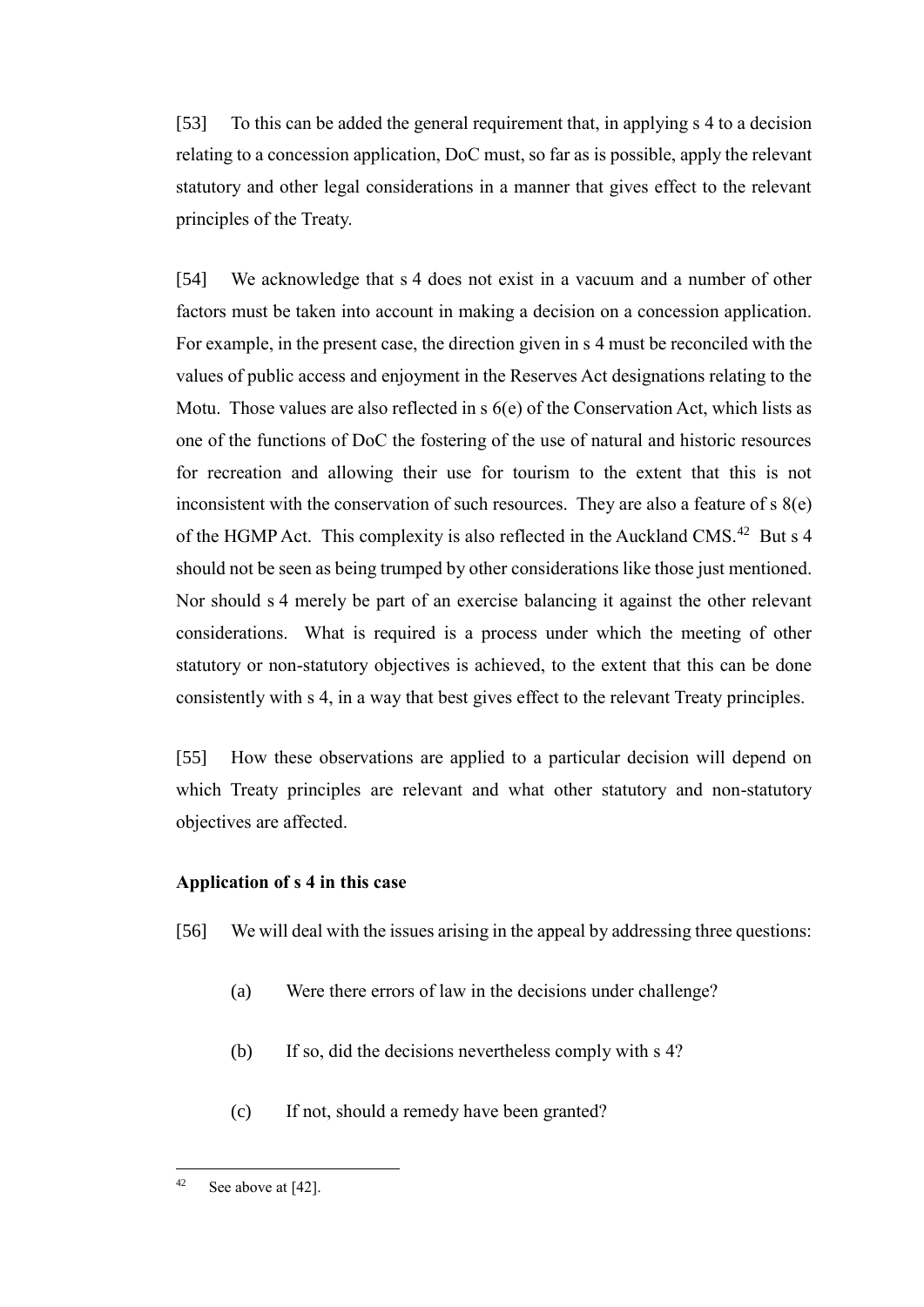[53] To this can be added the general requirement that, in applying s 4 to a decision relating to a concession application, DoC must, so far as is possible, apply the relevant statutory and other legal considerations in a manner that gives effect to the relevant principles of the Treaty.

<span id="page-19-1"></span>[54] We acknowledge that s 4 does not exist in a vacuum and a number of other factors must be taken into account in making a decision on a concession application. For example, in the present case, the direction given in s 4 must be reconciled with the values of public access and enjoyment in the Reserves Act designations relating to the Motu. Those values are also reflected in s 6(e) of the Conservation Act, which lists as one of the functions of DoC the fostering of the use of natural and historic resources for recreation and allowing their use for tourism to the extent that this is not inconsistent with the conservation of such resources. They are also a feature of s 8(e) of the HGMP Act. This complexity is also reflected in the Auckland CMS.<sup>42</sup> But s 4 should not be seen as being trumped by other considerations like those just mentioned. Nor should s 4 merely be part of an exercise balancing it against the other relevant considerations. What is required is a process under which the meeting of other statutory or non-statutory objectives is achieved, to the extent that this can be done consistently with s 4, in a way that best gives effect to the relevant Treaty principles.

[55] How these observations are applied to a particular decision will depend on which Treaty principles are relevant and what other statutory and non-statutory objectives are affected.

## **Application of s 4 in this case**

- <span id="page-19-0"></span>[56] We will deal with the issues arising in the appeal by addressing three questions:
	- (a) Were there errors of law in the decisions under challenge?
	- (b) If so, did the decisions nevertheless comply with s 4?
	- (c) If not, should a remedy have been granted?

 $42$  See above a[t \[42\].](#page-14-1)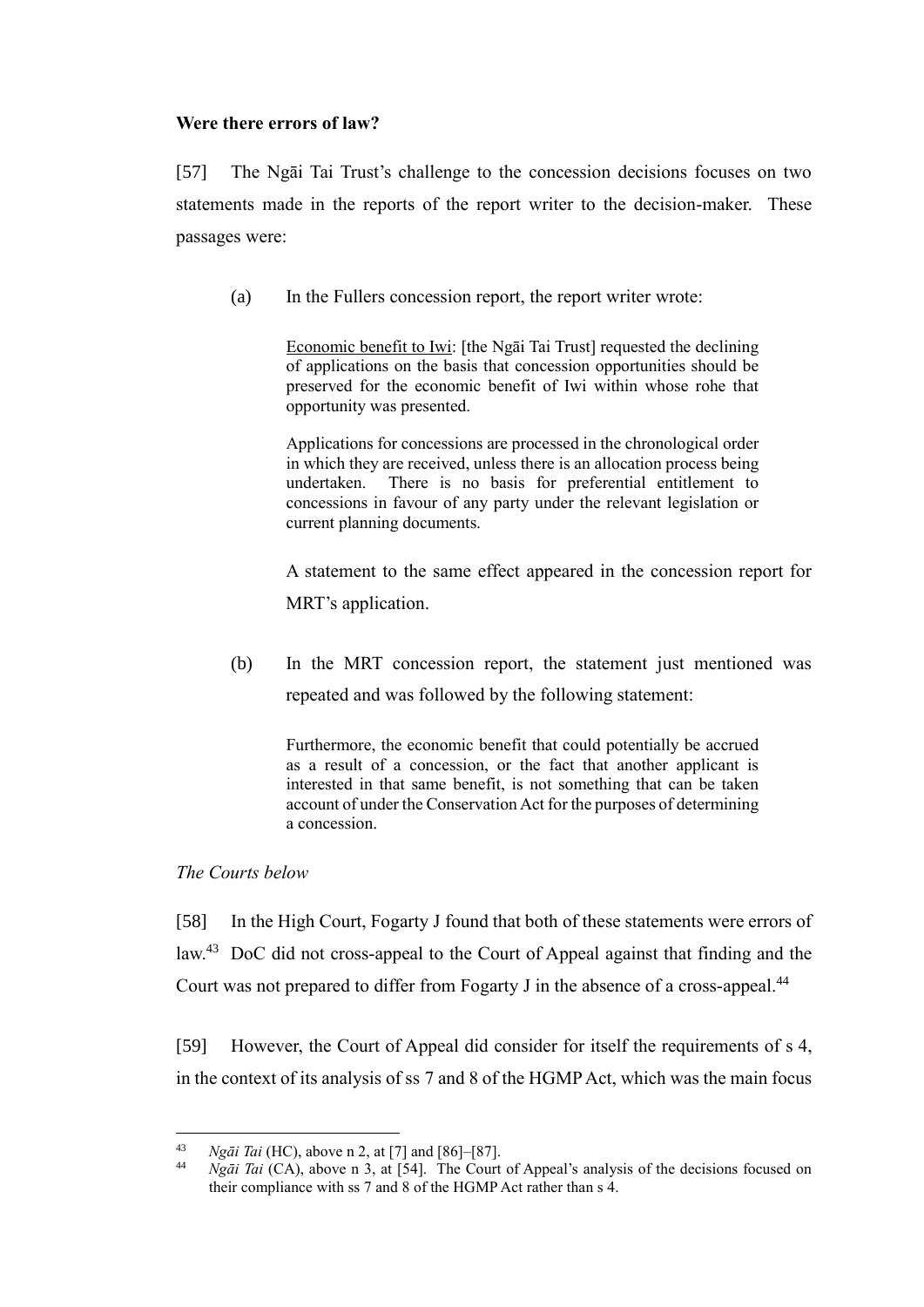## **Were there errors of law?**

<span id="page-20-0"></span>[57] The Ngāi Tai Trust's challenge to the concession decisions focuses on two statements made in the reports of the report writer to the decision-maker. These passages were:

(a) In the Fullers concession report, the report writer wrote:

Economic benefit to Iwi: [the Ngāi Tai Trust] requested the declining of applications on the basis that concession opportunities should be preserved for the economic benefit of Iwi within whose rohe that opportunity was presented.

Applications for concessions are processed in the chronological order in which they are received, unless there is an allocation process being undertaken. There is no basis for preferential entitlement to concessions in favour of any party under the relevant legislation or current planning documents.

A statement to the same effect appeared in the concession report for MRT's application.

<span id="page-20-2"></span>(b) In the MRT concession report, the statement just mentioned was repeated and was followed by the following statement:

Furthermore, the economic benefit that could potentially be accrued as a result of a concession, or the fact that another applicant is interested in that same benefit, is not something that can be taken account of under the Conservation Act for the purposes of determining a concession.

## *The Courts below*

<span id="page-20-1"></span>[58] In the High Court, Fogarty J found that both of these statements were errors of law.<sup>43</sup> DoC did not cross-appeal to the Court of Appeal against that finding and the Court was not prepared to differ from Fogarty J in the absence of a cross-appeal.<sup>44</sup>

[59] However, the Court of Appeal did consider for itself the requirements of s 4, in the context of its analysis of ss 7 and 8 of the HGMP Act, which was the main focus

 $43$ <sup>43</sup> *Ngāi Tai* (HC), above n [2,](#page-2-2) at [7] and [86]–[87].

*Ngāi Tai* (CA), above n [3,](#page-2-3) at [54]. The Court of Appeal's analysis of the decisions focused on their compliance with ss 7 and 8 of the HGMP Act rather than s 4.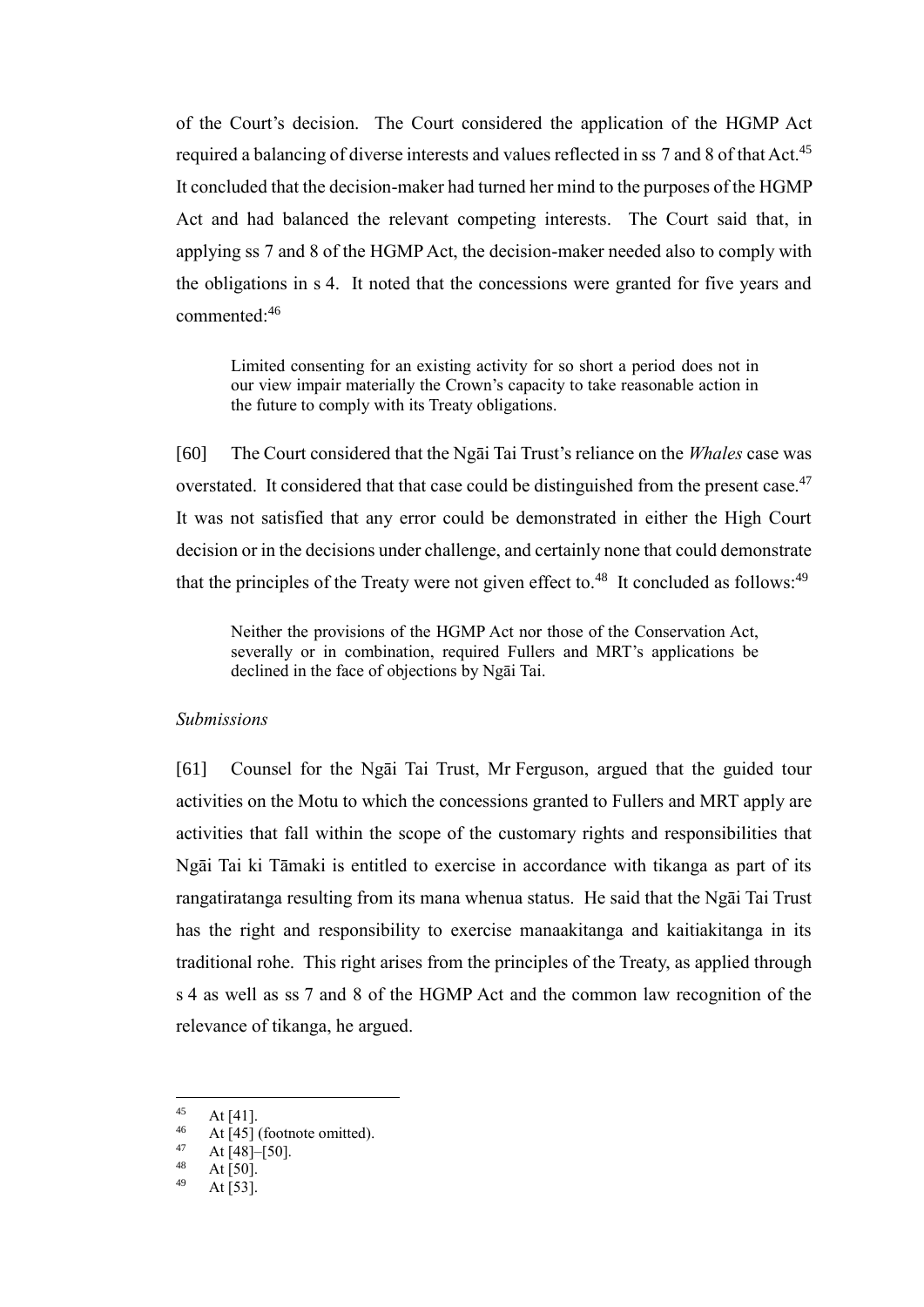of the Court's decision. The Court considered the application of the HGMP Act required a balancing of diverse interests and values reflected in ss 7 and 8 of that Act.<sup>45</sup> It concluded that the decision-maker had turned her mind to the purposes of the HGMP Act and had balanced the relevant competing interests. The Court said that, in applying ss 7 and 8 of the HGMP Act, the decision-maker needed also to comply with the obligations in s 4. It noted that the concessions were granted for five years and commented:<sup>46</sup>

Limited consenting for an existing activity for so short a period does not in our view impair materially the Crown's capacity to take reasonable action in the future to comply with its Treaty obligations.

[60] The Court considered that the Ngāi Tai Trust's reliance on the *Whales* case was overstated. It considered that that case could be distinguished from the present case.<sup>47</sup> It was not satisfied that any error could be demonstrated in either the High Court decision or in the decisions under challenge, and certainly none that could demonstrate that the principles of the Treaty were not given effect to. $48$  It concluded as follows: $49$ 

Neither the provisions of the HGMP Act nor those of the Conservation Act, severally or in combination, required Fullers and MRT's applications be declined in the face of objections by Ngāi Tai.

#### *Submissions*

<span id="page-21-0"></span>[61] Counsel for the Ngāi Tai Trust, Mr Ferguson, argued that the guided tour activities on the Motu to which the concessions granted to Fullers and MRT apply are activities that fall within the scope of the customary rights and responsibilities that Ngāi Tai ki Tāmaki is entitled to exercise in accordance with tikanga as part of its rangatiratanga resulting from its mana whenua status. He said that the Ngāi Tai Trust has the right and responsibility to exercise manaakitanga and kaitiakitanga in its traditional rohe. This right arises from the principles of the Treaty, as applied through s 4 as well as ss 7 and 8 of the HGMP Act and the common law recognition of the relevance of tikanga, he argued.

 $48$  At [50].

 $45$  $45$  At [41].

 $^{46}$  At [45] (footnote omitted).

 $47$  At [48]–[50].

At  $[53]$ .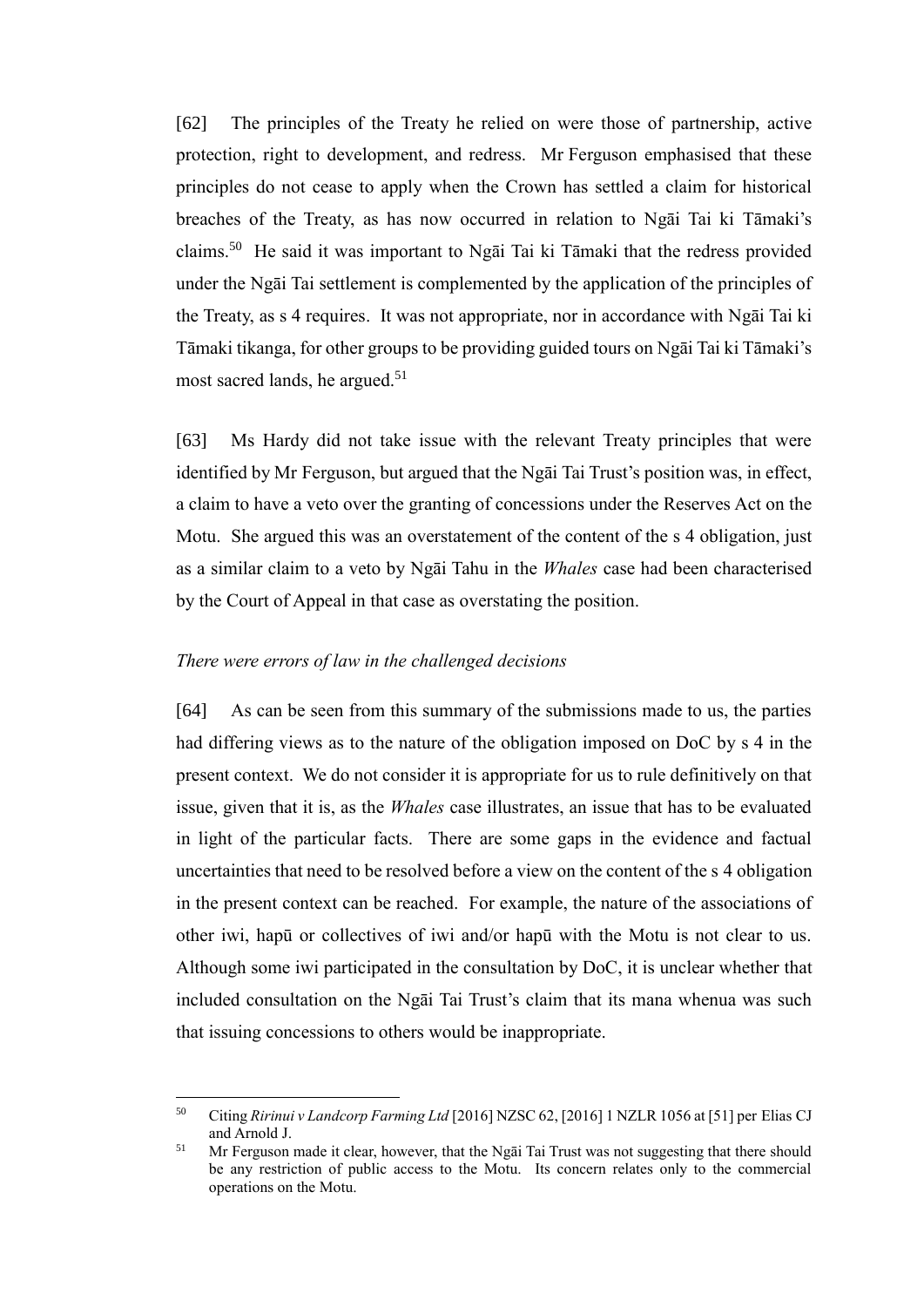[62] The principles of the Treaty he relied on were those of partnership, active protection, right to development, and redress. Mr Ferguson emphasised that these principles do not cease to apply when the Crown has settled a claim for historical breaches of the Treaty, as has now occurred in relation to Ngāi Tai ki Tāmaki's claims.<sup>50</sup> He said it was important to Ngāi Tai ki Tāmaki that the redress provided under the Ngāi Tai settlement is complemented by the application of the principles of the Treaty, as s 4 requires. It was not appropriate, nor in accordance with Ngāi Tai ki Tāmaki tikanga, for other groups to be providing guided tours on Ngāi Tai ki Tāmaki's most sacred lands, he argued.<sup>51</sup>

[63] Ms Hardy did not take issue with the relevant Treaty principles that were identified by Mr Ferguson, but argued that the Ngāi Tai Trust's position was, in effect, a claim to have a veto over the granting of concessions under the Reserves Act on the Motu. She argued this was an overstatement of the content of the s 4 obligation, just as a similar claim to a veto by Ngāi Tahu in the *Whales* case had been characterised by the Court of Appeal in that case as overstating the position.

#### *There were errors of law in the challenged decisions*

<span id="page-22-0"></span>[64] As can be seen from this summary of the submissions made to us, the parties had differing views as to the nature of the obligation imposed on DoC by s 4 in the present context. We do not consider it is appropriate for us to rule definitively on that issue, given that it is, as the *Whales* case illustrates, an issue that has to be evaluated in light of the particular facts. There are some gaps in the evidence and factual uncertainties that need to be resolved before a view on the content of the s 4 obligation in the present context can be reached. For example, the nature of the associations of other iwi, hapū or collectives of iwi and/or hapū with the Motu is not clear to us. Although some iwi participated in the consultation by DoC, it is unclear whether that included consultation on the Ngāi Tai Trust's claim that its mana whenua was such that issuing concessions to others would be inappropriate.

<sup>50</sup> <sup>50</sup> Citing *Ririnui v Landcorp Farming Ltd* [2016] NZSC 62, [2016] 1 NZLR 1056 at [51] per Elias CJ and Arnold J.

<sup>&</sup>lt;sup>51</sup> Mr Ferguson made it clear, however, that the Ngai Tai Trust was not suggesting that there should be any restriction of public access to the Motu. Its concern relates only to the commercial operations on the Motu.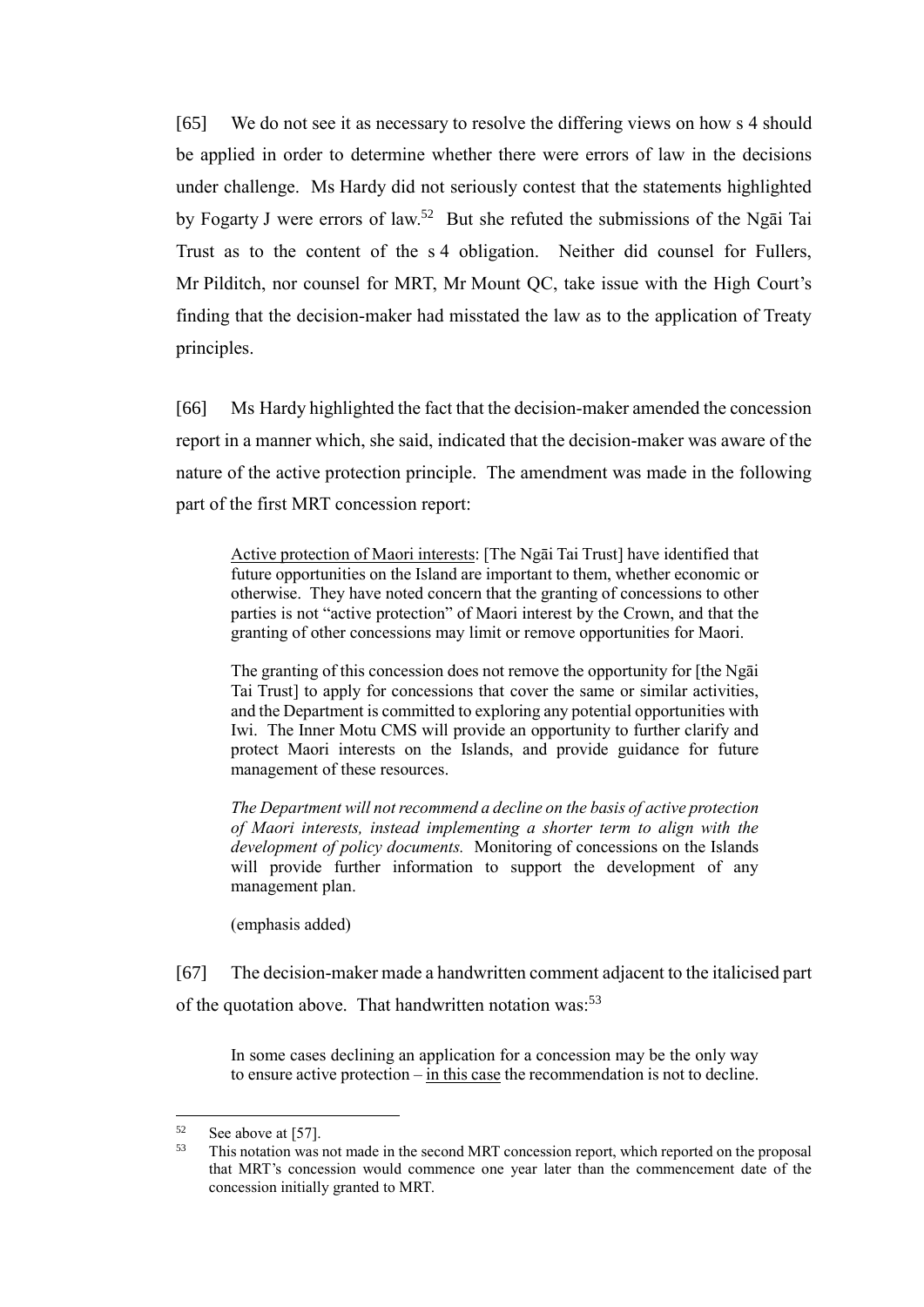[65] We do not see it as necessary to resolve the differing views on how s 4 should be applied in order to determine whether there were errors of law in the decisions under challenge. Ms Hardy did not seriously contest that the statements highlighted by Fogarty J were errors of law.<sup>52</sup> But she refuted the submissions of the Ngai Tai Trust as to the content of the s 4 obligation. Neither did counsel for Fullers, Mr Pilditch, nor counsel for MRT, Mr Mount QC, take issue with the High Court's finding that the decision-maker had misstated the law as to the application of Treaty principles.

[66] Ms Hardy highlighted the fact that the decision-maker amended the concession report in a manner which, she said, indicated that the decision-maker was aware of the nature of the active protection principle. The amendment was made in the following part of the first MRT concession report:

Active protection of Maori interests: [The Ngāi Tai Trust] have identified that future opportunities on the Island are important to them, whether economic or otherwise. They have noted concern that the granting of concessions to other parties is not "active protection" of Maori interest by the Crown, and that the granting of other concessions may limit or remove opportunities for Maori.

The granting of this concession does not remove the opportunity for [the Ngāi Tai Trust] to apply for concessions that cover the same or similar activities, and the Department is committed to exploring any potential opportunities with Iwi. The Inner Motu CMS will provide an opportunity to further clarify and protect Maori interests on the Islands, and provide guidance for future management of these resources.

*The Department will not recommend a decline on the basis of active protection of Maori interests, instead implementing a shorter term to align with the development of policy documents.* Monitoring of concessions on the Islands will provide further information to support the development of any management plan.

(emphasis added)

<span id="page-23-0"></span>[67] The decision-maker made a handwritten comment adjacent to the italicised part of the quotation above. That handwritten notation was:<sup>53</sup>

In some cases declining an application for a concession may be the only way to ensure active protection – in this case the recommendation is not to decline.

 $52$  See above a[t \[57\].](#page-20-0)

This notation was not made in the second MRT concession report, which reported on the proposal that MRT's concession would commence one year later than the commencement date of the concession initially granted to MRT.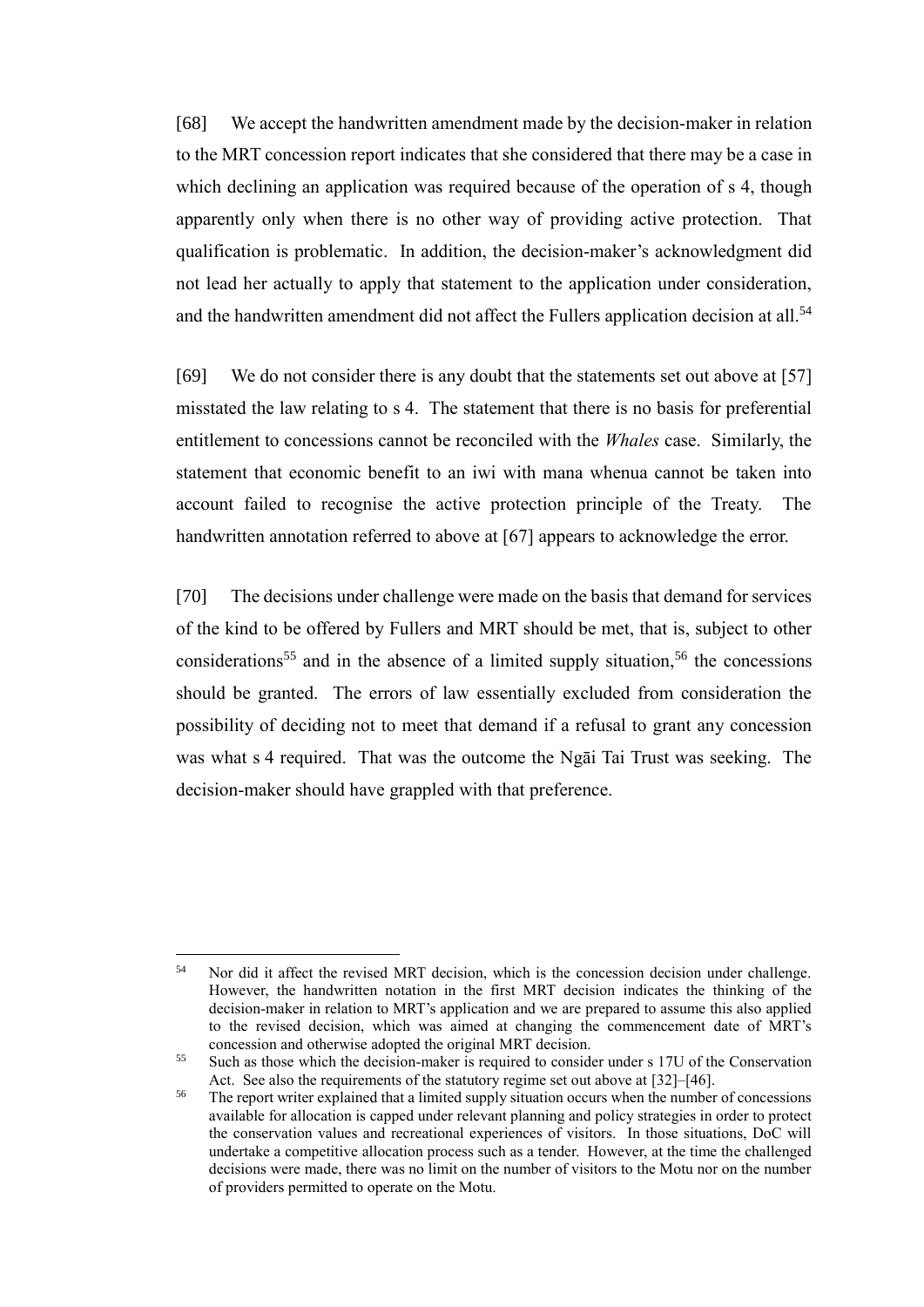[68] We accept the handwritten amendment made by the decision-maker in relation to the MRT concession report indicates that she considered that there may be a case in which declining an application was required because of the operation of s 4, though apparently only when there is no other way of providing active protection. That qualification is problematic. In addition, the decision-maker's acknowledgment did not lead her actually to apply that statement to the application under consideration, and the handwritten amendment did not affect the Fullers application decision at all.<sup>54</sup>

[69] We do not consider there is any doubt that the statements set out above at [\[57\]](#page-20-0) misstated the law relating to s 4. The statement that there is no basis for preferential entitlement to concessions cannot be reconciled with the *Whales* case. Similarly, the statement that economic benefit to an iwi with mana whenua cannot be taken into account failed to recognise the active protection principle of the Treaty. The handwritten annotation referred to above at [\[67\]](#page-23-0) appears to acknowledge the error.

[70] The decisions under challenge were made on the basis that demand for services of the kind to be offered by Fullers and MRT should be met, that is, subject to other considerations<sup>55</sup> and in the absence of a limited supply situation,<sup>56</sup> the concessions should be granted. The errors of law essentially excluded from consideration the possibility of deciding not to meet that demand if a refusal to grant any concession was what s 4 required. That was the outcome the Ngāi Tai Trust was seeking. The decision-maker should have grappled with that preference.

<sup>&</sup>lt;sup>54</sup> Nor did it affect the revised MRT decision, which is the concession decision under challenge. However, the handwritten notation in the first MRT decision indicates the thinking of the decision-maker in relation to MRT's application and we are prepared to assume this also applied to the revised decision, which was aimed at changing the commencement date of MRT's concession and otherwise adopted the original MRT decision.

<sup>55</sup> Such as those which the decision-maker is required to consider under s 17U of the Conservation Act. See also the requirements of the statutory regime set out above at [\[32\]](#page-11-1)[–\[46\].](#page-15-3)

<sup>&</sup>lt;sup>56</sup> The report writer explained that a limited supply situation occurs when the number of concessions available for allocation is capped under relevant planning and policy strategies in order to protect the conservation values and recreational experiences of visitors. In those situations, DoC will undertake a competitive allocation process such as a tender. However, at the time the challenged decisions were made, there was no limit on the number of visitors to the Motu nor on the number of providers permitted to operate on the Motu.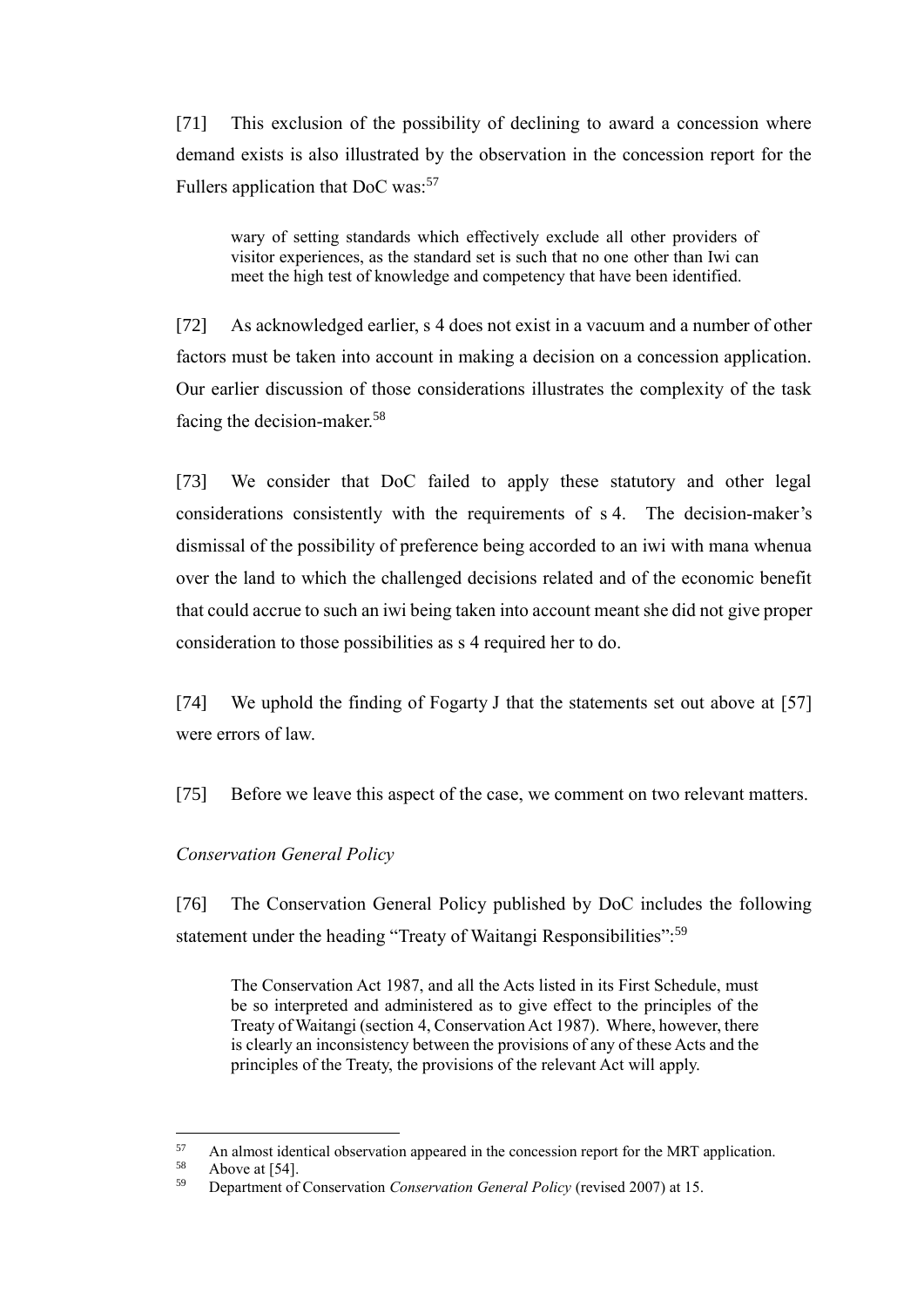[71] This exclusion of the possibility of declining to award a concession where demand exists is also illustrated by the observation in the concession report for the Fullers application that DoC was:<sup>57</sup>

wary of setting standards which effectively exclude all other providers of visitor experiences, as the standard set is such that no one other than Iwi can meet the high test of knowledge and competency that have been identified.

[72] As acknowledged earlier, s 4 does not exist in a vacuum and a number of other factors must be taken into account in making a decision on a concession application. Our earlier discussion of those considerations illustrates the complexity of the task facing the decision-maker.<sup>58</sup>

[73] We consider that DoC failed to apply these statutory and other legal considerations consistently with the requirements of s 4. The decision-maker's dismissal of the possibility of preference being accorded to an iwi with mana whenua over the land to which the challenged decisions related and of the economic benefit that could accrue to such an iwi being taken into account meant she did not give proper consideration to those possibilities as s 4 required her to do.

[74] We uphold the finding of Fogarty J that the statements set out above at [\[57\]](#page-20-0) were errors of law.

[75] Before we leave this aspect of the case, we comment on two relevant matters.

### *Conservation General Policy*

<span id="page-25-0"></span>[76] The Conservation General Policy published by DoC includes the following statement under the heading "Treaty of Waitangi Responsibilities":<sup>59</sup>

The Conservation Act 1987, and all the Acts listed in its First Schedule, must be so interpreted and administered as to give effect to the principles of the Treaty of Waitangi (section 4, Conservation Act 1987). Where, however, there is clearly an inconsistency between the provisions of any of these Acts and the principles of the Treaty, the provisions of the relevant Act will apply.

<sup>&</sup>lt;sup>57</sup> An almost identical observation appeared in the concession report for the MRT application.<br><sup>58</sup> Above at [54]

 $58$  Above at [\[54\].](#page-19-1)<br> $59$  Department of

<sup>59</sup> Department of Conservation *Conservation General Policy* (revised 2007) at 15.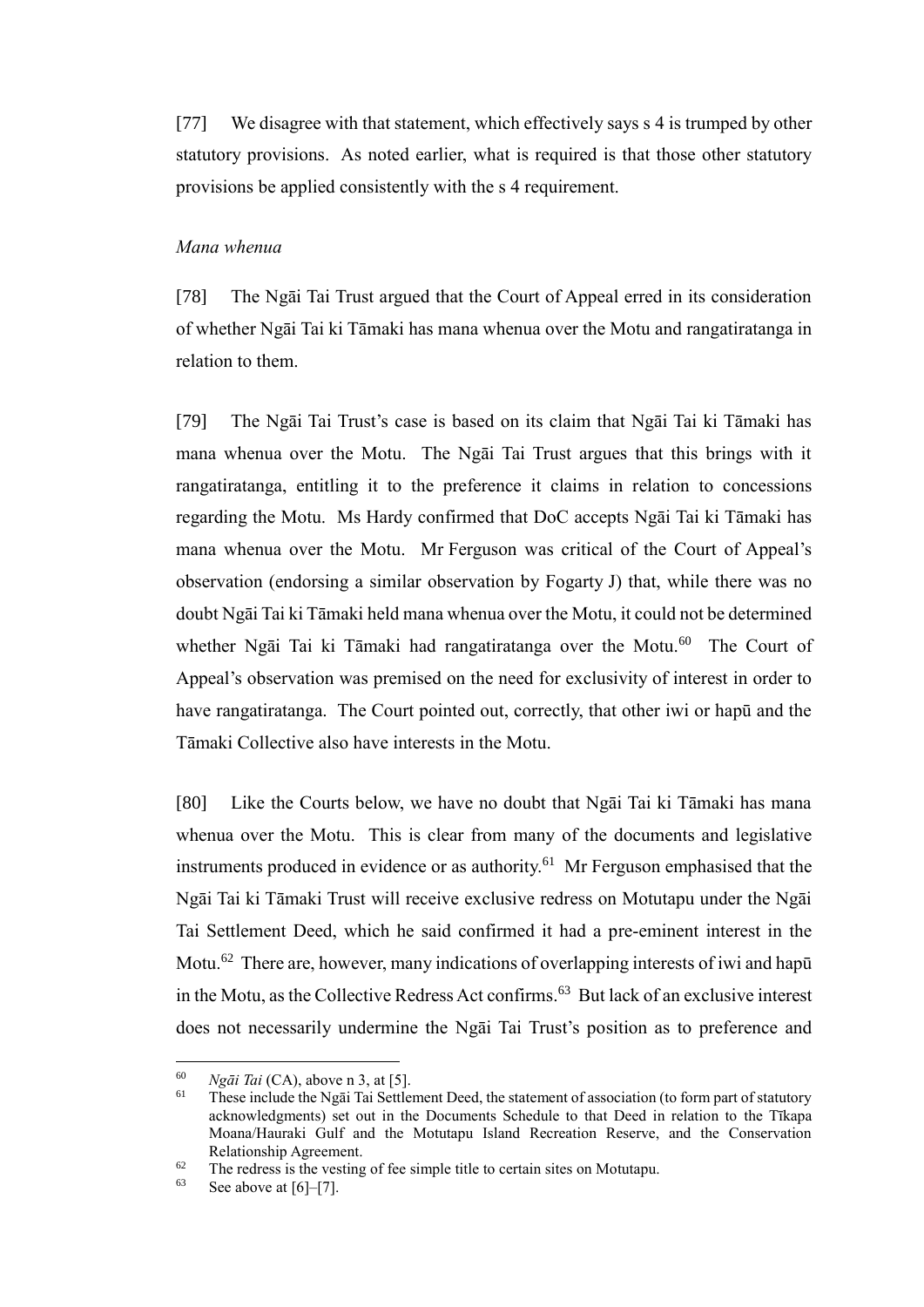[77] We disagree with that statement, which effectively says s 4 is trumped by other statutory provisions. As noted earlier, what is required is that those other statutory provisions be applied consistently with the s 4 requirement.

#### *Mana whenua*

<span id="page-26-0"></span>[78] The Ngāi Tai Trust argued that the Court of Appeal erred in its consideration of whether Ngāi Tai ki Tāmaki has mana whenua over the Motu and rangatiratanga in relation to them.

[79] The Ngāi Tai Trust's case is based on its claim that Ngāi Tai ki Tāmaki has mana whenua over the Motu. The Ngāi Tai Trust argues that this brings with it rangatiratanga, entitling it to the preference it claims in relation to concessions regarding the Motu. Ms Hardy confirmed that DoC accepts Ngāi Tai ki Tāmaki has mana whenua over the Motu. Mr Ferguson was critical of the Court of Appeal's observation (endorsing a similar observation by Fogarty J) that, while there was no doubt Ngāi Tai ki Tāmaki held mana whenua over the Motu, it could not be determined whether Ngāi Tai ki Tāmaki had rangatiratanga over the Motu.<sup>60</sup> The Court of Appeal's observation was premised on the need for exclusivity of interest in order to have rangatiratanga. The Court pointed out, correctly, that other iwi or hapū and the Tāmaki Collective also have interests in the Motu.

[80] Like the Courts below, we have no doubt that Ngāi Tai ki Tāmaki has mana whenua over the Motu. This is clear from many of the documents and legislative instruments produced in evidence or as authority.<sup>61</sup> Mr Ferguson emphasised that the Ngāi Tai ki Tāmaki Trust will receive exclusive redress on Motutapu under the Ngāi Tai Settlement Deed, which he said confirmed it had a pre-eminent interest in the Motu.<sup>62</sup> There are, however, many indications of overlapping interests of iwi and hapū in the Motu, as the Collective Redress Act confirms.<sup>63</sup> But lack of an exclusive interest does not necessarily undermine the Ngāi Tai Trust's position as to preference and

<sup>&</sup>lt;sup>60</sup> *Ngāi Tai* (CA), above n [3,](#page-2-3) at [5].<br><sup>61</sup> These include the Ngāi Tai Settle

These include the Ngāi Tai Settlement Deed, the statement of association (to form part of statutory acknowledgments) set out in the Documents Schedule to that Deed in relation to the Tīkapa Moana/Hauraki Gulf and the Motutapu Island Recreation Reserve, and the Conservation Relationship Agreement.

<sup>&</sup>lt;sup>62</sup> The redress is the vesting of fee simple title to certain sites on Motutapu.<br><sup>63</sup> See above at [61, [7]

See above at  $[6]-[7]$ .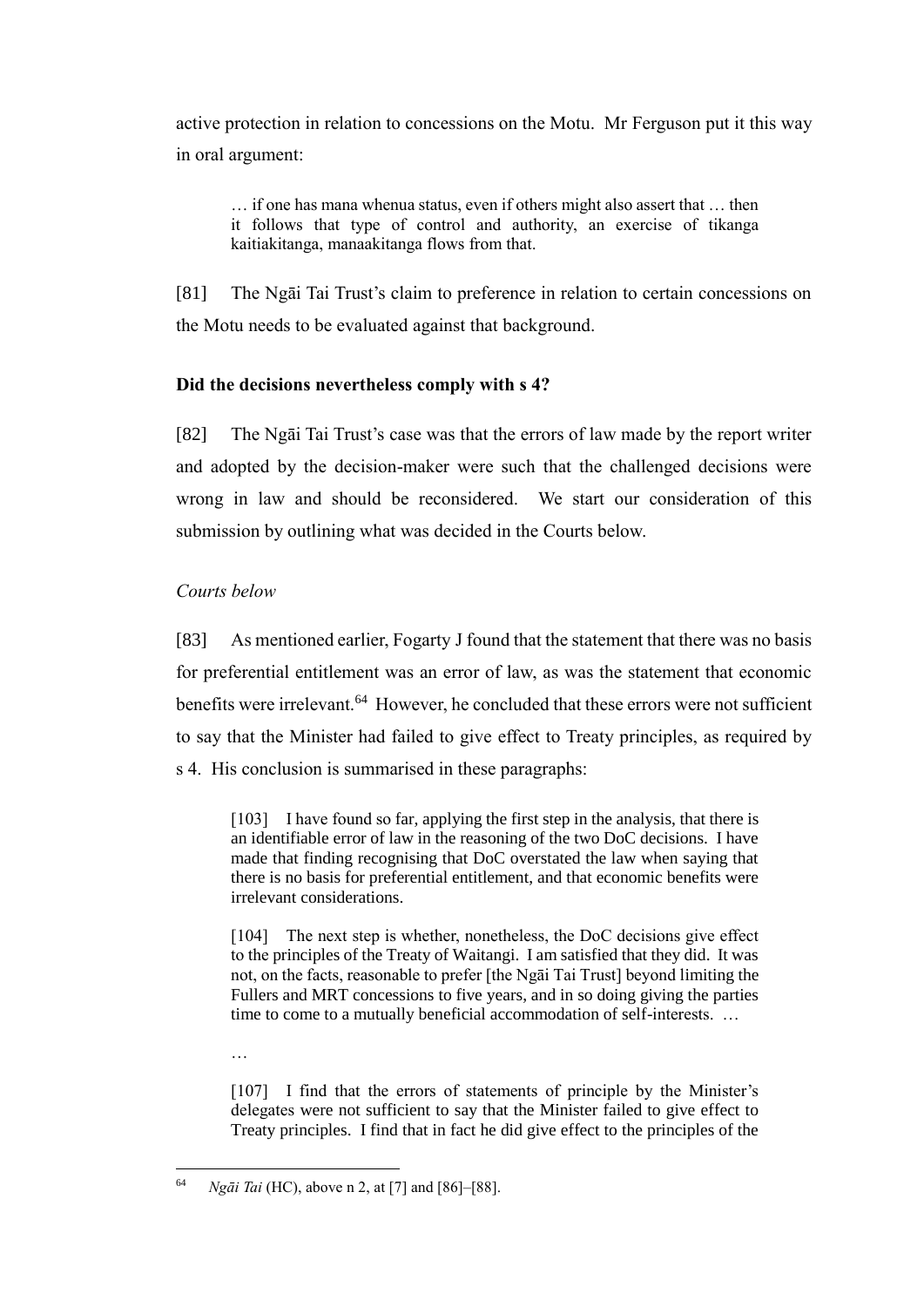active protection in relation to concessions on the Motu. Mr Ferguson put it this way in oral argument:

… if one has mana whenua status, even if others might also assert that … then it follows that type of control and authority, an exercise of tikanga kaitiakitanga, manaakitanga flows from that.

<span id="page-27-2"></span>[81] The Ngāi Tai Trust's claim to preference in relation to certain concessions on the Motu needs to be evaluated against that background.

# **Did the decisions nevertheless comply with s 4?**

<span id="page-27-0"></span>[82] The Ngāi Tai Trust's case was that the errors of law made by the report writer and adopted by the decision-maker were such that the challenged decisions were wrong in law and should be reconsidered. We start our consideration of this submission by outlining what was decided in the Courts below.

# *Courts below*

…

<span id="page-27-1"></span>[83] As mentioned earlier, Fogarty J found that the statement that there was no basis for preferential entitlement was an error of law, as was the statement that economic benefits were irrelevant.<sup>64</sup> However, he concluded that these errors were not sufficient to say that the Minister had failed to give effect to Treaty principles, as required by s 4. His conclusion is summarised in these paragraphs:

[103] I have found so far, applying the first step in the analysis, that there is an identifiable error of law in the reasoning of the two DoC decisions. I have made that finding recognising that DoC overstated the law when saying that there is no basis for preferential entitlement, and that economic benefits were irrelevant considerations.

[104] The next step is whether, nonetheless, the DoC decisions give effect to the principles of the Treaty of Waitangi. I am satisfied that they did. It was not, on the facts, reasonable to prefer [the Ngāi Tai Trust] beyond limiting the Fullers and MRT concessions to five years, and in so doing giving the parties time to come to a mutually beneficial accommodation of self-interests. …

[107] I find that the errors of statements of principle by the Minister's delegates were not sufficient to say that the Minister failed to give effect to Treaty principles. I find that in fact he did give effect to the principles of the

 $\overline{a}$ <sup>64</sup> *Ngāi Tai* (HC), above n [2,](#page-2-2) at [7] and [86]–[88].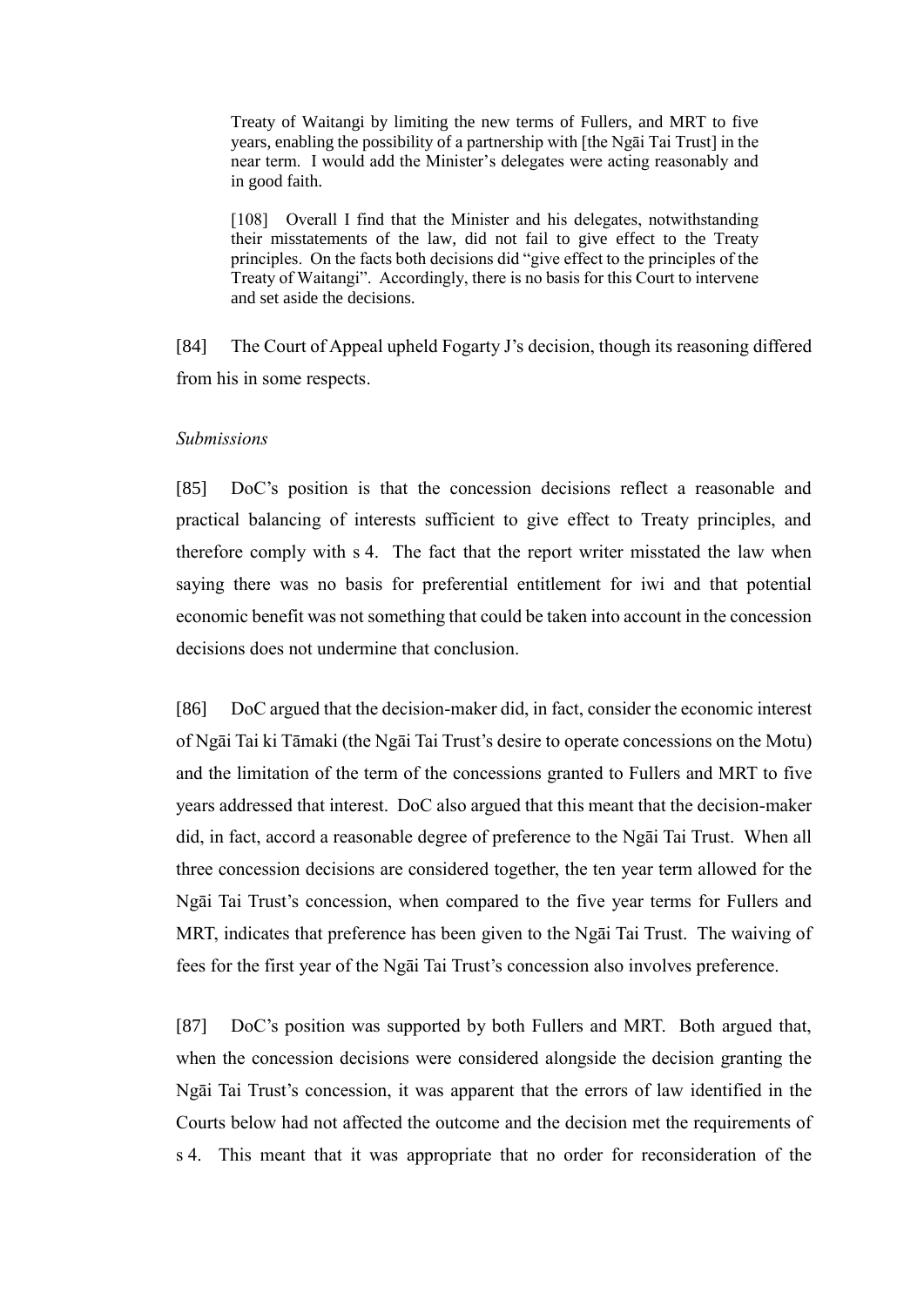Treaty of Waitangi by limiting the new terms of Fullers, and MRT to five years, enabling the possibility of a partnership with [the Ngāi Tai Trust] in the near term. I would add the Minister's delegates were acting reasonably and in good faith.

[108] Overall I find that the Minister and his delegates, notwithstanding their misstatements of the law, did not fail to give effect to the Treaty principles. On the facts both decisions did "give effect to the principles of the Treaty of Waitangi". Accordingly, there is no basis for this Court to intervene and set aside the decisions.

[84] The Court of Appeal upheld Fogarty J's decision, though its reasoning differed from his in some respects.

#### *Submissions*

<span id="page-28-0"></span>[85] DoC's position is that the concession decisions reflect a reasonable and practical balancing of interests sufficient to give effect to Treaty principles, and therefore comply with s 4. The fact that the report writer misstated the law when saying there was no basis for preferential entitlement for iwi and that potential economic benefit was not something that could be taken into account in the concession decisions does not undermine that conclusion.

[86] DoC argued that the decision-maker did, in fact, consider the economic interest of Ngāi Tai ki Tāmaki (the Ngāi Tai Trust's desire to operate concessions on the Motu) and the limitation of the term of the concessions granted to Fullers and MRT to five years addressed that interest. DoC also argued that this meant that the decision-maker did, in fact, accord a reasonable degree of preference to the Ngāi Tai Trust. When all three concession decisions are considered together, the ten year term allowed for the Ngāi Tai Trust's concession, when compared to the five year terms for Fullers and MRT, indicates that preference has been given to the Ngāi Tai Trust. The waiving of fees for the first year of the Ngāi Tai Trust's concession also involves preference.

[87] DoC's position was supported by both Fullers and MRT. Both argued that, when the concession decisions were considered alongside the decision granting the Ngāi Tai Trust's concession, it was apparent that the errors of law identified in the Courts below had not affected the outcome and the decision met the requirements of s 4. This meant that it was appropriate that no order for reconsideration of the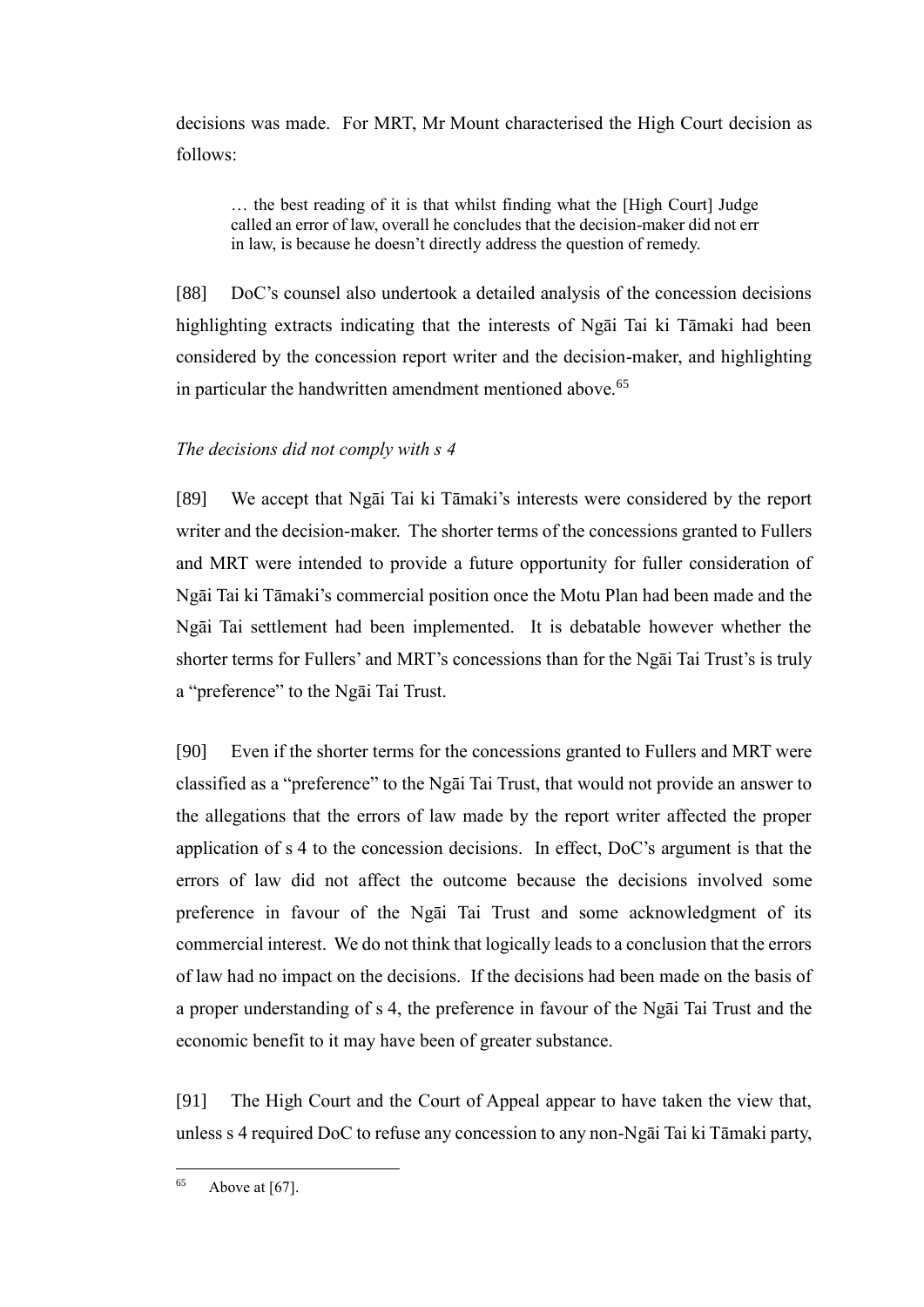decisions was made. For MRT, Mr Mount characterised the High Court decision as follows:

… the best reading of it is that whilst finding what the [High Court] Judge called an error of law, overall he concludes that the decision-maker did not err in law, is because he doesn't directly address the question of remedy.

[88] DoC's counsel also undertook a detailed analysis of the concession decisions highlighting extracts indicating that the interests of Ngāi Tai ki Tāmaki had been considered by the concession report writer and the decision-maker, and highlighting in particular the handwritten amendment mentioned above.<sup>65</sup>

## *The decisions did not comply with s 4*

<span id="page-29-0"></span>[89] We accept that Ngāi Tai ki Tāmaki's interests were considered by the report writer and the decision-maker. The shorter terms of the concessions granted to Fullers and MRT were intended to provide a future opportunity for fuller consideration of Ngāi Tai ki Tāmaki's commercial position once the Motu Plan had been made and the Ngāi Tai settlement had been implemented. It is debatable however whether the shorter terms for Fullers' and MRT's concessions than for the Ngāi Tai Trust's is truly a "preference" to the Ngāi Tai Trust.

[90] Even if the shorter terms for the concessions granted to Fullers and MRT were classified as a "preference" to the Ngāi Tai Trust, that would not provide an answer to the allegations that the errors of law made by the report writer affected the proper application of s 4 to the concession decisions. In effect, DoC's argument is that the errors of law did not affect the outcome because the decisions involved some preference in favour of the Ngāi Tai Trust and some acknowledgment of its commercial interest. We do not think that logically leads to a conclusion that the errors of law had no impact on the decisions. If the decisions had been made on the basis of a proper understanding of s 4, the preference in favour of the Ngāi Tai Trust and the economic benefit to it may have been of greater substance.

[91] The High Court and the Court of Appeal appear to have taken the view that, unless s 4 required DoC to refuse any concession to any non-Ngāi Tai ki Tāmaki party,

<sup>65</sup> Above at  $[67]$ .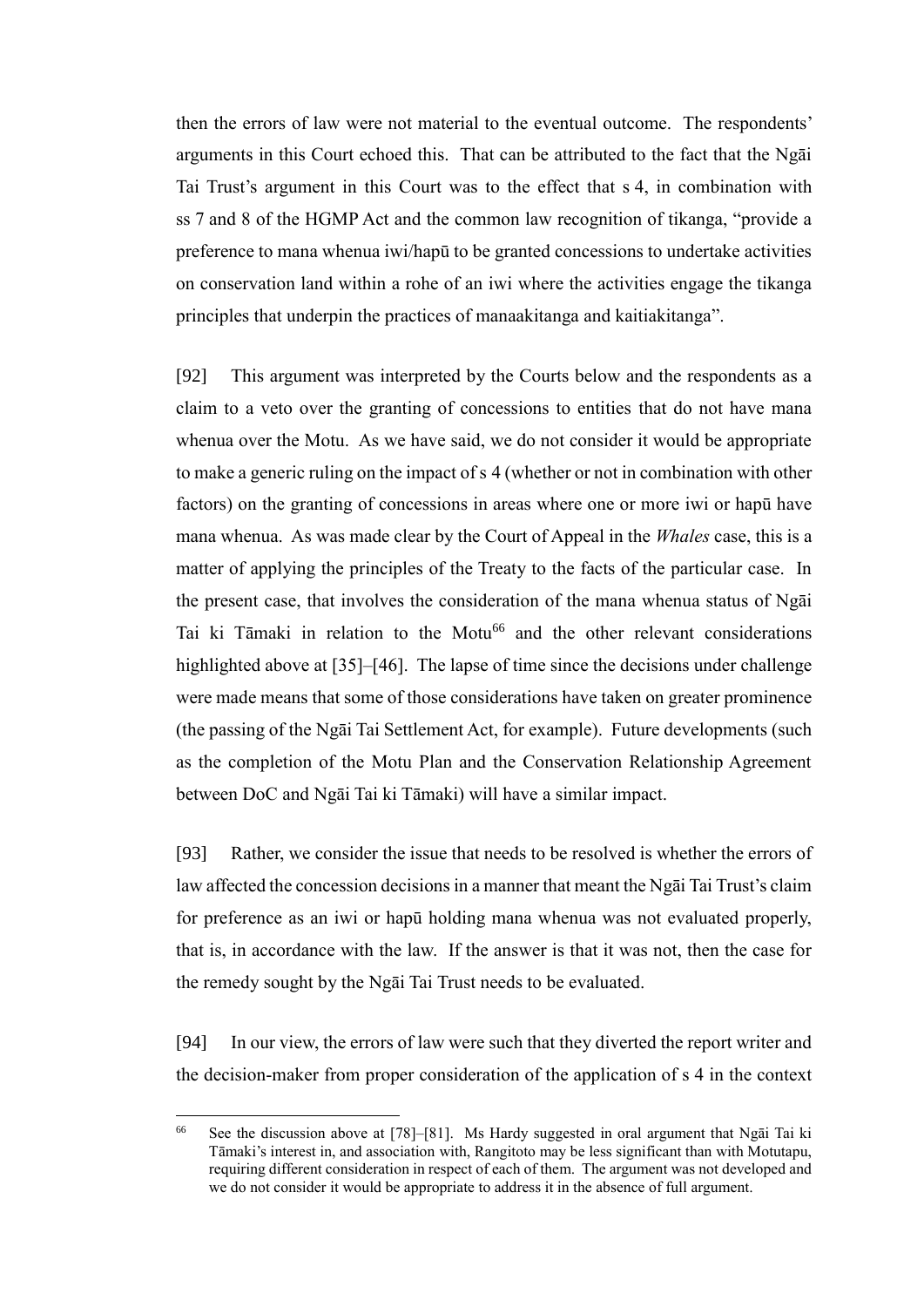then the errors of law were not material to the eventual outcome. The respondents' arguments in this Court echoed this. That can be attributed to the fact that the Ngāi Tai Trust's argument in this Court was to the effect that s 4, in combination with ss 7 and 8 of the HGMP Act and the common law recognition of tikanga, "provide a preference to mana whenua iwi/hapū to be granted concessions to undertake activities on conservation land within a rohe of an iwi where the activities engage the tikanga principles that underpin the practices of manaakitanga and kaitiakitanga".

[92] This argument was interpreted by the Courts below and the respondents as a claim to a veto over the granting of concessions to entities that do not have mana whenua over the Motu. As we have said, we do not consider it would be appropriate to make a generic ruling on the impact of s 4 (whether or not in combination with other factors) on the granting of concessions in areas where one or more iwi or hapū have mana whenua. As was made clear by the Court of Appeal in the *Whales* case, this is a matter of applying the principles of the Treaty to the facts of the particular case. In the present case, that involves the consideration of the mana whenua status of Ngāi Tai ki Tāmaki in relation to the Motu<sup>66</sup> and the other relevant considerations highlighted above at [\[35\]](#page-12-0)[–\[46\].](#page-15-3) The lapse of time since the decisions under challenge were made means that some of those considerations have taken on greater prominence (the passing of the Ngāi Tai Settlement Act, for example). Future developments (such as the completion of the Motu Plan and the Conservation Relationship Agreement between DoC and Ngāi Tai ki Tāmaki) will have a similar impact.

[93] Rather, we consider the issue that needs to be resolved is whether the errors of law affected the concession decisions in a manner that meant the Ngāi Tai Trust's claim for preference as an iwi or hapū holding mana whenua was not evaluated properly, that is, in accordance with the law. If the answer is that it was not, then the case for the remedy sought by the Ngāi Tai Trust needs to be evaluated.

[94] In our view, the errors of law were such that they diverted the report writer and the decision-maker from proper consideration of the application of s 4 in the context

<sup>66</sup> See the discussion above at [\[78\]](#page-26-0)[–\[81\].](#page-27-2) Ms Hardy suggested in oral argument that Ngāi Tai ki Tāmaki's interest in, and association with, Rangitoto may be less significant than with Motutapu, requiring different consideration in respect of each of them. The argument was not developed and we do not consider it would be appropriate to address it in the absence of full argument.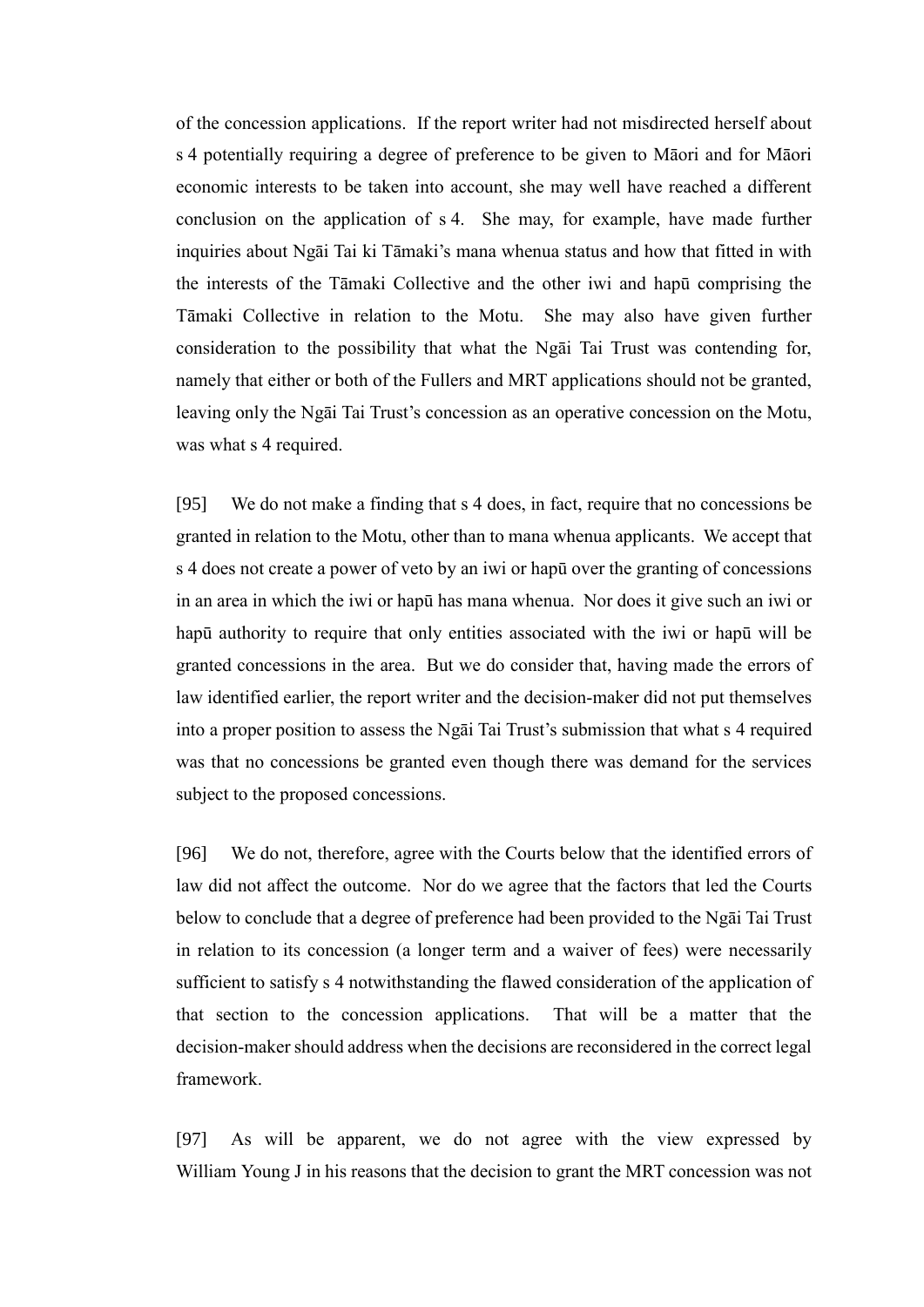of the concession applications. If the report writer had not misdirected herself about s 4 potentially requiring a degree of preference to be given to Māori and for Māori economic interests to be taken into account, she may well have reached a different conclusion on the application of s 4. She may, for example, have made further inquiries about Ngāi Tai ki Tāmaki's mana whenua status and how that fitted in with the interests of the Tāmaki Collective and the other iwi and hapū comprising the Tāmaki Collective in relation to the Motu. She may also have given further consideration to the possibility that what the Ngāi Tai Trust was contending for, namely that either or both of the Fullers and MRT applications should not be granted, leaving only the Ngāi Tai Trust's concession as an operative concession on the Motu, was what s 4 required.

[95] We do not make a finding that s 4 does, in fact, require that no concessions be granted in relation to the Motu, other than to mana whenua applicants. We accept that s 4 does not create a power of veto by an iwi or hapū over the granting of concessions in an area in which the iwi or hapū has mana whenua. Nor does it give such an iwi or hapū authority to require that only entities associated with the iwi or hapū will be granted concessions in the area. But we do consider that, having made the errors of law identified earlier, the report writer and the decision-maker did not put themselves into a proper position to assess the Ngāi Tai Trust's submission that what s 4 required was that no concessions be granted even though there was demand for the services subject to the proposed concessions.

[96] We do not, therefore, agree with the Courts below that the identified errors of law did not affect the outcome. Nor do we agree that the factors that led the Courts below to conclude that a degree of preference had been provided to the Ngāi Tai Trust in relation to its concession (a longer term and a waiver of fees) were necessarily sufficient to satisfy s 4 notwithstanding the flawed consideration of the application of that section to the concession applications. That will be a matter that the decision-maker should address when the decisions are reconsidered in the correct legal framework.

[97] As will be apparent, we do not agree with the view expressed by William Young J in his reasons that the decision to grant the MRT concession was not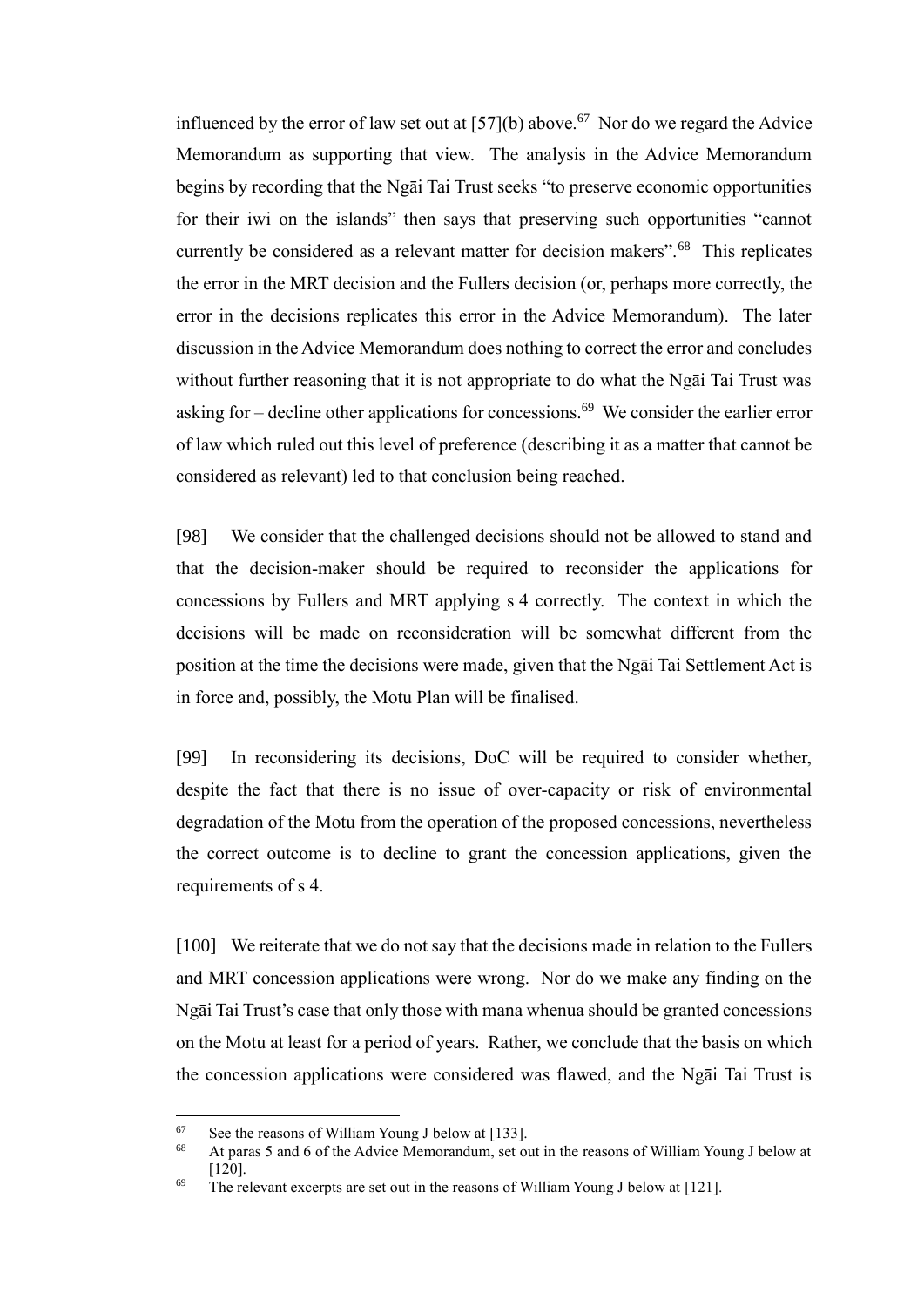influenced by the error of law set out at  $[57]$ (b) above.<sup>67</sup> Nor do we regard the Advice Memorandum as supporting that view. The analysis in the Advice Memorandum begins by recording that the Ngāi Tai Trust seeks "to preserve economic opportunities for their iwi on the islands" then says that preserving such opportunities "cannot currently be considered as a relevant matter for decision makers".<sup>68</sup> This replicates the error in the MRT decision and the Fullers decision (or, perhaps more correctly, the error in the decisions replicates this error in the Advice Memorandum). The later discussion in the Advice Memorandum does nothing to correct the error and concludes without further reasoning that it is not appropriate to do what the Ngāi Tai Trust was asking for  $-$  decline other applications for concessions.<sup>69</sup> We consider the earlier error of law which ruled out this level of preference (describing it as a matter that cannot be considered as relevant) led to that conclusion being reached.

[98] We consider that the challenged decisions should not be allowed to stand and that the decision-maker should be required to reconsider the applications for concessions by Fullers and MRT applying s 4 correctly. The context in which the decisions will be made on reconsideration will be somewhat different from the position at the time the decisions were made, given that the Ngāi Tai Settlement Act is in force and, possibly, the Motu Plan will be finalised.

[99] In reconsidering its decisions, DoC will be required to consider whether, despite the fact that there is no issue of over-capacity or risk of environmental degradation of the Motu from the operation of the proposed concessions, nevertheless the correct outcome is to decline to grant the concession applications, given the requirements of s 4.

[100] We reiterate that we do not say that the decisions made in relation to the Fullers and MRT concession applications were wrong. Nor do we make any finding on the Ngāi Tai Trust's case that only those with mana whenua should be granted concessions on the Motu at least for a period of years. Rather, we conclude that the basis on which the concession applications were considered was flawed, and the Ngāi Tai Trust is

 $^{67}$  See the reasons of William Young J below at [\[133\].](#page-44-0)

<sup>68</sup> At paras 5 and 6 of the Advice Memorandum, set out in the reasons of William Young J below at [\[120\].](#page-38-0)

 $69$  The relevant excerpts are set out in the reasons of William Young J below at [\[121\].](#page-39-0)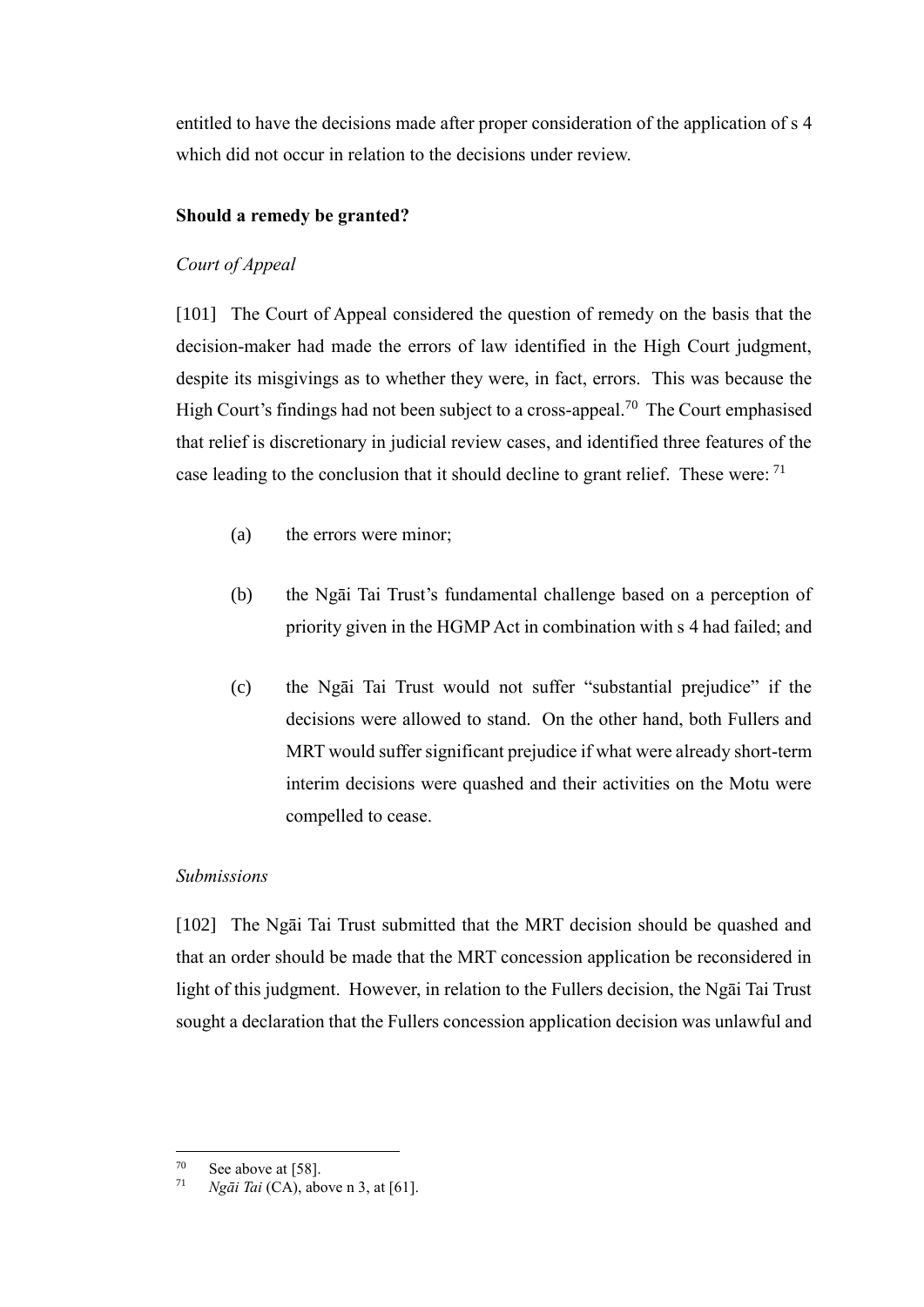entitled to have the decisions made after proper consideration of the application of s 4 which did not occur in relation to the decisions under review.

## **Should a remedy be granted?**

## *Court of Appeal*

<span id="page-33-0"></span>[101] The Court of Appeal considered the question of remedy on the basis that the decision-maker had made the errors of law identified in the High Court judgment, despite its misgivings as to whether they were, in fact, errors. This was because the High Court's findings had not been subject to a cross-appeal.<sup>70</sup> The Court emphasised that relief is discretionary in judicial review cases, and identified three features of the case leading to the conclusion that it should decline to grant relief. These were: <sup>71</sup>

- (a) the errors were minor;
- (b) the Ngāi Tai Trust's fundamental challenge based on a perception of priority given in the HGMP Act in combination with s 4 had failed; and
- (c) the Ngāi Tai Trust would not suffer "substantial prejudice" if the decisions were allowed to stand. On the other hand, both Fullers and MRT would suffer significant prejudice if what were already short-term interim decisions were quashed and their activities on the Motu were compelled to cease.

### *Submissions*

<span id="page-33-1"></span>[102] The Ngāi Tai Trust submitted that the MRT decision should be quashed and that an order should be made that the MRT concession application be reconsidered in light of this judgment. However, in relation to the Fullers decision, the Ngāi Tai Trust sought a declaration that the Fullers concession application decision was unlawful and

 $70$  $^{70}$  See above a[t \[58\].](#page-20-1)<br>  $^{71}$   $N_{\sigma} \bar{s}$ *i*  $T_{\sigma}$ *i*  $(C_{\Delta})$ , abo

*Ngāi Tai* (CA), above n [3,](#page-2-3) at [61].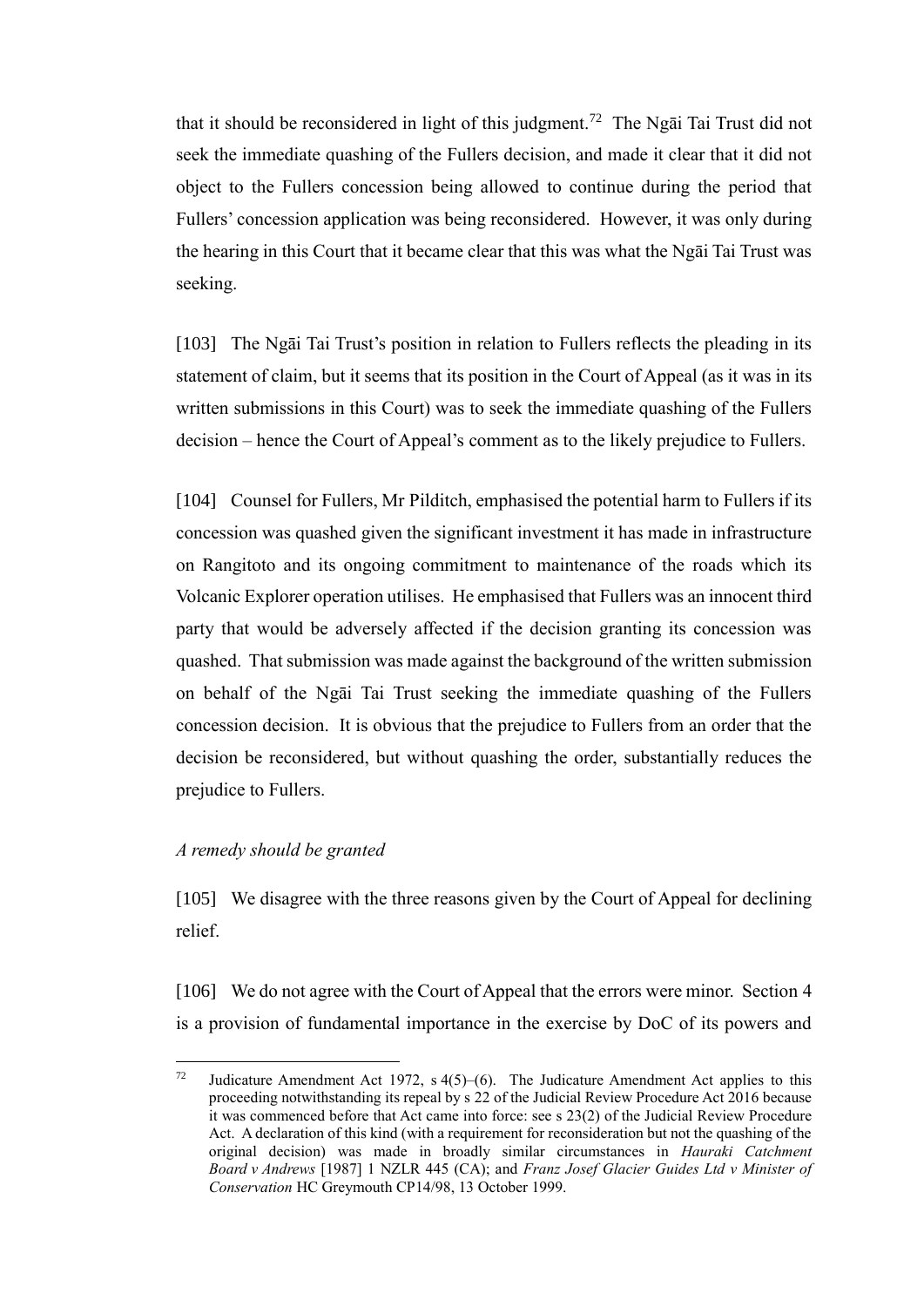that it should be reconsidered in light of this judgment.<sup>72</sup> The Ngai Tai Trust did not seek the immediate quashing of the Fullers decision, and made it clear that it did not object to the Fullers concession being allowed to continue during the period that Fullers' concession application was being reconsidered. However, it was only during the hearing in this Court that it became clear that this was what the Ngāi Tai Trust was seeking.

[103] The Ngāi Tai Trust's position in relation to Fullers reflects the pleading in its statement of claim, but it seems that its position in the Court of Appeal (as it was in its written submissions in this Court) was to seek the immediate quashing of the Fullers decision – hence the Court of Appeal's comment as to the likely prejudice to Fullers.

[104] Counsel for Fullers, Mr Pilditch, emphasised the potential harm to Fullers if its concession was quashed given the significant investment it has made in infrastructure on Rangitoto and its ongoing commitment to maintenance of the roads which its Volcanic Explorer operation utilises. He emphasised that Fullers was an innocent third party that would be adversely affected if the decision granting its concession was quashed. That submission was made against the background of the written submission on behalf of the Ngāi Tai Trust seeking the immediate quashing of the Fullers concession decision. It is obvious that the prejudice to Fullers from an order that the decision be reconsidered, but without quashing the order, substantially reduces the prejudice to Fullers.

### *A remedy should be granted*

 $\overline{a}$ 

<span id="page-34-0"></span>[105] We disagree with the three reasons given by the Court of Appeal for declining relief.

[106] We do not agree with the Court of Appeal that the errors were minor. Section 4 is a provision of fundamental importance in the exercise by DoC of its powers and

<sup>&</sup>lt;sup>72</sup> Judicature Amendment Act 1972, s  $4(5)$ – $(6)$ . The Judicature Amendment Act applies to this proceeding notwithstanding its repeal by s 22 of the Judicial Review Procedure Act 2016 because it was commenced before that Act came into force: see s 23(2) of the Judicial Review Procedure Act. A declaration of this kind (with a requirement for reconsideration but not the quashing of the original decision) was made in broadly similar circumstances in *Hauraki Catchment Board v Andrews* [1987] 1 NZLR 445 (CA); and *Franz Josef Glacier Guides Ltd v Minister of Conservation* HC Greymouth CP14/98, 13 October 1999.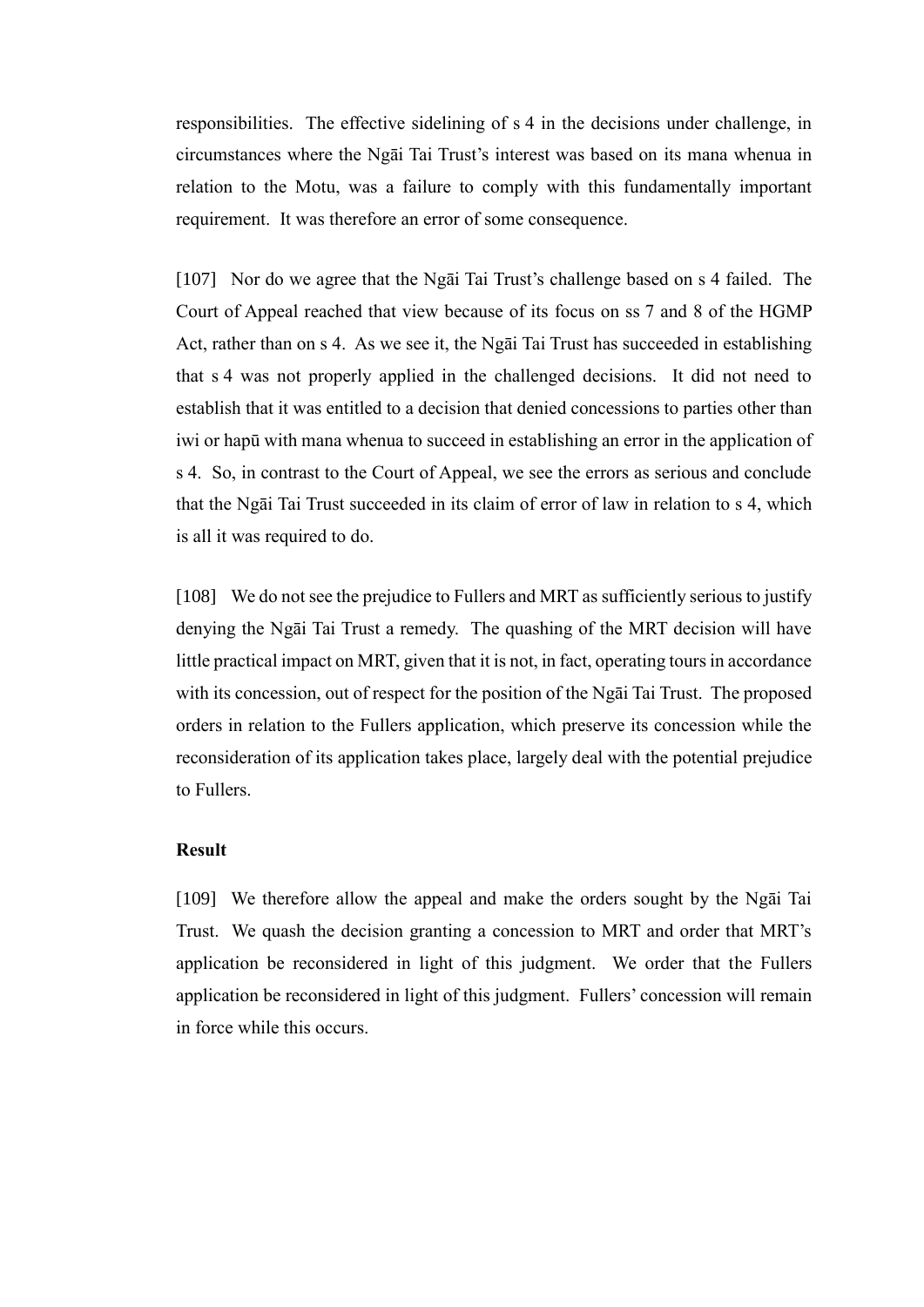responsibilities. The effective sidelining of s 4 in the decisions under challenge, in circumstances where the Ngāi Tai Trust's interest was based on its mana whenua in relation to the Motu, was a failure to comply with this fundamentally important requirement. It was therefore an error of some consequence.

[107] Nor do we agree that the Ngāi Tai Trust's challenge based on s 4 failed. The Court of Appeal reached that view because of its focus on ss 7 and 8 of the HGMP Act, rather than on s 4. As we see it, the Ngāi Tai Trust has succeeded in establishing that s 4 was not properly applied in the challenged decisions. It did not need to establish that it was entitled to a decision that denied concessions to parties other than iwi or hapū with mana whenua to succeed in establishing an error in the application of s 4. So, in contrast to the Court of Appeal, we see the errors as serious and conclude that the Ngāi Tai Trust succeeded in its claim of error of law in relation to s 4, which is all it was required to do.

[108] We do not see the prejudice to Fullers and MRT as sufficiently serious to justify denying the Ngāi Tai Trust a remedy. The quashing of the MRT decision will have little practical impact on MRT, given that it is not, in fact, operating tours in accordance with its concession, out of respect for the position of the Ngāi Tai Trust. The proposed orders in relation to the Fullers application, which preserve its concession while the reconsideration of its application takes place, largely deal with the potential prejudice to Fullers.

### **Result**

<span id="page-35-0"></span>[109] We therefore allow the appeal and make the orders sought by the Ngāi Tai Trust. We quash the decision granting a concession to MRT and order that MRT's application be reconsidered in light of this judgment. We order that the Fullers application be reconsidered in light of this judgment. Fullers' concession will remain in force while this occurs.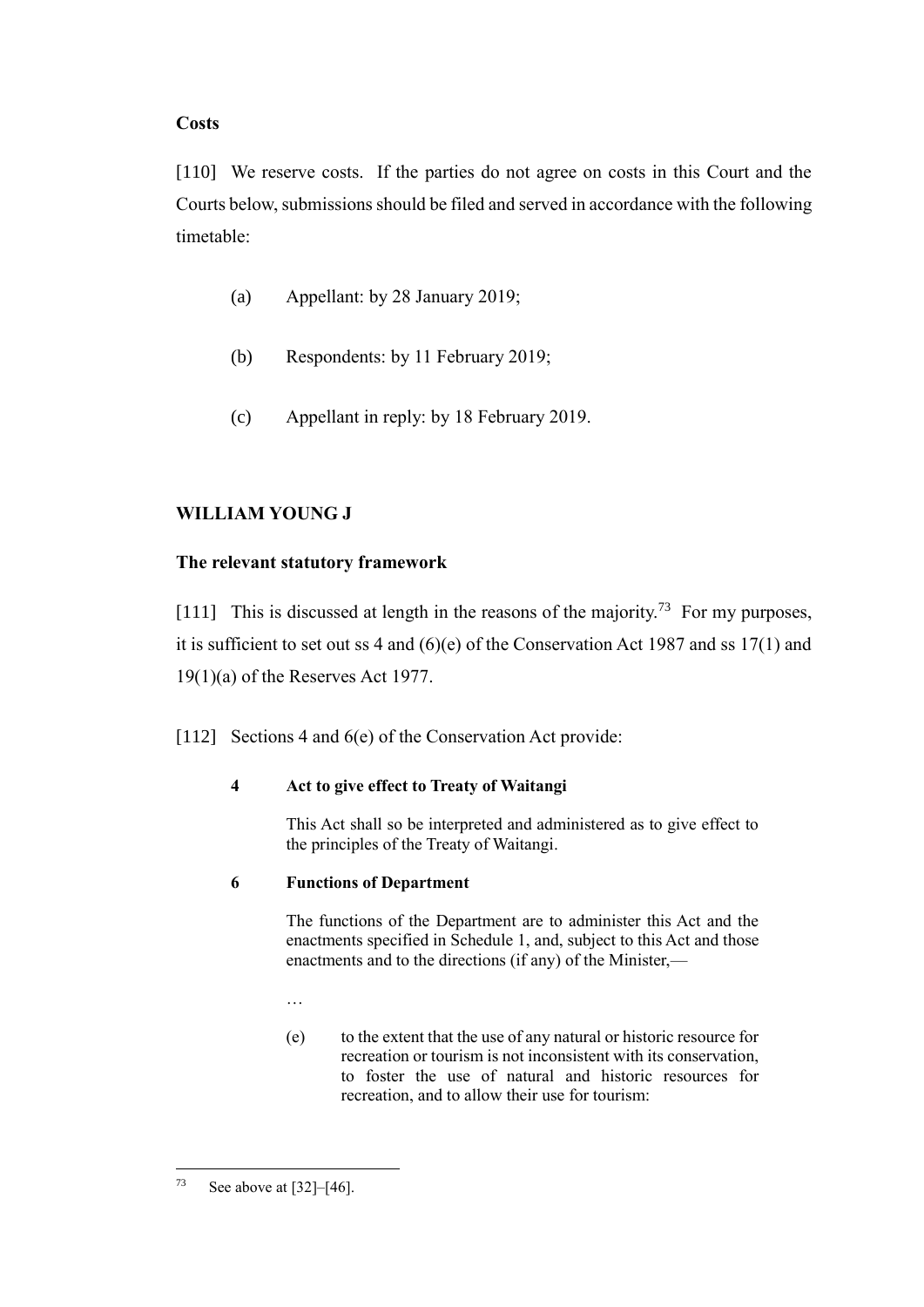## **Costs**

<span id="page-36-1"></span>[110] We reserve costs. If the parties do not agree on costs in this Court and the Courts below, submissions should be filed and served in accordance with the following timetable:

- (a) Appellant: by 28 January 2019;
- (b) Respondents: by 11 February 2019;
- (c) Appellant in reply: by 18 February 2019.

# **WILLIAM YOUNG J**

## **The relevant statutory framework**

<span id="page-36-0"></span>[111] This is discussed at length in the reasons of the majority.<sup>73</sup> For my purposes, it is sufficient to set out ss 4 and  $(6)(e)$  of the Conservation Act 1987 and ss 17(1) and 19(1)(a) of the Reserves Act 1977.

[112] Sections 4 and 6(e) of the Conservation Act provide:

## **4 Act to give effect to Treaty of Waitangi**

This Act shall so be interpreted and administered as to give effect to the principles of the Treaty of Waitangi.

## **6 Functions of Department**

The functions of the Department are to administer this Act and the enactments specified in Schedule 1, and, subject to this Act and those enactments and to the directions (if any) of the Minister,—

…

(e) to the extent that the use of any natural or historic resource for recreation or tourism is not inconsistent with its conservation, to foster the use of natural and historic resources for recreation, and to allow their use for tourism:

 $73\,$ See above at  $[32]$ – $[46]$ .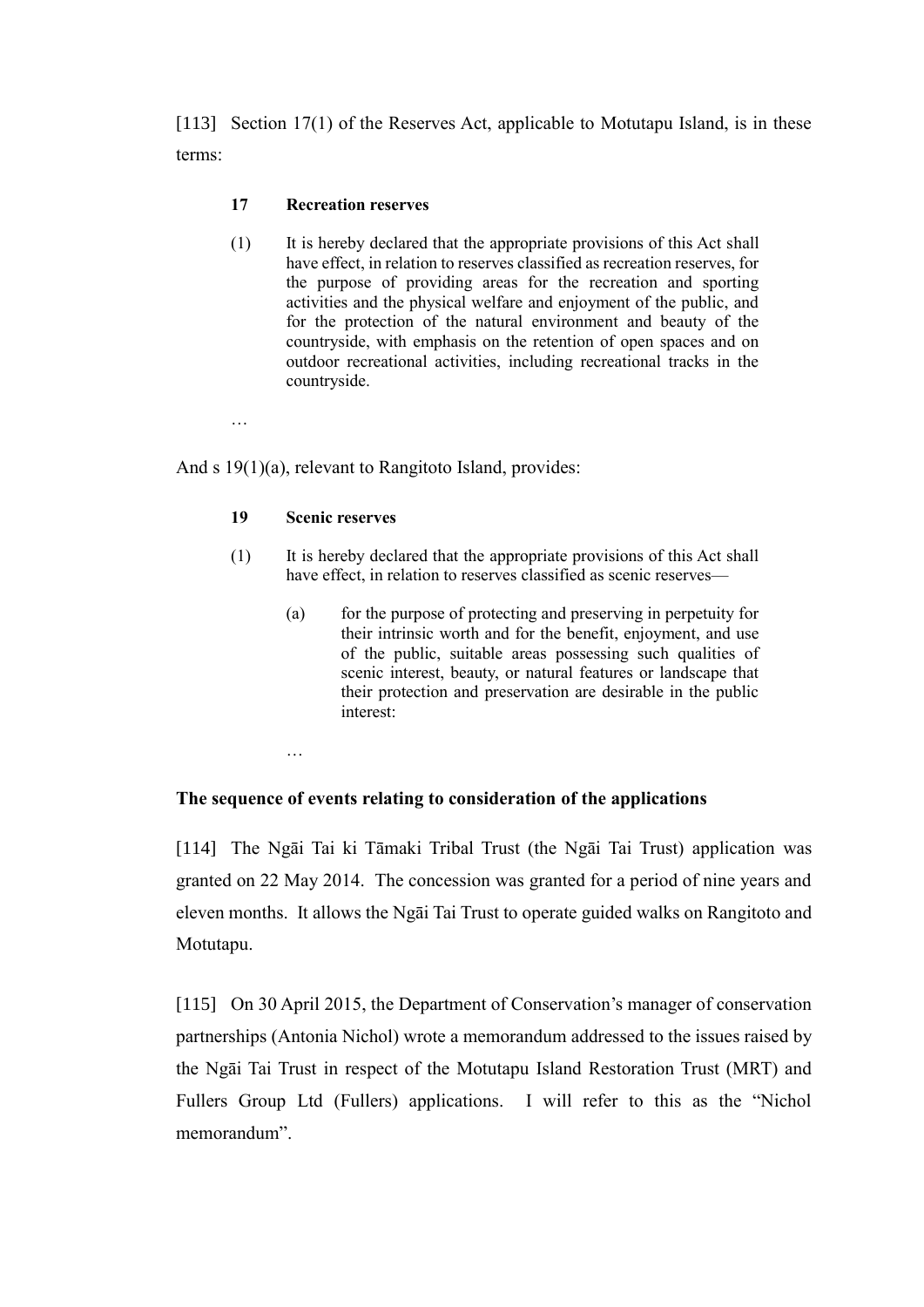[113] Section 17(1) of the Reserves Act, applicable to Motutapu Island, is in these terms:

### **17 Recreation reserves**

(1) It is hereby declared that the appropriate provisions of this Act shall have effect, in relation to reserves classified as recreation reserves, for the purpose of providing areas for the recreation and sporting activities and the physical welfare and enjoyment of the public, and for the protection of the natural environment and beauty of the countryside, with emphasis on the retention of open spaces and on outdoor recreational activities, including recreational tracks in the countryside.

…

And s 19(1)(a), relevant to Rangitoto Island, provides:

#### **19 Scenic reserves**

- (1) It is hereby declared that the appropriate provisions of this Act shall have effect, in relation to reserves classified as scenic reserves—
	- (a) for the purpose of protecting and preserving in perpetuity for their intrinsic worth and for the benefit, enjoyment, and use of the public, suitable areas possessing such qualities of scenic interest, beauty, or natural features or landscape that their protection and preservation are desirable in the public interest:

…

#### **The sequence of events relating to consideration of the applications**

[114] The Ngāi Tai ki Tāmaki Tribal Trust (the Ngāi Tai Trust) application was granted on 22 May 2014. The concession was granted for a period of nine years and eleven months. It allows the Ngāi Tai Trust to operate guided walks on Rangitoto and Motutapu.

[115] On 30 April 2015, the Department of Conservation's manager of conservation partnerships (Antonia Nichol) wrote a memorandum addressed to the issues raised by the Ngāi Tai Trust in respect of the Motutapu Island Restoration Trust (MRT) and Fullers Group Ltd (Fullers) applications. I will refer to this as the "Nichol memorandum".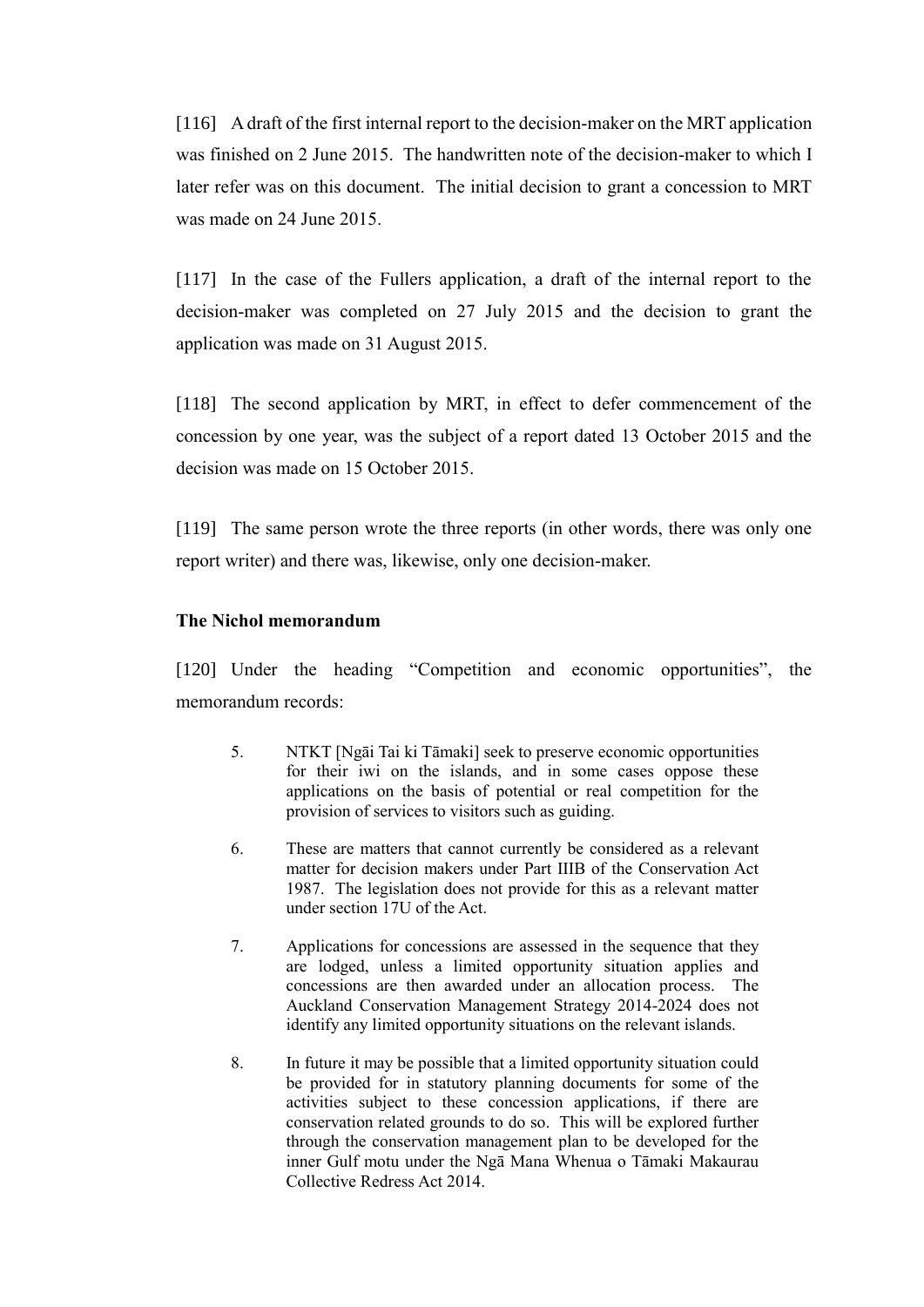[116] A draft of the first internal report to the decision-maker on the MRT application was finished on 2 June 2015. The handwritten note of the decision-maker to which I later refer was on this document. The initial decision to grant a concession to MRT was made on 24 June 2015.

[117] In the case of the Fullers application, a draft of the internal report to the decision-maker was completed on 27 July 2015 and the decision to grant the application was made on 31 August 2015.

[118] The second application by MRT, in effect to defer commencement of the concession by one year, was the subject of a report dated 13 October 2015 and the decision was made on 15 October 2015.

[119] The same person wrote the three reports (in other words, there was only one report writer) and there was, likewise, only one decision-maker.

### **The Nichol memorandum**

<span id="page-38-0"></span>[120] Under the heading "Competition and economic opportunities", the memorandum records:

- 5. NTKT [Ngāi Tai ki Tāmaki] seek to preserve economic opportunities for their iwi on the islands, and in some cases oppose these applications on the basis of potential or real competition for the provision of services to visitors such as guiding.
- 6. These are matters that cannot currently be considered as a relevant matter for decision makers under Part IIIB of the Conservation Act 1987. The legislation does not provide for this as a relevant matter under section 17U of the Act.
- 7. Applications for concessions are assessed in the sequence that they are lodged, unless a limited opportunity situation applies and concessions are then awarded under an allocation process. The Auckland Conservation Management Strategy 2014-2024 does not identify any limited opportunity situations on the relevant islands.
- 8. In future it may be possible that a limited opportunity situation could be provided for in statutory planning documents for some of the activities subject to these concession applications, if there are conservation related grounds to do so. This will be explored further through the conservation management plan to be developed for the inner Gulf motu under the Ngā Mana Whenua o Tāmaki Makaurau Collective Redress Act 2014.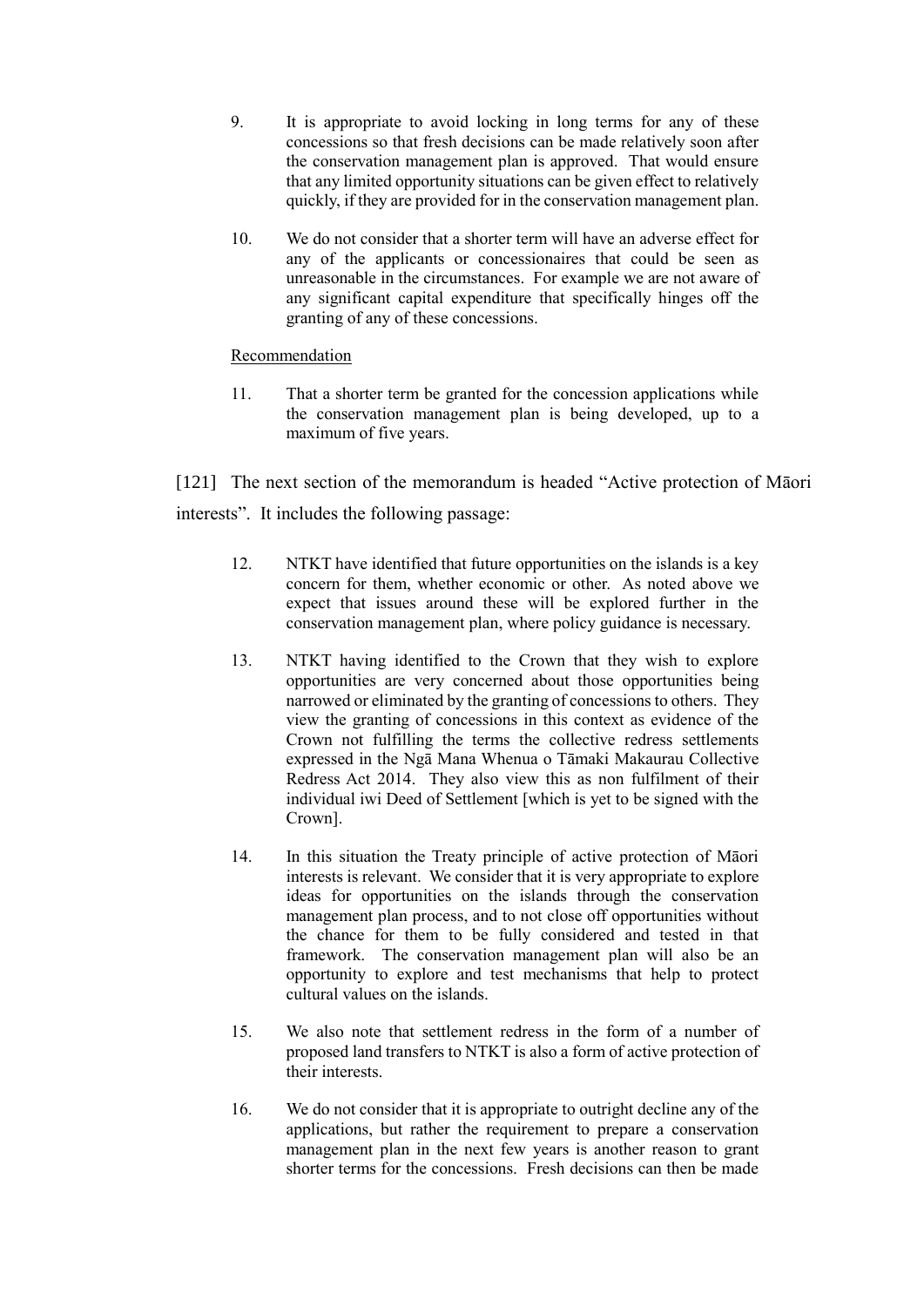- 9. It is appropriate to avoid locking in long terms for any of these concessions so that fresh decisions can be made relatively soon after the conservation management plan is approved. That would ensure that any limited opportunity situations can be given effect to relatively quickly, if they are provided for in the conservation management plan.
- 10. We do not consider that a shorter term will have an adverse effect for any of the applicants or concessionaires that could be seen as unreasonable in the circumstances. For example we are not aware of any significant capital expenditure that specifically hinges off the granting of any of these concessions.

### Recommendation

11. That a shorter term be granted for the concession applications while the conservation management plan is being developed, up to a maximum of five years.

<span id="page-39-0"></span>[121] The next section of the memorandum is headed "Active protection of Māori" interests". It includes the following passage:

- 12. NTKT have identified that future opportunities on the islands is a key concern for them, whether economic or other. As noted above we expect that issues around these will be explored further in the conservation management plan, where policy guidance is necessary.
- 13. NTKT having identified to the Crown that they wish to explore opportunities are very concerned about those opportunities being narrowed or eliminated by the granting of concessions to others. They view the granting of concessions in this context as evidence of the Crown not fulfilling the terms the collective redress settlements expressed in the Ngā Mana Whenua o Tāmaki Makaurau Collective Redress Act 2014. They also view this as non fulfilment of their individual iwi Deed of Settlement [which is yet to be signed with the Crown].
- 14. In this situation the Treaty principle of active protection of Māori interests is relevant. We consider that it is very appropriate to explore ideas for opportunities on the islands through the conservation management plan process, and to not close off opportunities without the chance for them to be fully considered and tested in that framework. The conservation management plan will also be an opportunity to explore and test mechanisms that help to protect cultural values on the islands.
- 15. We also note that settlement redress in the form of a number of proposed land transfers to NTKT is also a form of active protection of their interests.
- 16. We do not consider that it is appropriate to outright decline any of the applications, but rather the requirement to prepare a conservation management plan in the next few years is another reason to grant shorter terms for the concessions. Fresh decisions can then be made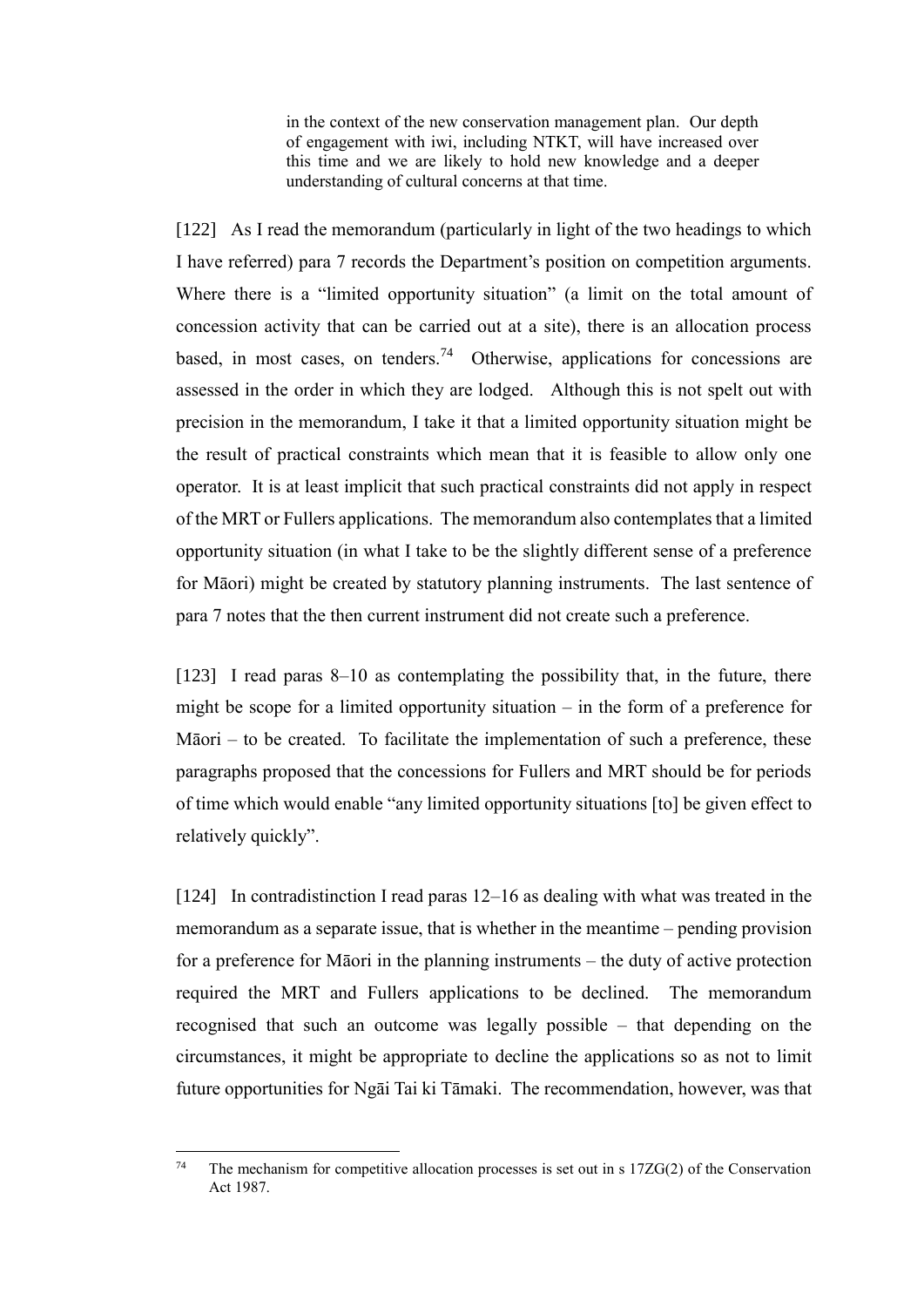in the context of the new conservation management plan. Our depth of engagement with iwi, including NTKT, will have increased over this time and we are likely to hold new knowledge and a deeper understanding of cultural concerns at that time.

[122] As I read the memorandum (particularly in light of the two headings to which I have referred) para 7 records the Department's position on competition arguments. Where there is a "limited opportunity situation" (a limit on the total amount of concession activity that can be carried out at a site), there is an allocation process based, in most cases, on tenders.<sup>74</sup> Otherwise, applications for concessions are assessed in the order in which they are lodged. Although this is not spelt out with precision in the memorandum, I take it that a limited opportunity situation might be the result of practical constraints which mean that it is feasible to allow only one operator. It is at least implicit that such practical constraints did not apply in respect of the MRT or Fullers applications. The memorandum also contemplates that a limited opportunity situation (in what I take to be the slightly different sense of a preference for Māori) might be created by statutory planning instruments. The last sentence of para 7 notes that the then current instrument did not create such a preference.

[123] I read paras 8–10 as contemplating the possibility that, in the future, there might be scope for a limited opportunity situation – in the form of a preference for Māori – to be created. To facilitate the implementation of such a preference, these paragraphs proposed that the concessions for Fullers and MRT should be for periods of time which would enable "any limited opportunity situations [to] be given effect to relatively quickly".

[124] In contradistinction I read paras 12–16 as dealing with what was treated in the memorandum as a separate issue, that is whether in the meantime – pending provision for a preference for Māori in the planning instruments – the duty of active protection required the MRT and Fullers applications to be declined. The memorandum recognised that such an outcome was legally possible – that depending on the circumstances, it might be appropriate to decline the applications so as not to limit future opportunities for Ngāi Tai ki Tāmaki. The recommendation, however, was that

 $74$ The mechanism for competitive allocation processes is set out in s  $17ZG(2)$  of the Conservation Act 1987.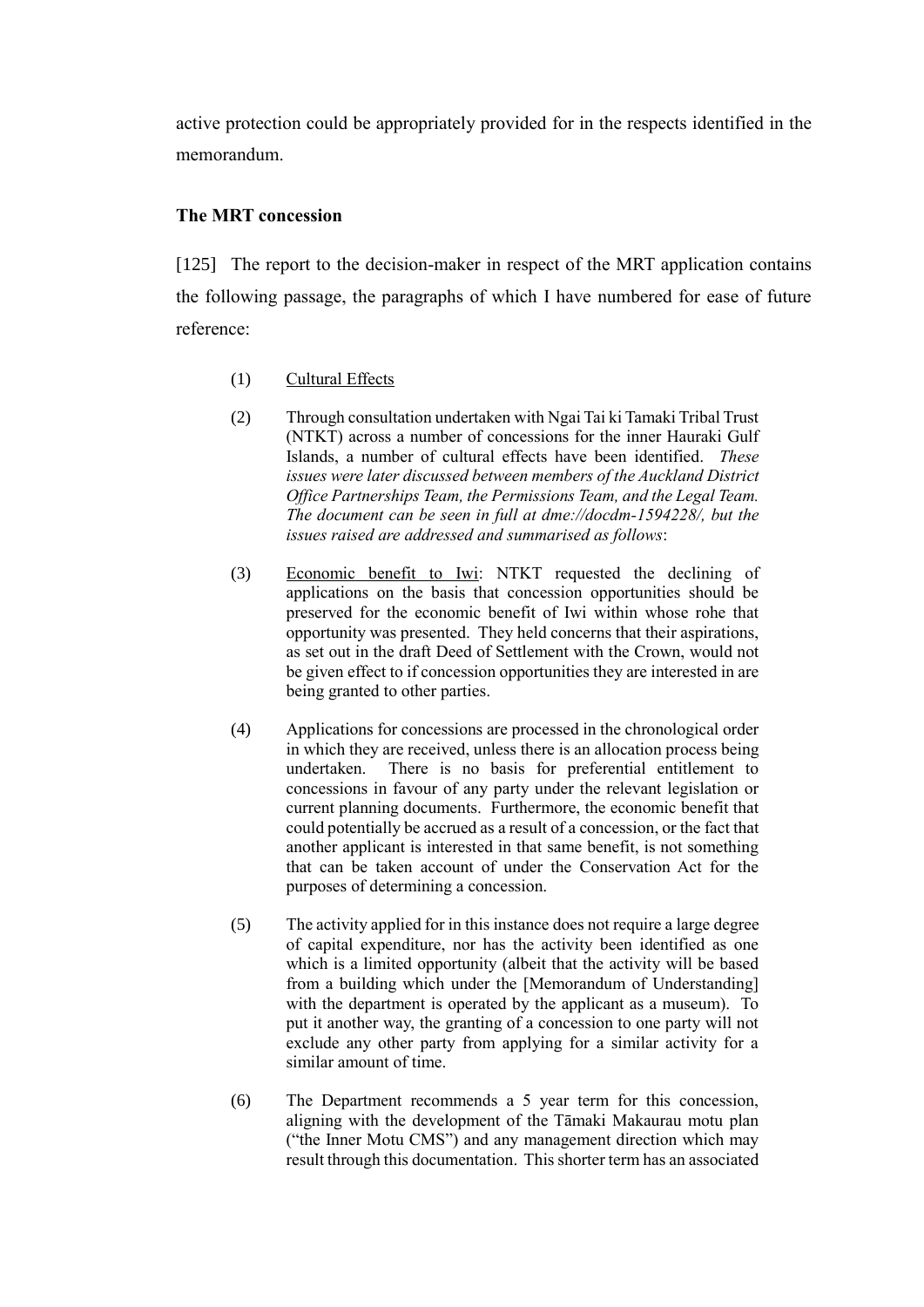active protection could be appropriately provided for in the respects identified in the memorandum.

## **The MRT concession**

[125] The report to the decision-maker in respect of the MRT application contains the following passage, the paragraphs of which I have numbered for ease of future reference:

- (1) Cultural Effects
- (2) Through consultation undertaken with Ngai Tai ki Tamaki Tribal Trust (NTKT) across a number of concessions for the inner Hauraki Gulf Islands, a number of cultural effects have been identified. *These issues were later discussed between members of the Auckland District Office Partnerships Team, the Permissions Team, and the Legal Team. The document can be seen in full at dme://docdm-1594228/, but the issues raised are addressed and summarised as follows*:
- (3) Economic benefit to Iwi: NTKT requested the declining of applications on the basis that concession opportunities should be preserved for the economic benefit of Iwi within whose rohe that opportunity was presented. They held concerns that their aspirations, as set out in the draft Deed of Settlement with the Crown, would not be given effect to if concession opportunities they are interested in are being granted to other parties.
- (4) Applications for concessions are processed in the chronological order in which they are received, unless there is an allocation process being undertaken. There is no basis for preferential entitlement to concessions in favour of any party under the relevant legislation or current planning documents. Furthermore, the economic benefit that could potentially be accrued as a result of a concession, or the fact that another applicant is interested in that same benefit, is not something that can be taken account of under the Conservation Act for the purposes of determining a concession.
- (5) The activity applied for in this instance does not require a large degree of capital expenditure, nor has the activity been identified as one which is a limited opportunity (albeit that the activity will be based from a building which under the [Memorandum of Understanding] with the department is operated by the applicant as a museum). To put it another way, the granting of a concession to one party will not exclude any other party from applying for a similar activity for a similar amount of time.
- (6) The Department recommends a 5 year term for this concession, aligning with the development of the Tāmaki Makaurau motu plan ("the Inner Motu CMS") and any management direction which may result through this documentation. This shorter term has an associated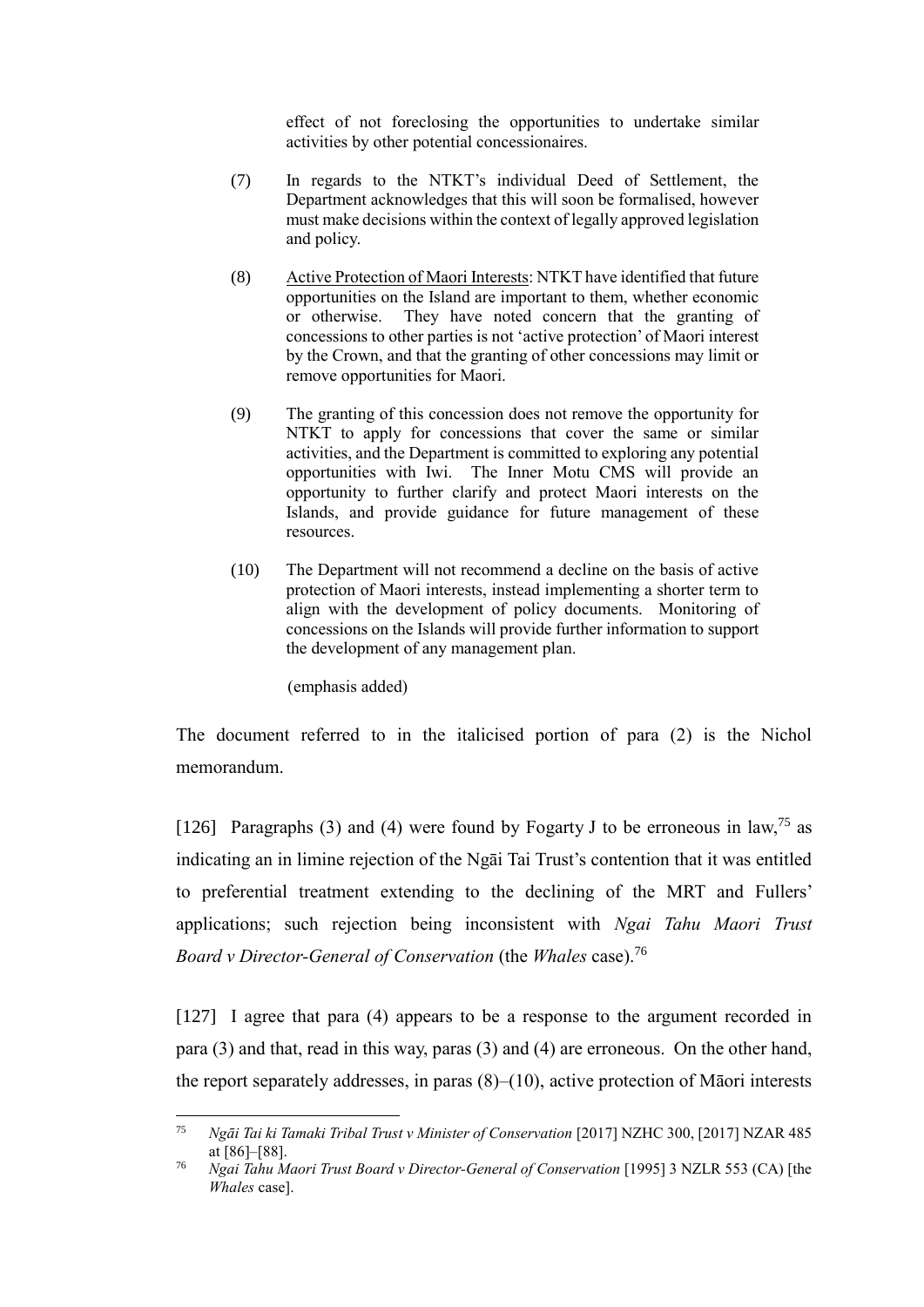effect of not foreclosing the opportunities to undertake similar activities by other potential concessionaires.

- (7) In regards to the NTKT's individual Deed of Settlement, the Department acknowledges that this will soon be formalised, however must make decisions within the context of legally approved legislation and policy.
- (8) Active Protection of Maori Interests: NTKT have identified that future opportunities on the Island are important to them, whether economic or otherwise. They have noted concern that the granting of concessions to other parties is not 'active protection' of Maori interest by the Crown, and that the granting of other concessions may limit or remove opportunities for Maori.
- (9) The granting of this concession does not remove the opportunity for NTKT to apply for concessions that cover the same or similar activities, and the Department is committed to exploring any potential opportunities with Iwi. The Inner Motu CMS will provide an opportunity to further clarify and protect Maori interests on the Islands, and provide guidance for future management of these resources.
- (10) The Department will not recommend a decline on the basis of active protection of Maori interests, instead implementing a shorter term to align with the development of policy documents. Monitoring of concessions on the Islands will provide further information to support the development of any management plan.

(emphasis added)

 $\overline{a}$ 

The document referred to in the italicised portion of para (2) is the Nichol memorandum.

[126] Paragraphs (3) and (4) were found by Fogarty J to be erroneous in law,<sup>75</sup> as indicating an in limine rejection of the Ngāi Tai Trust's contention that it was entitled to preferential treatment extending to the declining of the MRT and Fullers' applications; such rejection being inconsistent with *Ngai Tahu Maori Trust Board v Director-General of Conservation* (the *Whales* case). 76

[127] I agree that para (4) appears to be a response to the argument recorded in para (3) and that, read in this way, paras (3) and (4) are erroneous. On the other hand, the report separately addresses, in paras  $(8)$ – $(10)$ , active protection of Māori interests

<sup>75</sup> *Ngāi Tai ki Tamaki Tribal Trust v Minister of Conservation* [2017] NZHC 300, [2017] NZAR 485 at [86]–[88].

<sup>76</sup> *Ngai Tahu Maori Trust Board v Director-General of Conservation* [1995] 3 NZLR 553 (CA) [the *Whales* case].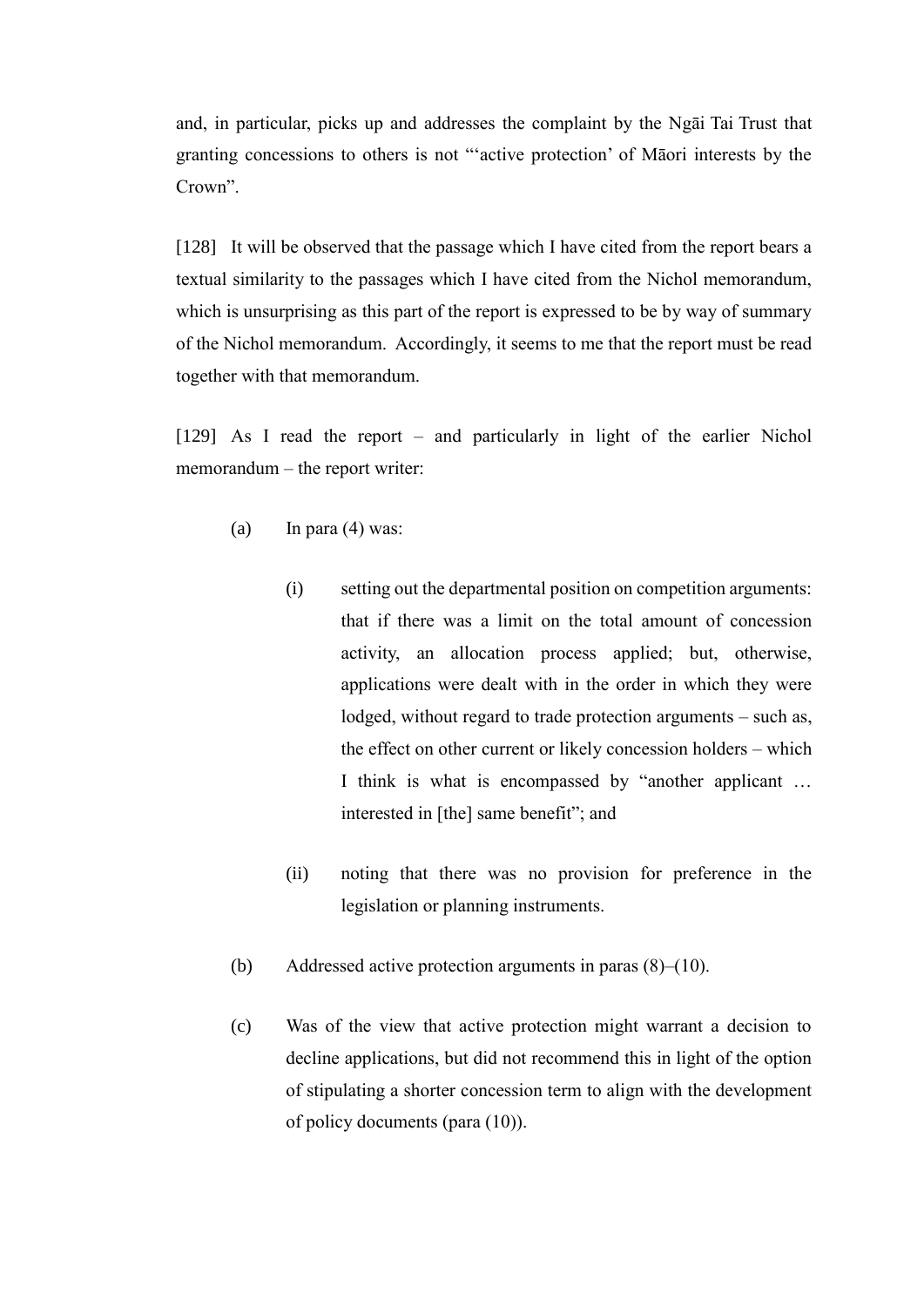and, in particular, picks up and addresses the complaint by the Ngāi Tai Trust that granting concessions to others is not "'active protection' of Māori interests by the Crown".

[128] It will be observed that the passage which I have cited from the report bears a textual similarity to the passages which I have cited from the Nichol memorandum, which is unsurprising as this part of the report is expressed to be by way of summary of the Nichol memorandum. Accordingly, it seems to me that the report must be read together with that memorandum.

[129] As I read the report – and particularly in light of the earlier Nichol memorandum – the report writer:

- (a) In para  $(4)$  was:
	- (i) setting out the departmental position on competition arguments: that if there was a limit on the total amount of concession activity, an allocation process applied; but, otherwise, applications were dealt with in the order in which they were lodged, without regard to trade protection arguments – such as, the effect on other current or likely concession holders – which I think is what is encompassed by "another applicant … interested in [the] same benefit"; and
	- (ii) noting that there was no provision for preference in the legislation or planning instruments.
- (b) Addressed active protection arguments in paras (8)–(10).
- (c) Was of the view that active protection might warrant a decision to decline applications, but did not recommend this in light of the option of stipulating a shorter concession term to align with the development of policy documents (para (10)).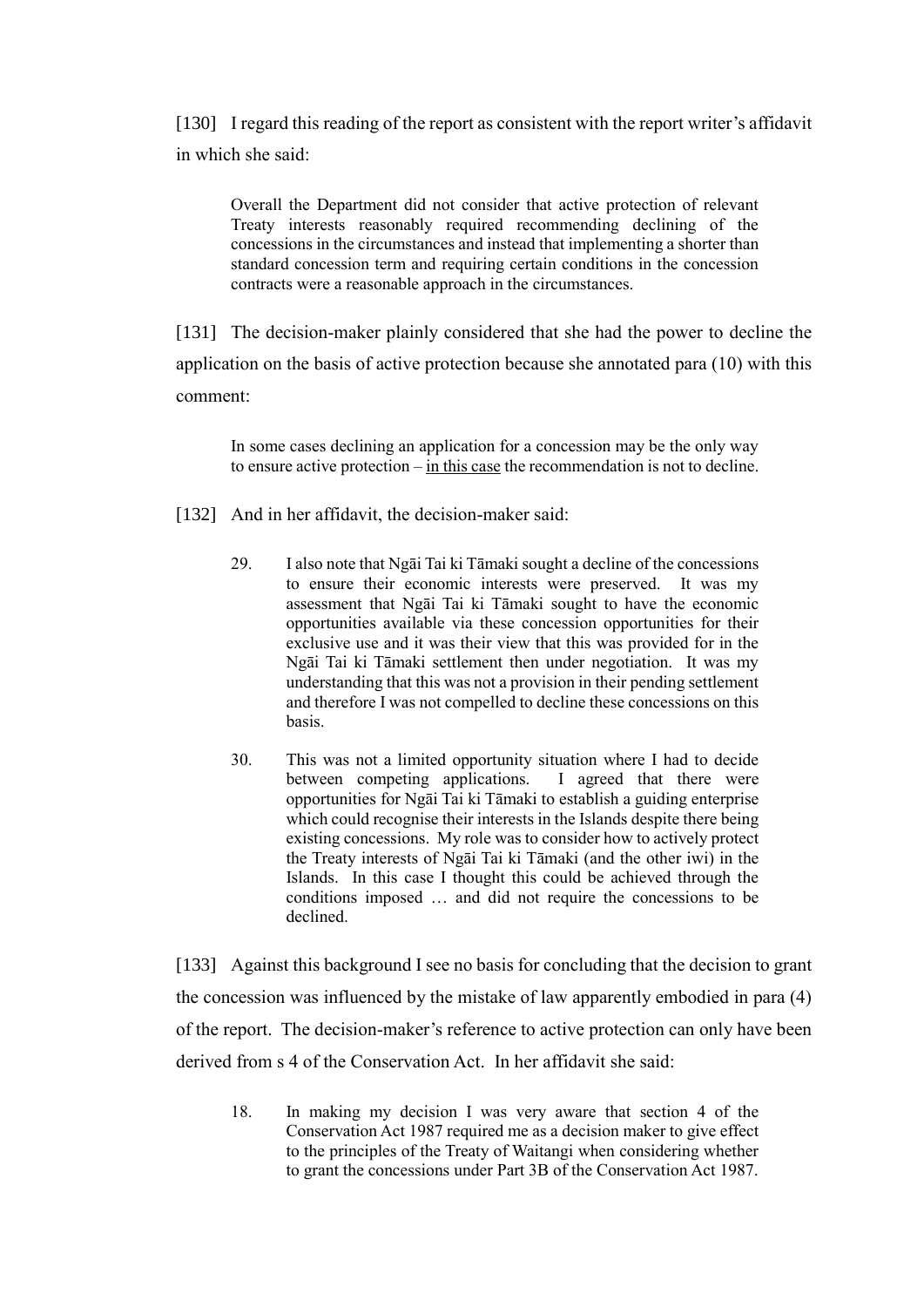[130] I regard this reading of the report as consistent with the report writer's affidavit in which she said:

Overall the Department did not consider that active protection of relevant Treaty interests reasonably required recommending declining of the concessions in the circumstances and instead that implementing a shorter than standard concession term and requiring certain conditions in the concession contracts were a reasonable approach in the circumstances.

[131] The decision-maker plainly considered that she had the power to decline the application on the basis of active protection because she annotated para (10) with this comment:

In some cases declining an application for a concession may be the only way to ensure active protection – in this case the recommendation is not to decline.

- [132] And in her affidavit, the decision-maker said:
	- 29. I also note that Ngāi Tai ki Tāmaki sought a decline of the concessions to ensure their economic interests were preserved. It was my assessment that Ngāi Tai ki Tāmaki sought to have the economic opportunities available via these concession opportunities for their exclusive use and it was their view that this was provided for in the Ngāi Tai ki Tāmaki settlement then under negotiation. It was my understanding that this was not a provision in their pending settlement and therefore I was not compelled to decline these concessions on this basis.
	- 30. This was not a limited opportunity situation where I had to decide between competing applications. I agreed that there were opportunities for Ngāi Tai ki Tāmaki to establish a guiding enterprise which could recognise their interests in the Islands despite there being existing concessions. My role was to consider how to actively protect the Treaty interests of Ngāi Tai ki Tāmaki (and the other iwi) in the Islands. In this case I thought this could be achieved through the conditions imposed … and did not require the concessions to be declined.

<span id="page-44-0"></span>[133] Against this background I see no basis for concluding that the decision to grant the concession was influenced by the mistake of law apparently embodied in para (4) of the report. The decision-maker's reference to active protection can only have been derived from s 4 of the Conservation Act. In her affidavit she said:

18. In making my decision I was very aware that section 4 of the Conservation Act 1987 required me as a decision maker to give effect to the principles of the Treaty of Waitangi when considering whether to grant the concessions under Part 3B of the Conservation Act 1987.